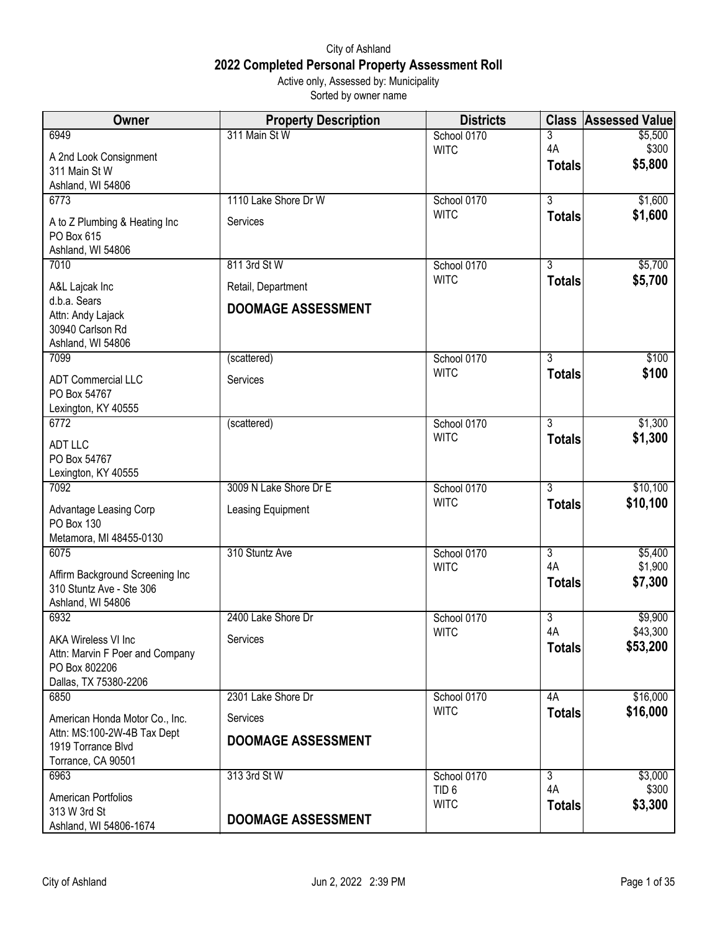## City of Ashland **2022 Completed Personal Property Assessment Roll** Active only, Assessed by: Municipality

Sorted by owner name

| Owner                                                            | <b>Property Description</b> | <b>Districts</b>           | <b>Class</b>         | <b>Assessed Value</b> |
|------------------------------------------------------------------|-----------------------------|----------------------------|----------------------|-----------------------|
| 6949                                                             | 311 Main St W               | School 0170                | 3                    | \$5,500               |
| A 2nd Look Consignment                                           |                             | <b>WITC</b>                | 4A                   | \$300                 |
| 311 Main St W                                                    |                             |                            | <b>Totals</b>        | \$5,800               |
| Ashland, WI 54806<br>6773                                        | 1110 Lake Shore Dr W        |                            | $\overline{3}$       | \$1,600               |
|                                                                  |                             | School 0170<br><b>WITC</b> | <b>Totals</b>        | \$1,600               |
| A to Z Plumbing & Heating Inc<br>PO Box 615<br>Ashland, WI 54806 | Services                    |                            |                      |                       |
| 7010                                                             | 811 3rd St W                | School 0170                | $\overline{3}$       | \$5,700               |
| A&L Lajcak Inc                                                   | Retail, Department          | <b>WITC</b>                | <b>Totals</b>        | \$5,700               |
| d.b.a. Sears                                                     |                             |                            |                      |                       |
| Attn: Andy Lajack<br>30940 Carlson Rd<br>Ashland, WI 54806       | <b>DOOMAGE ASSESSMENT</b>   |                            |                      |                       |
| 7099                                                             | (scattered)                 | School 0170                | $\overline{3}$       | \$100                 |
| <b>ADT Commercial LLC</b><br>PO Box 54767                        | Services                    | <b>WITC</b>                | <b>Totals</b>        | \$100                 |
| Lexington, KY 40555                                              |                             |                            |                      |                       |
| 6772                                                             | (scattered)                 | School 0170                | $\overline{3}$       | \$1,300               |
| <b>ADT LLC</b>                                                   |                             | <b>WITC</b>                | <b>Totals</b>        | \$1,300               |
| PO Box 54767                                                     |                             |                            |                      |                       |
| Lexington, KY 40555<br>7092                                      | 3009 N Lake Shore Dr E      | School 0170                | $\overline{3}$       | \$10,100              |
|                                                                  |                             | <b>WITC</b>                | <b>Totals</b>        | \$10,100              |
| Advantage Leasing Corp<br>PO Box 130<br>Metamora, MI 48455-0130  | Leasing Equipment           |                            |                      |                       |
| 6075                                                             | 310 Stuntz Ave              | School 0170                | $\overline{3}$       | \$5,400               |
| Affirm Background Screening Inc                                  |                             | <b>WITC</b>                | 4A                   | \$1,900               |
| 310 Stuntz Ave - Ste 306                                         |                             |                            | <b>Totals</b>        | \$7,300               |
| Ashland, WI 54806                                                |                             |                            |                      |                       |
| 6932                                                             | 2400 Lake Shore Dr          | School 0170<br><b>WITC</b> | $\overline{3}$<br>4A | \$9,900<br>\$43,300   |
| AKA Wireless VI Inc                                              | Services                    |                            | <b>Totals</b>        | \$53,200              |
| Attn: Marvin F Poer and Company<br>PO Box 802206                 |                             |                            |                      |                       |
| Dallas, TX 75380-2206                                            |                             |                            |                      |                       |
| 6850                                                             | 2301 Lake Shore Dr          | School 0170                | 4A                   | \$16,000              |
| American Honda Motor Co., Inc.                                   | Services                    | <b>WITC</b>                | <b>Totals</b>        | \$16,000              |
| Attn: MS:100-2W-4B Tax Dept                                      | <b>DOOMAGE ASSESSMENT</b>   |                            |                      |                       |
| 1919 Torrance Blvd                                               |                             |                            |                      |                       |
| Torrance, CA 90501<br>6963                                       | 313 3rd St W                | School 0170                | 3                    | \$3,000               |
|                                                                  |                             | TID <sub>6</sub>           | 4A                   | \$300                 |
| American Portfolios<br>313 W 3rd St                              |                             | <b>WITC</b>                | <b>Totals</b>        | \$3,300               |
| Ashland, WI 54806-1674                                           | <b>DOOMAGE ASSESSMENT</b>   |                            |                      |                       |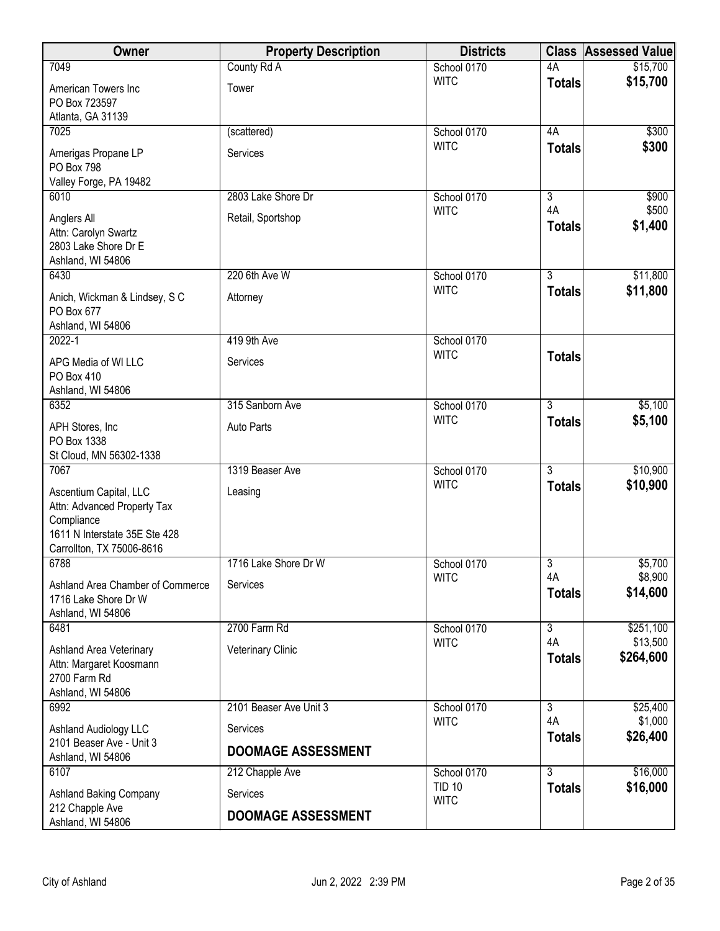| Owner                                                                                                                             | <b>Property Description</b> | <b>Districts</b> |                           | <b>Class Assessed Value</b> |
|-----------------------------------------------------------------------------------------------------------------------------------|-----------------------------|------------------|---------------------------|-----------------------------|
| 7049                                                                                                                              | County Rd A                 | School 0170      | 4A                        | \$15,700                    |
| American Towers Inc<br>PO Box 723597<br>Atlanta, GA 31139                                                                         | Tower                       | <b>WITC</b>      | <b>Totals</b>             | \$15,700                    |
| 7025                                                                                                                              | (scattered)                 | School 0170      | 4A                        | \$300                       |
| Amerigas Propane LP<br>PO Box 798<br>Valley Forge, PA 19482                                                                       | Services                    | <b>WITC</b>      | <b>Totals</b>             | \$300                       |
| 6010                                                                                                                              | 2803 Lake Shore Dr          | School 0170      | $\overline{\overline{3}}$ | \$900                       |
| Anglers All<br>Attn: Carolyn Swartz<br>2803 Lake Shore Dr E<br>Ashland, WI 54806                                                  | Retail, Sportshop           | <b>WITC</b>      | 4A<br><b>Totals</b>       | \$500<br>\$1,400            |
| 6430                                                                                                                              | 220 6th Ave W               | School 0170      | $\overline{3}$            | \$11,800                    |
| Anich, Wickman & Lindsey, S C<br>PO Box 677<br>Ashland, WI 54806                                                                  | Attorney                    | <b>WITC</b>      | <b>Totals</b>             | \$11,800                    |
| 2022-1                                                                                                                            | 419 9th Ave                 | School 0170      |                           |                             |
| APG Media of WI LLC<br>PO Box 410<br>Ashland, WI 54806                                                                            | Services                    | <b>WITC</b>      | <b>Totals</b>             |                             |
| 6352                                                                                                                              | 315 Sanborn Ave             | School 0170      | $\overline{3}$            | \$5,100                     |
| APH Stores, Inc.<br>PO Box 1338<br>St Cloud, MN 56302-1338                                                                        | <b>Auto Parts</b>           | <b>WITC</b>      | <b>Totals</b>             | \$5,100                     |
| 7067                                                                                                                              | 1319 Beaser Ave             | School 0170      | $\overline{3}$            | \$10,900                    |
| Ascentium Capital, LLC<br>Attn: Advanced Property Tax<br>Compliance<br>1611 N Interstate 35E Ste 428<br>Carrollton, TX 75006-8616 | Leasing                     | <b>WITC</b>      | <b>Totals</b>             | \$10,900                    |
| 6788                                                                                                                              | 1716 Lake Shore Dr W        | School 0170      | 3                         | \$5,700                     |
| Ashland Area Chamber of Commerce<br>1716 Lake Shore Dr W<br>Ashland, WI 54806                                                     | Services                    | <b>WITC</b>      | 4A<br><b>Totals</b>       | \$8,900<br>\$14,600         |
| 6481                                                                                                                              | 2700 Farm Rd                | School 0170      | 3                         | \$251,100                   |
| Ashland Area Veterinary<br>Attn: Margaret Koosmann<br>2700 Farm Rd<br>Ashland, WI 54806                                           | Veterinary Clinic           | <b>WITC</b>      | 4A<br><b>Totals</b>       | \$13,500<br>\$264,600       |
| 6992                                                                                                                              | 2101 Beaser Ave Unit 3      | School 0170      | $\overline{3}$            | \$25,400                    |
| Ashland Audiology LLC                                                                                                             | Services                    | <b>WITC</b>      | 4A                        | \$1,000                     |
| 2101 Beaser Ave - Unit 3                                                                                                          | <b>DOOMAGE ASSESSMENT</b>   |                  | <b>Totals</b>             | \$26,400                    |
| Ashland, WI 54806<br>6107                                                                                                         |                             | School 0170      | $\overline{3}$            | \$16,000                    |
| Ashland Baking Company                                                                                                            | 212 Chapple Ave<br>Services | <b>TID 10</b>    | <b>Totals</b>             | \$16,000                    |
| 212 Chapple Ave                                                                                                                   |                             | <b>WITC</b>      |                           |                             |
| Ashland, WI 54806                                                                                                                 | <b>DOOMAGE ASSESSMENT</b>   |                  |                           |                             |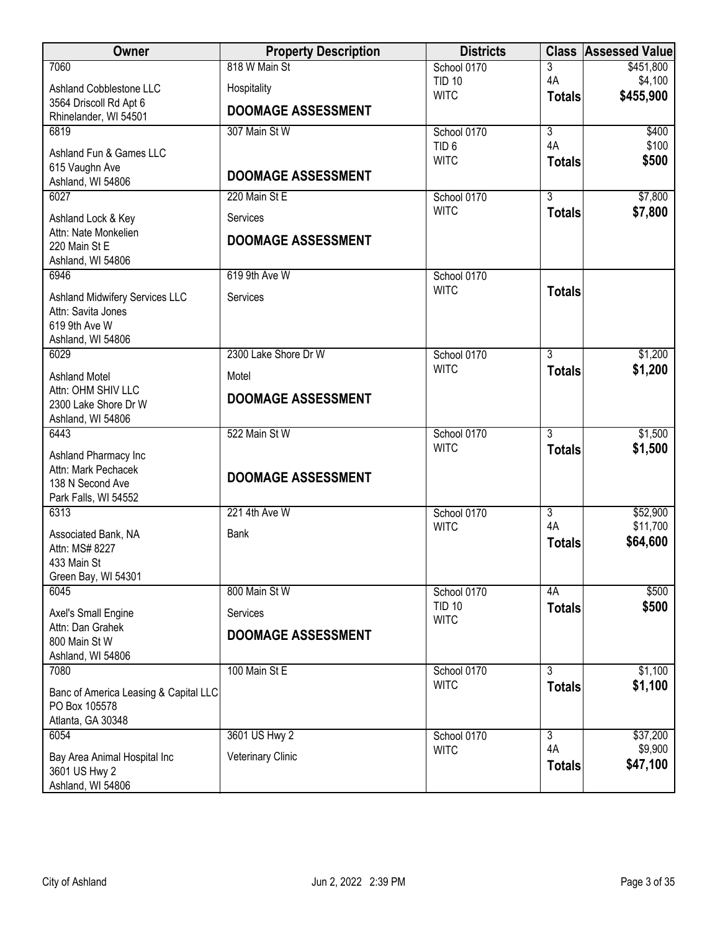| Owner                                                | <b>Property Description</b> | <b>Districts</b>             |                     | <b>Class Assessed Value</b> |
|------------------------------------------------------|-----------------------------|------------------------------|---------------------|-----------------------------|
| 7060                                                 | 818 W Main St               | School 0170                  | 3                   | \$451,800                   |
| Ashland Cobblestone LLC                              | Hospitality                 | <b>TID 10</b><br><b>WITC</b> | 4A                  | \$4,100<br>\$455,900        |
| 3564 Driscoll Rd Apt 6                               | <b>DOOMAGE ASSESSMENT</b>   |                              | <b>Totals</b>       |                             |
| Rhinelander, WI 54501<br>6819                        | 307 Main St W               | School 0170                  | $\overline{3}$      | \$400                       |
|                                                      |                             | TID <sub>6</sub>             | 4A                  | \$100                       |
| Ashland Fun & Games LLC<br>615 Vaughn Ave            |                             | <b>WITC</b>                  | <b>Totals</b>       | \$500                       |
| Ashland, WI 54806                                    | <b>DOOMAGE ASSESSMENT</b>   |                              |                     |                             |
| 6027                                                 | 220 Main St E               | School 0170                  | 3                   | \$7,800                     |
| Ashland Lock & Key                                   | Services                    | <b>WITC</b>                  | <b>Totals</b>       | \$7,800                     |
| Attn: Nate Monkelien                                 | <b>DOOMAGE ASSESSMENT</b>   |                              |                     |                             |
| 220 Main St E                                        |                             |                              |                     |                             |
| Ashland, WI 54806<br>6946                            | 619 9th Ave W               | School 0170                  |                     |                             |
|                                                      |                             | <b>WITC</b>                  | <b>Totals</b>       |                             |
| Ashland Midwifery Services LLC<br>Attn: Savita Jones | Services                    |                              |                     |                             |
| 619 9th Ave W                                        |                             |                              |                     |                             |
| Ashland, WI 54806                                    |                             |                              |                     |                             |
| 6029                                                 | 2300 Lake Shore Dr W        | School 0170<br><b>WITC</b>   | $\overline{3}$      | \$1,200                     |
| <b>Ashland Motel</b>                                 | Motel                       |                              | <b>Totals</b>       | \$1,200                     |
| Attn: OHM SHIV LLC<br>2300 Lake Shore Dr W           | <b>DOOMAGE ASSESSMENT</b>   |                              |                     |                             |
| Ashland, WI 54806                                    |                             |                              |                     |                             |
| 6443                                                 | 522 Main St W               | School 0170                  | $\overline{3}$      | \$1,500                     |
| Ashland Pharmacy Inc                                 |                             | <b>WITC</b>                  | <b>Totals</b>       | \$1,500                     |
| Attn: Mark Pechacek                                  | <b>DOOMAGE ASSESSMENT</b>   |                              |                     |                             |
| 138 N Second Ave<br>Park Falls, WI 54552             |                             |                              |                     |                             |
| 6313                                                 | 221 4th Ave W               | School 0170                  | $\overline{3}$      | \$52,900                    |
| Associated Bank, NA                                  | Bank                        | <b>WITC</b>                  | 4A                  | \$11,700                    |
| Attn: MS# 8227                                       |                             |                              | <b>Totals</b>       | \$64,600                    |
| 433 Main St                                          |                             |                              |                     |                             |
| Green Bay, WI 54301                                  |                             |                              |                     |                             |
| 6045                                                 | 800 Main St W               | School 0170<br><b>TID 10</b> | 4A<br><b>Totals</b> | \$500<br>\$500              |
| Axel's Small Engine<br>Attn: Dan Grahek              | Services                    | <b>WITC</b>                  |                     |                             |
| 800 Main St W                                        | <b>DOOMAGE ASSESSMENT</b>   |                              |                     |                             |
| Ashland, WI 54806                                    |                             |                              |                     |                             |
| 7080                                                 | 100 Main St E               | School 0170                  | 3                   | \$1,100                     |
| Banc of America Leasing & Capital LLC                |                             | <b>WITC</b>                  | <b>Totals</b>       | \$1,100                     |
| PO Box 105578                                        |                             |                              |                     |                             |
| Atlanta, GA 30348<br>6054                            | 3601 US Hwy 2               | School 0170                  | $\overline{3}$      | \$37,200                    |
|                                                      |                             | <b>WITC</b>                  | 4A                  | \$9,900                     |
| Bay Area Animal Hospital Inc<br>3601 US Hwy 2        | Veterinary Clinic           |                              | <b>Totals</b>       | \$47,100                    |
| Ashland, WI 54806                                    |                             |                              |                     |                             |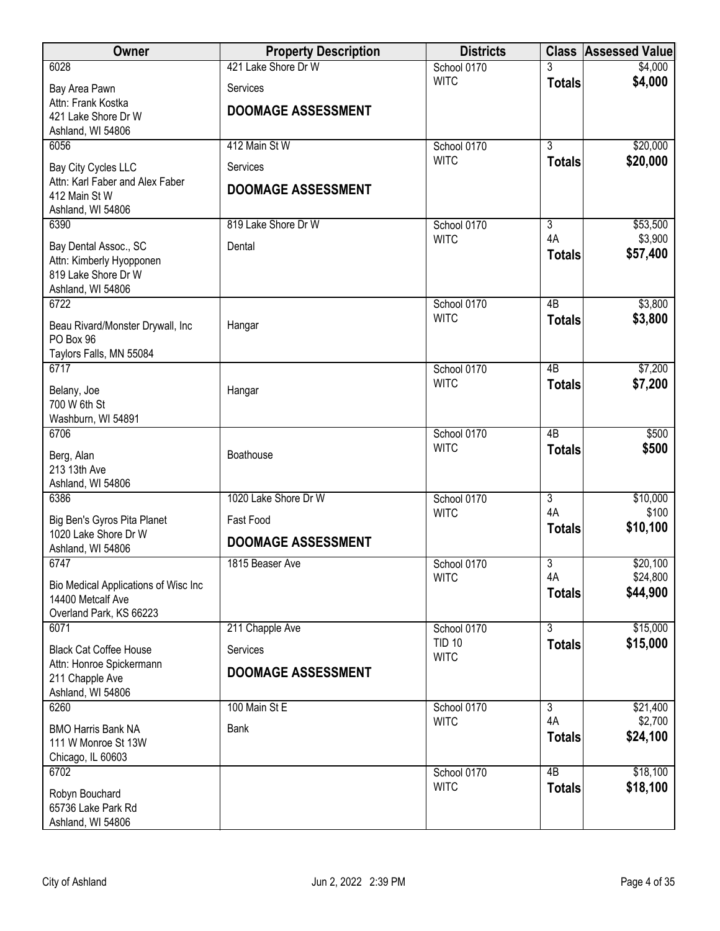| Owner                                                                                         | <b>Property Description</b> | <b>Districts</b>             |                     | <b>Class Assessed Value</b> |
|-----------------------------------------------------------------------------------------------|-----------------------------|------------------------------|---------------------|-----------------------------|
| 6028                                                                                          | 421 Lake Shore Dr W         | School 0170                  |                     | \$4,000                     |
| Bay Area Pawn                                                                                 | Services                    | <b>WITC</b>                  | <b>Totals</b>       | \$4,000                     |
| Attn: Frank Kostka<br>421 Lake Shore Dr W                                                     | <b>DOOMAGE ASSESSMENT</b>   |                              |                     |                             |
| Ashland, WI 54806                                                                             |                             |                              |                     |                             |
| 6056                                                                                          | 412 Main St W               | School 0170                  | $\overline{3}$      | \$20,000                    |
| Bay City Cycles LLC                                                                           | Services                    | <b>WITC</b>                  | <b>Totals</b>       | \$20,000                    |
| Attn: Karl Faber and Alex Faber<br>412 Main St W<br>Ashland, WI 54806                         | <b>DOOMAGE ASSESSMENT</b>   |                              |                     |                             |
| 6390                                                                                          | 819 Lake Shore Dr W         | School 0170                  | 3                   | \$53,500                    |
| Bay Dental Assoc., SC<br>Attn: Kimberly Hyopponen<br>819 Lake Shore Dr W<br>Ashland, WI 54806 | Dental                      | <b>WITC</b>                  | 4A<br><b>Totals</b> | \$3,900<br>\$57,400         |
| 6722                                                                                          |                             | School 0170                  | $\overline{AB}$     | \$3,800                     |
| Beau Rivard/Monster Drywall, Inc<br>PO Box 96<br>Taylors Falls, MN 55084                      | Hangar                      | <b>WITC</b>                  | <b>Totals</b>       | \$3,800                     |
| 6717                                                                                          |                             | School 0170                  | $\overline{AB}$     | \$7,200                     |
| Belany, Joe<br>700 W 6th St<br>Washburn, WI 54891                                             | Hangar                      | <b>WITC</b>                  | <b>Totals</b>       | \$7,200                     |
| 6706                                                                                          |                             | School 0170                  | 4B                  | \$500                       |
| Berg, Alan<br>213 13th Ave<br>Ashland, WI 54806                                               | Boathouse                   | <b>WITC</b>                  | <b>Totals</b>       | \$500                       |
| 6386                                                                                          | 1020 Lake Shore Dr W        | School 0170                  | $\overline{3}$      | \$10,000                    |
| Big Ben's Gyros Pita Planet<br>1020 Lake Shore Dr W                                           | Fast Food                   | <b>WITC</b>                  | 4A<br><b>Totals</b> | \$100<br>\$10,100           |
| Ashland, WI 54806                                                                             | <b>DOOMAGE ASSESSMENT</b>   |                              |                     |                             |
| 6747                                                                                          | 1815 Beaser Ave             | School 0170                  | $\overline{3}$      | \$20,100                    |
| Bio Medical Applications of Wisc Inc<br>14400 Metcalf Ave<br>Overland Park, KS 66223          |                             | <b>WITC</b>                  | 4A<br><b>Totals</b> | \$24,800<br>\$44,900        |
| 6071                                                                                          | 211 Chapple Ave             | School 0170                  | $\overline{3}$      | \$15,000                    |
| <b>Black Cat Coffee House</b>                                                                 | Services                    | <b>TID 10</b><br><b>WITC</b> | <b>Totals</b>       | \$15,000                    |
| Attn: Honroe Spickermann                                                                      | <b>DOOMAGE ASSESSMENT</b>   |                              |                     |                             |
| 211 Chapple Ave<br>Ashland, WI 54806                                                          |                             |                              |                     |                             |
| 6260                                                                                          | 100 Main St E               | School 0170                  | 3                   | \$21,400                    |
| <b>BMO Harris Bank NA</b>                                                                     | <b>Bank</b>                 | <b>WITC</b>                  | 4A                  | \$2,700                     |
| 111 W Monroe St 13W                                                                           |                             |                              | <b>Totals</b>       | \$24,100                    |
| Chicago, IL 60603<br>6702                                                                     |                             | School 0170                  | 4B                  | \$18,100                    |
|                                                                                               |                             | <b>WITC</b>                  | <b>Totals</b>       | \$18,100                    |
| Robyn Bouchard<br>65736 Lake Park Rd<br>Ashland, WI 54806                                     |                             |                              |                     |                             |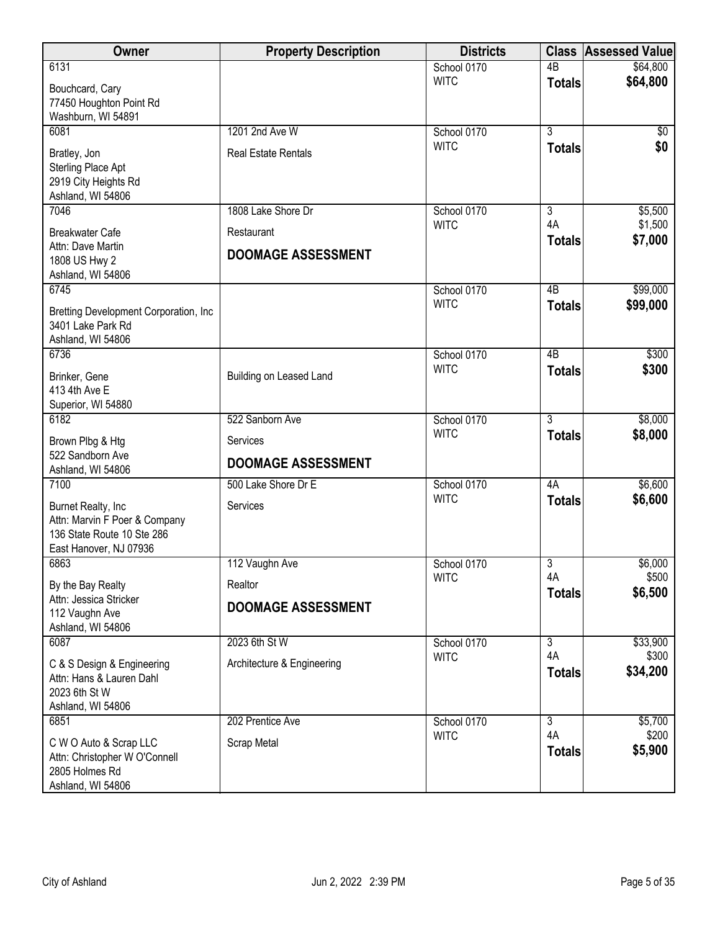| Owner                                                                                                       | <b>Property Description</b>             | <b>Districts</b> |                     | <b>Class Assessed Value</b> |
|-------------------------------------------------------------------------------------------------------------|-----------------------------------------|------------------|---------------------|-----------------------------|
| 6131                                                                                                        |                                         | School 0170      | $\overline{AB}$     | \$64,800                    |
| Bouchcard, Cary<br>77450 Houghton Point Rd<br>Washburn, WI 54891                                            |                                         | <b>WITC</b>      | <b>Totals</b>       | \$64,800                    |
| 6081                                                                                                        | 1201 2nd Ave W                          | School 0170      | $\overline{3}$      | $\sqrt[6]{}$                |
| Bratley, Jon<br>Sterling Place Apt<br>2919 City Heights Rd<br>Ashland, WI 54806                             | <b>Real Estate Rentals</b>              | <b>WITC</b>      | <b>Totals</b>       | \$0                         |
| 7046                                                                                                        | 1808 Lake Shore Dr                      | School 0170      | 3                   | \$5,500                     |
| <b>Breakwater Cafe</b><br>Attn: Dave Martin<br>1808 US Hwy 2<br>Ashland, WI 54806                           | Restaurant<br><b>DOOMAGE ASSESSMENT</b> | <b>WITC</b>      | 4A<br><b>Totals</b> | \$1,500<br>\$7,000          |
| 6745                                                                                                        |                                         | School 0170      | $\overline{AB}$     | \$99,000                    |
| Bretting Development Corporation, Inc.<br>3401 Lake Park Rd<br>Ashland, WI 54806                            |                                         | <b>WITC</b>      | <b>Totals</b>       | \$99,000                    |
| 6736                                                                                                        |                                         | School 0170      | $\overline{AB}$     | \$300                       |
| Brinker, Gene<br>413 4th Ave E<br>Superior, WI 54880                                                        | Building on Leased Land                 | <b>WITC</b>      | <b>Totals</b>       | \$300                       |
| 6182                                                                                                        | 522 Sanborn Ave                         | School 0170      | $\overline{3}$      | \$8,000                     |
| Brown Plbg & Htg<br>522 Sandborn Ave<br>Ashland, WI 54806                                                   | Services<br><b>DOOMAGE ASSESSMENT</b>   | <b>WITC</b>      | <b>Totals</b>       | \$8,000                     |
| 7100                                                                                                        | 500 Lake Shore Dr E                     | School 0170      | 4A                  | \$6,600                     |
| Burnet Realty, Inc<br>Attn: Marvin F Poer & Company<br>136 State Route 10 Ste 286<br>East Hanover, NJ 07936 | Services                                | <b>WITC</b>      | <b>Totals</b>       | \$6,600                     |
| 6863                                                                                                        | 112 Vaughn Ave                          | School 0170      | 3                   | \$6,000                     |
| By the Bay Realty                                                                                           | Realtor                                 | <b>WITC</b>      | 4A<br><b>Totals</b> | \$500<br>\$6,500            |
| Attn: Jessica Stricker<br>112 Vaughn Ave<br>Ashland, WI 54806                                               | <b>DOOMAGE ASSESSMENT</b>               |                  |                     |                             |
| 6087                                                                                                        | 2023 6th St W                           | School 0170      | $\overline{3}$      | \$33,900                    |
| C & S Design & Engineering<br>Attn: Hans & Lauren Dahl<br>2023 6th St W<br>Ashland, WI 54806                | Architecture & Engineering              | <b>WITC</b>      | 4A<br><b>Totals</b> | \$300<br>\$34,200           |
| 6851                                                                                                        | 202 Prentice Ave                        | School 0170      | $\overline{3}$      | \$5,700                     |
| C W O Auto & Scrap LLC<br>Attn: Christopher W O'Connell<br>2805 Holmes Rd<br>Ashland, WI 54806              | Scrap Metal                             | <b>WITC</b>      | 4A<br><b>Totals</b> | \$200<br>\$5,900            |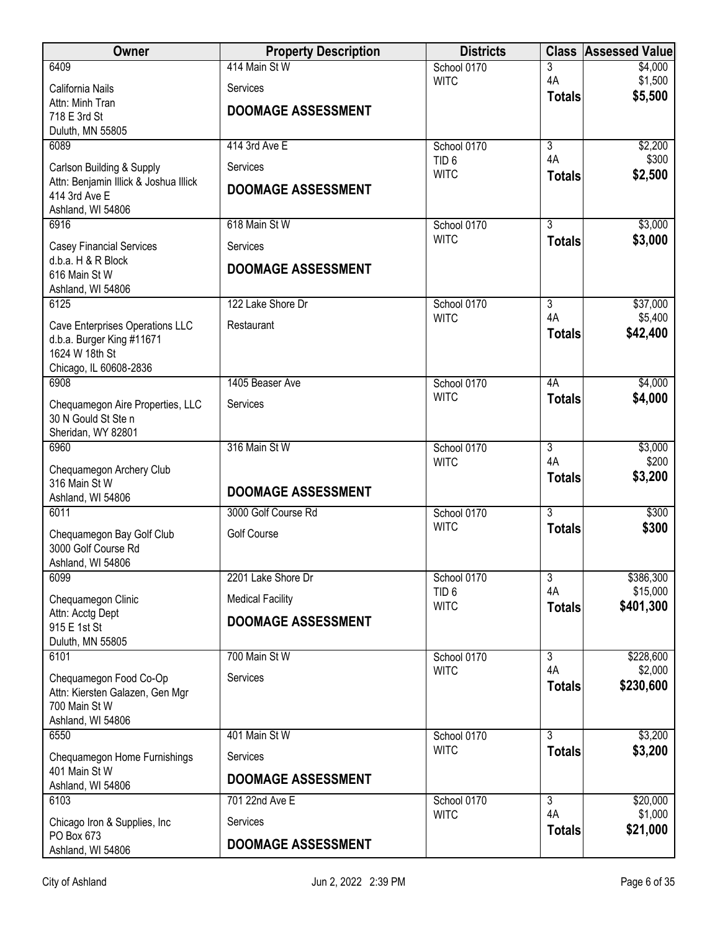| <b>Owner</b>                               | <b>Property Description</b> | <b>Districts</b>                | <b>Class</b>         | <b>Assessed Value</b> |
|--------------------------------------------|-----------------------------|---------------------------------|----------------------|-----------------------|
| 6409                                       | 414 Main St W               | School 0170                     | 3                    | \$4,000               |
| California Nails                           | Services                    | <b>WITC</b>                     | 4A<br><b>Totals</b>  | \$1,500<br>\$5,500    |
| Attn: Minh Tran<br>718 E 3rd St            | <b>DOOMAGE ASSESSMENT</b>   |                                 |                      |                       |
| Duluth, MN 55805                           |                             |                                 |                      |                       |
| 6089                                       | 414 3rd Ave E               | School 0170                     | $\overline{3}$       | \$2,200               |
| Carlson Building & Supply                  | Services                    | TID <sub>6</sub><br><b>WITC</b> | 4A                   | \$300                 |
| Attn: Benjamin Illick & Joshua Illick      | <b>DOOMAGE ASSESSMENT</b>   |                                 | <b>Totals</b>        | \$2,500               |
| 414 3rd Ave E<br>Ashland, WI 54806         |                             |                                 |                      |                       |
| 6916                                       | 618 Main St W               | School 0170                     | $\overline{3}$       | \$3,000               |
| <b>Casey Financial Services</b>            | Services                    | <b>WITC</b>                     | <b>Totals</b>        | \$3,000               |
| d.b.a. H & R Block                         | <b>DOOMAGE ASSESSMENT</b>   |                                 |                      |                       |
| 616 Main St W<br>Ashland, WI 54806         |                             |                                 |                      |                       |
| 6125                                       | 122 Lake Shore Dr           | School 0170                     | $\overline{3}$       | \$37,000              |
| Cave Enterprises Operations LLC            | Restaurant                  | <b>WITC</b>                     | 4A                   | \$5,400               |
| d.b.a. Burger King #11671                  |                             |                                 | <b>Totals</b>        | \$42,400              |
| 1624 W 18th St                             |                             |                                 |                      |                       |
| Chicago, IL 60608-2836<br>6908             | 1405 Beaser Ave             | School 0170                     | 4A                   | \$4,000               |
| Chequamegon Aire Properties, LLC           | Services                    | <b>WITC</b>                     | <b>Totals</b>        | \$4,000               |
| 30 N Gould St Ste n                        |                             |                                 |                      |                       |
| Sheridan, WY 82801                         |                             |                                 |                      |                       |
| 6960                                       | 316 Main St W               | School 0170<br><b>WITC</b>      | $\overline{3}$<br>4A | \$3,000<br>\$200      |
| Chequamegon Archery Club<br>316 Main St W  |                             |                                 | <b>Totals</b>        | \$3,200               |
| Ashland, WI 54806                          | <b>DOOMAGE ASSESSMENT</b>   |                                 |                      |                       |
| 6011                                       | 3000 Golf Course Rd         | School 0170                     | $\overline{3}$       | \$300                 |
| Chequamegon Bay Golf Club                  | Golf Course                 | <b>WITC</b>                     | <b>Totals</b>        | \$300                 |
| 3000 Golf Course Rd                        |                             |                                 |                      |                       |
| Ashland, WI 54806<br>6099                  | 2201 Lake Shore Dr          | School 0170                     | 3                    | \$386,300             |
| Chequamegon Clinic                         | <b>Medical Facility</b>     | TID <sub>6</sub>                | 4A                   | \$15,000              |
| Attn: Acctg Dept                           |                             | <b>WITC</b>                     | <b>Totals</b>        | \$401,300             |
| 915 E 1st St                               | <b>DOOMAGE ASSESSMENT</b>   |                                 |                      |                       |
| Duluth, MN 55805<br>6101                   | 700 Main St W               | School 0170                     | $\overline{3}$       | \$228,600             |
| Chequamegon Food Co-Op                     | Services                    | <b>WITC</b>                     | 4A                   | \$2,000               |
| Attn: Kiersten Galazen, Gen Mgr            |                             |                                 | <b>Totals</b>        | \$230,600             |
| 700 Main St W                              |                             |                                 |                      |                       |
| Ashland, WI 54806<br>6550                  | 401 Main St W               | School 0170                     | 3                    | \$3,200               |
| Chequamegon Home Furnishings               | <b>Services</b>             | <b>WITC</b>                     | <b>Totals</b>        | \$3,200               |
| 401 Main St W                              |                             |                                 |                      |                       |
| Ashland, WI 54806                          | <b>DOOMAGE ASSESSMENT</b>   |                                 |                      |                       |
| 6103                                       | 701 22nd Ave E              | School 0170<br><b>WITC</b>      | $\overline{3}$<br>4A | \$20,000<br>\$1,000   |
| Chicago Iron & Supplies, Inc<br>PO Box 673 | Services                    |                                 | <b>Totals</b>        | \$21,000              |
| Ashland, WI 54806                          | <b>DOOMAGE ASSESSMENT</b>   |                                 |                      |                       |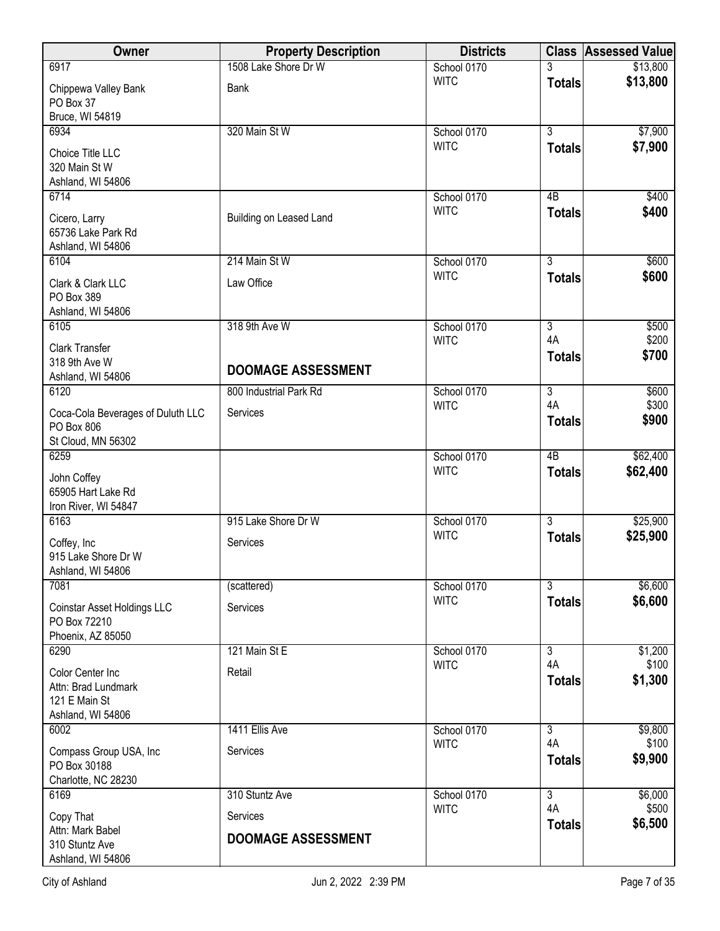| Owner                                                                         | <b>Property Description</b> | <b>Districts</b>           |                      | <b>Class Assessed Value</b> |
|-------------------------------------------------------------------------------|-----------------------------|----------------------------|----------------------|-----------------------------|
| 6917                                                                          | 1508 Lake Shore Dr W        | School 0170                |                      | \$13,800                    |
| Chippewa Valley Bank<br>PO Box 37<br>Bruce, WI 54819                          | Bank                        | <b>WITC</b>                | <b>Totals</b>        | \$13,800                    |
| 6934                                                                          | 320 Main St W               | School 0170                | $\overline{3}$       | \$7,900                     |
| Choice Title LLC<br>320 Main St W<br>Ashland, WI 54806                        |                             | <b>WITC</b>                | <b>Totals</b>        | \$7,900                     |
| 6714                                                                          |                             | School 0170                | 4B                   | \$400                       |
| Cicero, Larry<br>65736 Lake Park Rd<br>Ashland, WI 54806                      | Building on Leased Land     | <b>WITC</b>                | <b>Totals</b>        | \$400                       |
| 6104                                                                          | 214 Main St W               | School 0170                | $\overline{3}$       | \$600                       |
| Clark & Clark LLC<br>PO Box 389<br>Ashland, WI 54806                          | Law Office                  | <b>WITC</b>                | <b>Totals</b>        | \$600                       |
| 6105                                                                          | 318 9th Ave W               | School 0170                | $\overline{3}$       | \$500                       |
| <b>Clark Transfer</b><br>318 9th Ave W                                        | <b>DOOMAGE ASSESSMENT</b>   | <b>WITC</b>                | 4A<br><b>Totals</b>  | \$200<br>\$700              |
| Ashland, WI 54806                                                             |                             |                            |                      |                             |
| 6120                                                                          | 800 Industrial Park Rd      | School 0170<br><b>WITC</b> | $\overline{3}$<br>4A | \$600<br>\$300              |
| Coca-Cola Beverages of Duluth LLC<br>PO Box 806<br>St Cloud, MN 56302         | Services                    |                            | <b>Totals</b>        | \$900                       |
| 6259                                                                          |                             | School 0170                | $\overline{AB}$      | \$62,400                    |
| John Coffey<br>65905 Hart Lake Rd<br>Iron River, WI 54847                     |                             | <b>WITC</b>                | <b>Totals</b>        | \$62,400                    |
| 6163                                                                          | 915 Lake Shore Dr W         | School 0170                | 3                    | \$25,900                    |
| Coffey, Inc<br>915 Lake Shore Dr W<br>Ashland, WI 54806                       | Services                    | <b>WITC</b>                | <b>Totals</b>        | \$25,900                    |
| 7081                                                                          | (scattered)                 | School 0170                | $\overline{3}$       | \$6,600                     |
| Coinstar Asset Holdings LLC<br>PO Box 72210<br>Phoenix, AZ 85050              | Services                    | <b>WITC</b>                | <b>Totals</b>        | \$6,600                     |
| 6290                                                                          | 121 Main St E               | School 0170                | $\overline{3}$       | \$1,200                     |
| Color Center Inc<br>Attn: Brad Lundmark<br>121 E Main St<br>Ashland, WI 54806 | Retail                      | <b>WITC</b>                | 4A<br><b>Totals</b>  | \$100<br>\$1,300            |
| 6002                                                                          | 1411 Ellis Ave              | School 0170                | $\overline{3}$       | \$9,800                     |
| Compass Group USA, Inc<br>PO Box 30188<br>Charlotte, NC 28230                 | Services                    | <b>WITC</b>                | 4A<br><b>Totals</b>  | \$100<br>\$9,900            |
| 6169                                                                          | 310 Stuntz Ave              | School 0170                | $\overline{3}$       | \$6,000                     |
| Copy That<br>Attn: Mark Babel                                                 | Services                    | <b>WITC</b>                | 4A<br><b>Totals</b>  | \$500<br>\$6,500            |
| 310 Stuntz Ave<br>Ashland, WI 54806                                           | <b>DOOMAGE ASSESSMENT</b>   |                            |                      |                             |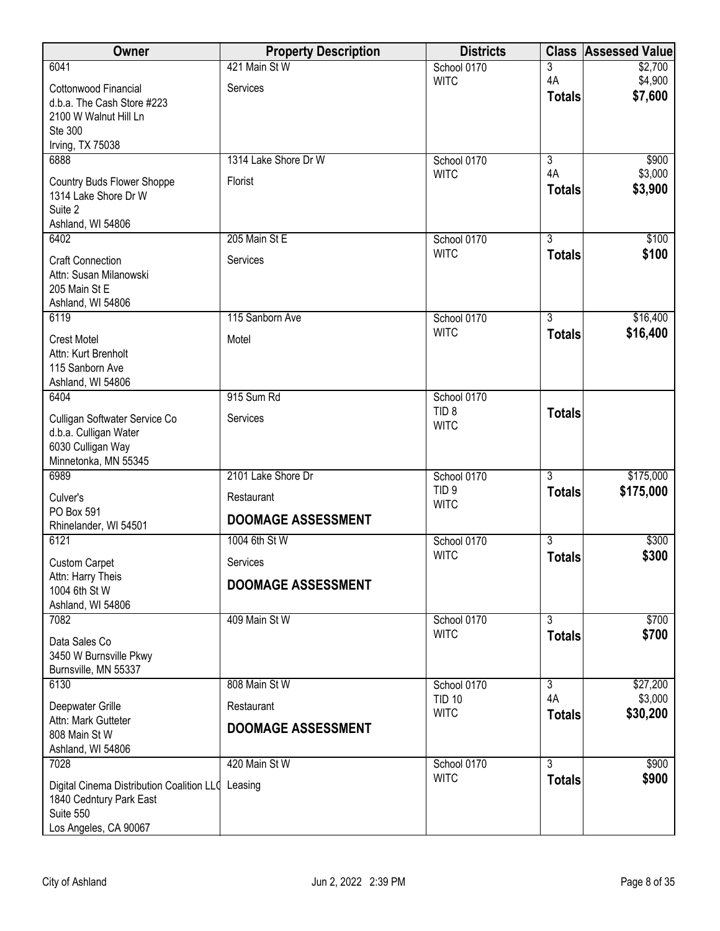| Owner                                      | <b>Property Description</b> | <b>Districts</b>                | <b>Class</b>        | <b>Assessed Value</b> |
|--------------------------------------------|-----------------------------|---------------------------------|---------------------|-----------------------|
| 6041                                       | 421 Main St W               | School 0170                     | 3                   | \$2,700               |
| Cottonwood Financial                       | Services                    | <b>WITC</b>                     | 4A<br><b>Totals</b> | \$4,900<br>\$7,600    |
| d.b.a. The Cash Store #223                 |                             |                                 |                     |                       |
| 2100 W Walnut Hill Ln<br>Ste 300           |                             |                                 |                     |                       |
| Irving, TX 75038                           |                             |                                 |                     |                       |
| 6888                                       | 1314 Lake Shore Dr W        | School 0170                     | $\overline{3}$      | \$900                 |
| Country Buds Flower Shoppe                 | Florist                     | <b>WITC</b>                     | 4A                  | \$3,000               |
| 1314 Lake Shore Dr W                       |                             |                                 | <b>Totals</b>       | \$3,900               |
| Suite 2<br>Ashland, WI 54806               |                             |                                 |                     |                       |
| 6402                                       | 205 Main St E               | School 0170                     | $\overline{3}$      | \$100                 |
| <b>Craft Connection</b>                    | Services                    | <b>WITC</b>                     | <b>Totals</b>       | \$100                 |
| Attn: Susan Milanowski                     |                             |                                 |                     |                       |
| 205 Main St E                              |                             |                                 |                     |                       |
| Ashland, WI 54806<br>6119                  | 115 Sanborn Ave             | School 0170                     | $\overline{3}$      | \$16,400              |
|                                            |                             | <b>WITC</b>                     | <b>Totals</b>       | \$16,400              |
| <b>Crest Motel</b><br>Attn: Kurt Brenholt  | Motel                       |                                 |                     |                       |
| 115 Sanborn Ave                            |                             |                                 |                     |                       |
| Ashland, WI 54806                          |                             |                                 |                     |                       |
| 6404                                       | 915 Sum Rd                  | School 0170<br>TID <sub>8</sub> | <b>Totals</b>       |                       |
| Culligan Softwater Service Co              | Services                    | <b>WITC</b>                     |                     |                       |
| d.b.a. Culligan Water<br>6030 Culligan Way |                             |                                 |                     |                       |
| Minnetonka, MN 55345                       |                             |                                 |                     |                       |
| 6989                                       | 2101 Lake Shore Dr          | School 0170                     | $\overline{3}$      | \$175,000             |
| Culver's                                   | Restaurant                  | TID <sub>9</sub><br><b>WITC</b> | <b>Totals</b>       | \$175,000             |
| PO Box 591<br>Rhinelander, WI 54501        | <b>DOOMAGE ASSESSMENT</b>   |                                 |                     |                       |
| 6121                                       | 1004 6th St W               | School 0170                     | $\overline{3}$      | \$300                 |
| <b>Custom Carpet</b>                       | Services                    | <b>WITC</b>                     | <b>Totals</b>       | \$300                 |
| Attn: Harry Theis                          |                             |                                 |                     |                       |
| 1004 6th St W                              | <b>DOOMAGE ASSESSMENT</b>   |                                 |                     |                       |
| Ashland, WI 54806<br>7082                  | 409 Main St W               | School 0170                     | $\overline{3}$      | \$700                 |
|                                            |                             | <b>WITC</b>                     | <b>Totals</b>       | \$700                 |
| Data Sales Co<br>3450 W Burnsville Pkwy    |                             |                                 |                     |                       |
| Burnsville, MN 55337                       |                             |                                 |                     |                       |
| 6130                                       | 808 Main St W               | School 0170                     | $\overline{3}$      | \$27,200              |
| Deepwater Grille                           | Restaurant                  | <b>TID 10</b><br><b>WITC</b>    | 4A<br><b>Totals</b> | \$3,000<br>\$30,200   |
| Attn: Mark Gutteter<br>808 Main St W       | <b>DOOMAGE ASSESSMENT</b>   |                                 |                     |                       |
| Ashland, WI 54806                          |                             |                                 |                     |                       |
| 7028                                       | 420 Main St W               | School 0170                     | $\overline{3}$      | \$900                 |
| Digital Cinema Distribution Coalition LLQ  | Leasing                     | <b>WITC</b>                     | <b>Totals</b>       | \$900                 |
| 1840 Cedntury Park East                    |                             |                                 |                     |                       |
| Suite 550                                  |                             |                                 |                     |                       |
| Los Angeles, CA 90067                      |                             |                                 |                     |                       |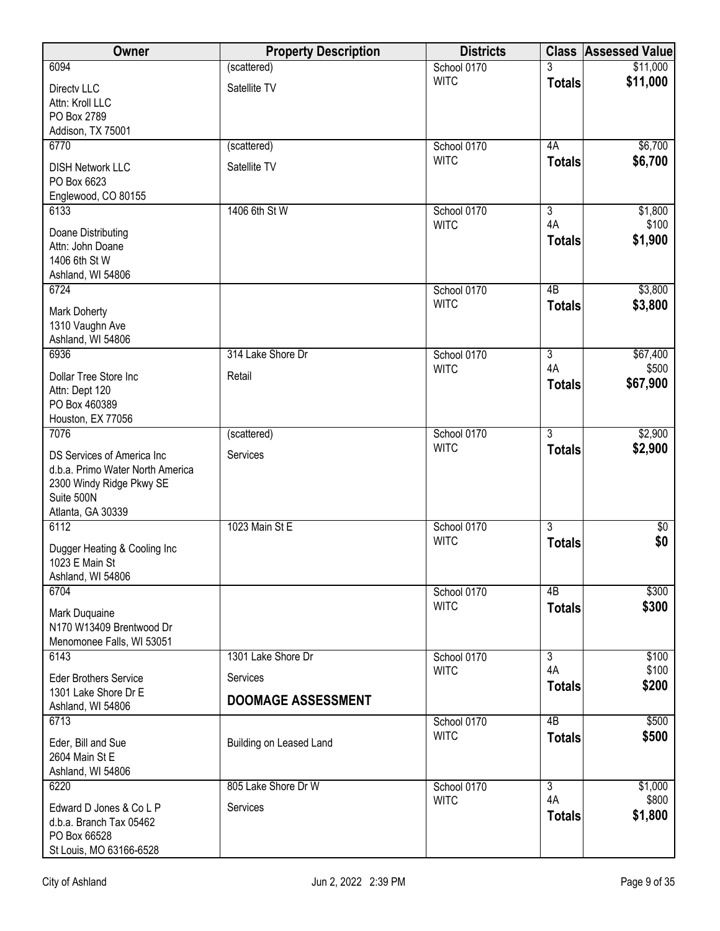| Owner                                                         | <b>Property Description</b> | <b>Districts</b>           | <b>Class</b>        | <b>Assessed Value</b> |
|---------------------------------------------------------------|-----------------------------|----------------------------|---------------------|-----------------------|
| 6094                                                          | (scattered)                 | School 0170                | 3                   | \$11,000              |
| Directv LLC<br>Attn: Kroll LLC                                | Satellite TV                | <b>WITC</b>                | <b>Totals</b>       | \$11,000              |
| PO Box 2789                                                   |                             |                            |                     |                       |
| Addison, TX 75001<br>6770                                     | (scattered)                 | School 0170                | 4A                  | \$6,700               |
|                                                               |                             | <b>WITC</b>                | <b>Totals</b>       | \$6,700               |
| <b>DISH Network LLC</b><br>PO Box 6623<br>Englewood, CO 80155 | Satellite TV                |                            |                     |                       |
| 6133                                                          | 1406 6th St W               | School 0170                | $\overline{3}$      | \$1,800               |
| Doane Distributing                                            |                             | <b>WITC</b>                | 4A<br><b>Totals</b> | \$100<br>\$1,900      |
| Attn: John Doane<br>1406 6th St W                             |                             |                            |                     |                       |
| Ashland, WI 54806                                             |                             |                            |                     |                       |
| 6724                                                          |                             | School 0170                | 4B                  | \$3,800               |
| <b>Mark Doherty</b>                                           |                             | <b>WITC</b>                | <b>Totals</b>       | \$3,800               |
| 1310 Vaughn Ave                                               |                             |                            |                     |                       |
| Ashland, WI 54806                                             | 314 Lake Shore Dr           |                            | $\overline{3}$      |                       |
| 6936                                                          |                             | School 0170<br><b>WITC</b> | 4A                  | \$67,400<br>\$500     |
| Dollar Tree Store Inc<br>Attn: Dept 120                       | Retail                      |                            | <b>Totals</b>       | \$67,900              |
| PO Box 460389                                                 |                             |                            |                     |                       |
| Houston, EX 77056                                             |                             |                            |                     |                       |
| 7076                                                          | (scattered)                 | School 0170                | $\overline{3}$      | \$2,900               |
| DS Services of America Inc                                    | Services                    | <b>WITC</b>                | <b>Totals</b>       | \$2,900               |
| d.b.a. Primo Water North America                              |                             |                            |                     |                       |
| 2300 Windy Ridge Pkwy SE<br>Suite 500N                        |                             |                            |                     |                       |
| Atlanta, GA 30339                                             |                             |                            |                     |                       |
| 6112                                                          | 1023 Main St E              | School 0170                | $\overline{3}$      | $\sqrt[6]{}$          |
| Dugger Heating & Cooling Inc                                  |                             | <b>WITC</b>                | <b>Totals</b>       | \$0                   |
| 1023 E Main St                                                |                             |                            |                     |                       |
| Ashland, WI 54806<br>6704                                     |                             | School 0170                | 4B                  | \$300                 |
|                                                               |                             | <b>WITC</b>                | <b>Totals</b>       | \$300                 |
| Mark Duquaine<br>N170 W13409 Brentwood Dr                     |                             |                            |                     |                       |
| Menomonee Falls, WI 53051                                     |                             |                            |                     |                       |
| 6143                                                          | 1301 Lake Shore Dr          | School 0170                | $\overline{3}$      | \$100                 |
| <b>Eder Brothers Service</b>                                  | Services                    | <b>WITC</b>                | 4A<br><b>Totals</b> | \$100<br>\$200        |
| 1301 Lake Shore Dr E                                          | <b>DOOMAGE ASSESSMENT</b>   |                            |                     |                       |
| Ashland, WI 54806<br>6713                                     |                             | School 0170                | $\overline{AB}$     | \$500                 |
| Eder, Bill and Sue                                            | Building on Leased Land     | <b>WITC</b>                | <b>Totals</b>       | \$500                 |
| 2604 Main St E                                                |                             |                            |                     |                       |
| Ashland, WI 54806                                             |                             |                            |                     |                       |
| 6220                                                          | 805 Lake Shore Dr W         | School 0170                | $\overline{3}$      | \$1,000               |
| Edward D Jones & Co L P                                       | Services                    | <b>WITC</b>                | 4A<br><b>Totals</b> | \$800<br>\$1,800      |
| d.b.a. Branch Tax 05462<br>PO Box 66528                       |                             |                            |                     |                       |
| St Louis, MO 63166-6528                                       |                             |                            |                     |                       |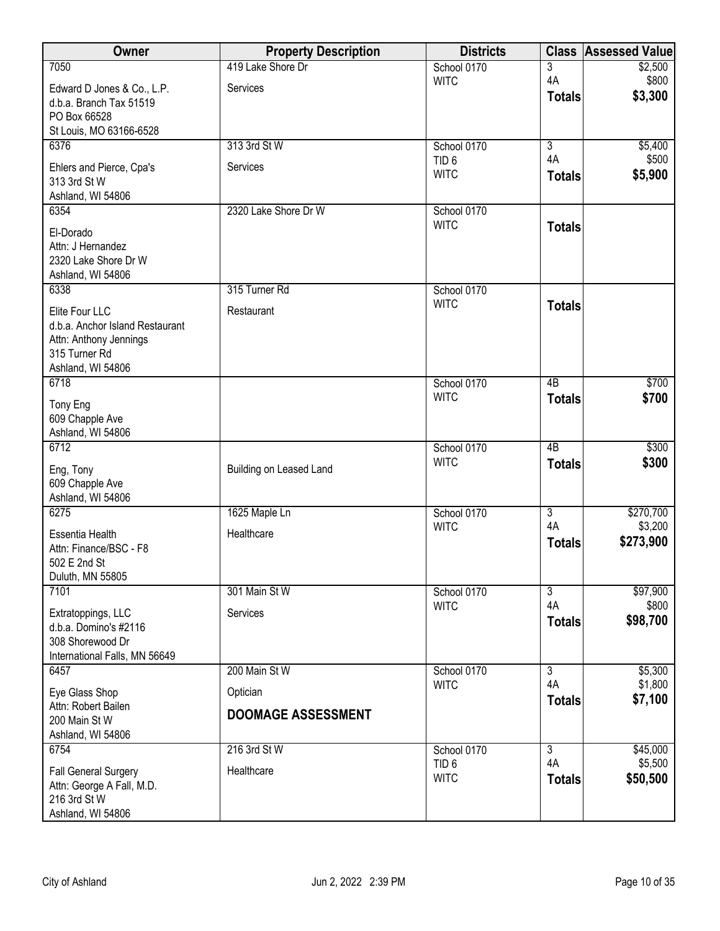| Owner                                             | <b>Property Description</b> | <b>Districts</b>                |                      | <b>Class Assessed Value</b> |
|---------------------------------------------------|-----------------------------|---------------------------------|----------------------|-----------------------------|
| 7050                                              | 419 Lake Shore Dr           | School 0170                     | 3                    | \$2,500                     |
| Edward D Jones & Co., L.P.                        | Services                    | <b>WITC</b>                     | 4A                   | \$800<br>\$3,300            |
| d.b.a. Branch Tax 51519                           |                             |                                 | <b>Totals</b>        |                             |
| PO Box 66528<br>St Louis, MO 63166-6528           |                             |                                 |                      |                             |
| 6376                                              | 313 3rd St W                | School 0170                     | $\overline{3}$       | \$5,400                     |
|                                                   |                             | TID <sub>6</sub>                | 4A                   | \$500                       |
| Ehlers and Pierce, Cpa's<br>313 3rd St W          | Services                    | <b>WITC</b>                     | <b>Totals</b>        | \$5,900                     |
| Ashland, WI 54806                                 |                             |                                 |                      |                             |
| 6354                                              | 2320 Lake Shore Dr W        | School 0170                     |                      |                             |
| El-Dorado                                         |                             | <b>WITC</b>                     | <b>Totals</b>        |                             |
| Attn: J Hernandez                                 |                             |                                 |                      |                             |
| 2320 Lake Shore Dr W                              |                             |                                 |                      |                             |
| Ashland, WI 54806<br>6338                         | 315 Turner Rd               | School 0170                     |                      |                             |
|                                                   |                             | <b>WITC</b>                     | <b>Totals</b>        |                             |
| Elite Four LLC<br>d.b.a. Anchor Island Restaurant | Restaurant                  |                                 |                      |                             |
| Attn: Anthony Jennings                            |                             |                                 |                      |                             |
| 315 Turner Rd                                     |                             |                                 |                      |                             |
| Ashland, WI 54806                                 |                             |                                 |                      |                             |
| 6718                                              |                             | School 0170                     | $\overline{AB}$      | \$700                       |
| Tony Eng                                          |                             | <b>WITC</b>                     | <b>Totals</b>        | \$700                       |
| 609 Chapple Ave                                   |                             |                                 |                      |                             |
| Ashland, WI 54806<br>6712                         |                             | School 0170                     | $\overline{AB}$      | \$300                       |
|                                                   |                             | <b>WITC</b>                     | <b>Totals</b>        | \$300                       |
| Eng, Tony                                         | Building on Leased Land     |                                 |                      |                             |
| 609 Chapple Ave<br>Ashland, WI 54806              |                             |                                 |                      |                             |
| 6275                                              | 1625 Maple Ln               | School 0170                     | $\overline{3}$       | \$270,700                   |
| Essentia Health                                   | Healthcare                  | <b>WITC</b>                     | 4A                   | \$3,200                     |
| Attn: Finance/BSC - F8                            |                             |                                 | <b>Totals</b>        | \$273,900                   |
| 502 E 2nd St                                      |                             |                                 |                      |                             |
| Duluth, MN 55805                                  |                             |                                 |                      |                             |
| 7101                                              | 301 Main St W               | School 0170                     | $\overline{3}$<br>4A | \$97,900<br>\$800           |
| Extratoppings, LLC                                | Services                    | <b>WITC</b>                     | <b>Totals</b>        | \$98,700                    |
| d.b.a. Domino's #2116                             |                             |                                 |                      |                             |
| 308 Shorewood Dr<br>International Falls, MN 56649 |                             |                                 |                      |                             |
| 6457                                              | 200 Main St W               | School 0170                     | $\overline{3}$       | \$5,300                     |
| Eye Glass Shop                                    | Optician                    | <b>WITC</b>                     | 4A                   | \$1,800                     |
| Attn: Robert Bailen                               |                             |                                 | <b>Totals</b>        | \$7,100                     |
| 200 Main St W                                     | <b>DOOMAGE ASSESSMENT</b>   |                                 |                      |                             |
| Ashland, WI 54806                                 |                             |                                 |                      |                             |
| 6754                                              | 216 3rd St W                | School 0170                     | $\overline{3}$       | \$45,000                    |
| <b>Fall General Surgery</b>                       | Healthcare                  | TID <sub>6</sub><br><b>WITC</b> | 4A<br><b>Totals</b>  | \$5,500<br>\$50,500         |
| Attn: George A Fall, M.D.                         |                             |                                 |                      |                             |
| 216 3rd St W<br>Ashland, WI 54806                 |                             |                                 |                      |                             |
|                                                   |                             |                                 |                      |                             |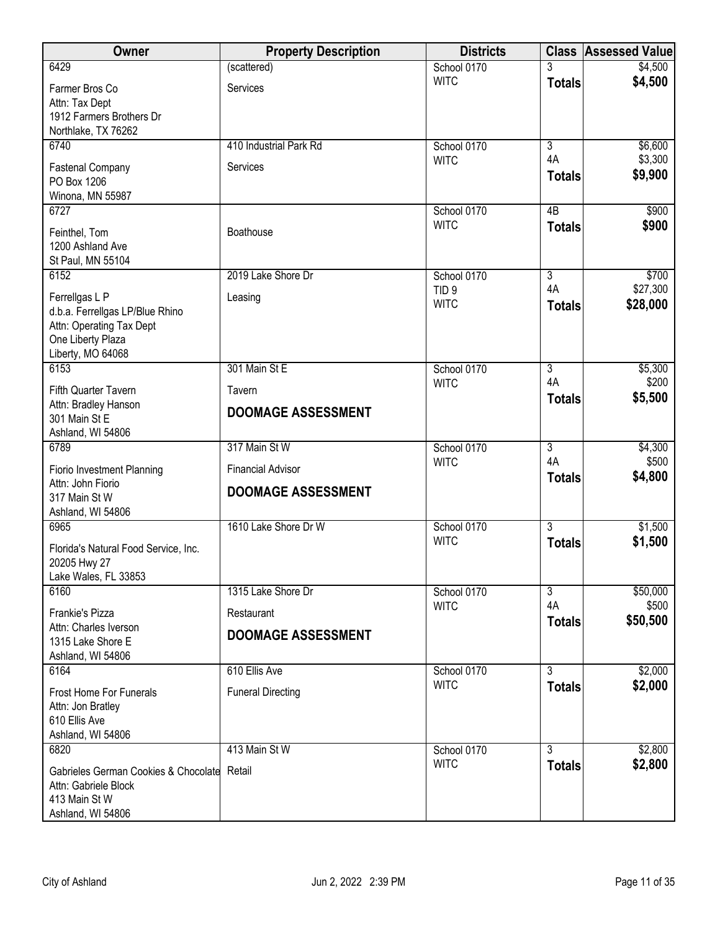| Owner                                                                                                                   | <b>Property Description</b> | <b>Districts</b>                |                      | <b>Class Assessed Value</b> |
|-------------------------------------------------------------------------------------------------------------------------|-----------------------------|---------------------------------|----------------------|-----------------------------|
| 6429                                                                                                                    | (scattered)                 | School 0170                     | 3                    | \$4,500                     |
| Farmer Bros Co<br>Attn: Tax Dept<br>1912 Farmers Brothers Dr<br>Northlake, TX 76262                                     | Services                    | <b>WITC</b>                     | <b>Totals</b>        | \$4,500                     |
| 6740                                                                                                                    | 410 Industrial Park Rd      | School 0170                     | $\overline{3}$       | \$6,600                     |
| <b>Fastenal Company</b><br>PO Box 1206<br>Winona, MN 55987                                                              | Services                    | <b>WITC</b>                     | 4A<br><b>Totals</b>  | \$3,300<br>\$9,900          |
| 6727<br>Feinthel, Tom<br>1200 Ashland Ave<br>St Paul, MN 55104                                                          | Boathouse                   | School 0170<br><b>WITC</b>      | 4B<br><b>Totals</b>  | \$900<br>\$900              |
| 6152                                                                                                                    | 2019 Lake Shore Dr          | School 0170                     | $\overline{3}$<br>4A | \$700                       |
| Ferrellgas L P<br>d.b.a. Ferrellgas LP/Blue Rhino<br>Attn: Operating Tax Dept<br>One Liberty Plaza<br>Liberty, MO 64068 | Leasing                     | TID <sub>9</sub><br><b>WITC</b> | <b>Totals</b>        | \$27,300<br>\$28,000        |
| 6153                                                                                                                    | 301 Main St E               | School 0170                     | $\overline{3}$       | \$5,300                     |
| Fifth Quarter Tavern                                                                                                    | Tavern                      | <b>WITC</b>                     | 4A<br><b>Totals</b>  | \$200<br>\$5,500            |
| Attn: Bradley Hanson<br>301 Main St E<br>Ashland, WI 54806                                                              | <b>DOOMAGE ASSESSMENT</b>   |                                 |                      |                             |
| 6789                                                                                                                    | 317 Main St W               | School 0170                     | $\overline{3}$       | \$4,300                     |
| Fiorio Investment Planning                                                                                              | <b>Financial Advisor</b>    | <b>WITC</b>                     | 4A                   | \$500<br>\$4,800            |
| Attn: John Fiorio<br>317 Main St W<br>Ashland, WI 54806                                                                 | <b>DOOMAGE ASSESSMENT</b>   |                                 | <b>Totals</b>        |                             |
| 6965                                                                                                                    | 1610 Lake Shore Dr W        | School 0170                     | $\overline{3}$       | \$1,500                     |
| Florida's Natural Food Service, Inc.<br>20205 Hwy 27<br>Lake Wales, FL 33853                                            |                             | <b>WITC</b>                     | <b>Totals</b>        | \$1,500                     |
| 6160                                                                                                                    | 1315 Lake Shore Dr          | School 0170                     | $\overline{3}$       | \$50,000                    |
| Frankie's Pizza                                                                                                         | Restaurant                  | <b>WITC</b>                     | 4A                   | \$500                       |
| Attn: Charles Iverson<br>1315 Lake Shore E<br>Ashland, WI 54806                                                         | <b>DOOMAGE ASSESSMENT</b>   |                                 | <b>Totals</b>        | \$50,500                    |
| 6164                                                                                                                    | 610 Ellis Ave               | School 0170                     | $\overline{3}$       | \$2,000                     |
| <b>Frost Home For Funerals</b><br>Attn: Jon Bratley<br>610 Ellis Ave<br>Ashland, WI 54806                               | <b>Funeral Directing</b>    | <b>WITC</b>                     | <b>Totals</b>        | \$2,000                     |
| 6820                                                                                                                    | 413 Main St W               | School 0170                     | $\overline{3}$       | \$2,800                     |
| Gabrieles German Cookies & Chocolate Retail<br>Attn: Gabriele Block<br>413 Main St W<br>Ashland, WI 54806               |                             | <b>WITC</b>                     | <b>Totals</b>        | \$2,800                     |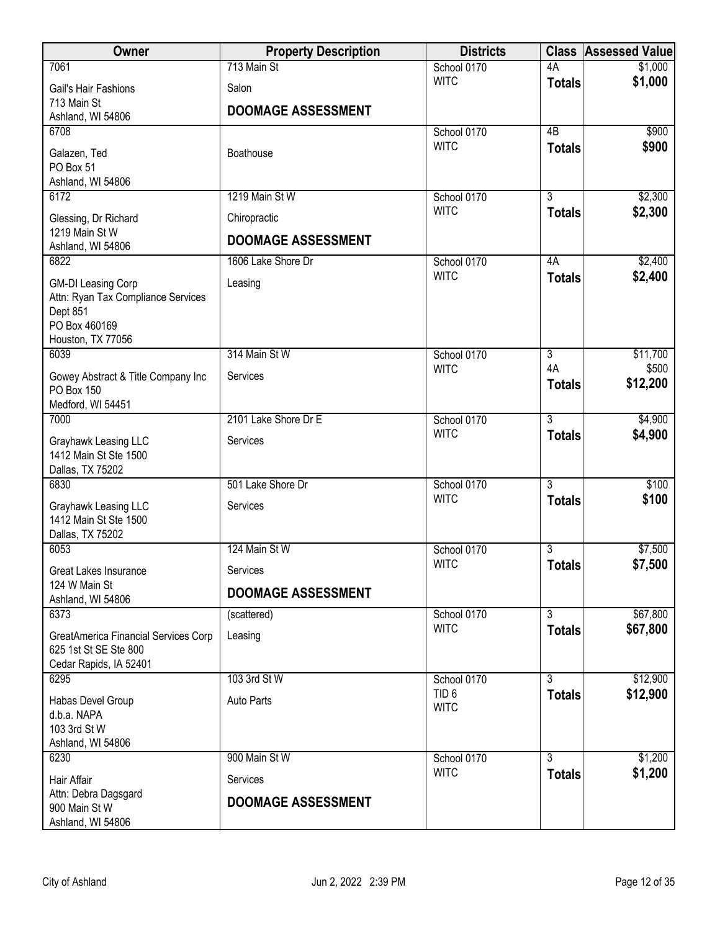| Owner                                                           | <b>Property Description</b> | <b>Districts</b>                |                      | <b>Class Assessed Value</b> |
|-----------------------------------------------------------------|-----------------------------|---------------------------------|----------------------|-----------------------------|
| 7061                                                            | 713 Main St                 | School 0170                     | 4A                   | \$1,000                     |
| Gail's Hair Fashions                                            | Salon                       | <b>WITC</b>                     | <b>Totals</b>        | \$1,000                     |
| 713 Main St                                                     | <b>DOOMAGE ASSESSMENT</b>   |                                 |                      |                             |
| Ashland, WI 54806<br>6708                                       |                             | School 0170                     | 4B                   | \$900                       |
|                                                                 |                             | <b>WITC</b>                     | <b>Totals</b>        | \$900                       |
| Galazen, Ted<br>PO Box 51                                       | Boathouse                   |                                 |                      |                             |
| Ashland, WI 54806                                               |                             |                                 |                      |                             |
| 6172                                                            | 1219 Main St W              | School 0170                     | $\overline{3}$       | \$2,300                     |
| Glessing, Dr Richard                                            | Chiropractic                | <b>WITC</b>                     | <b>Totals</b>        | \$2,300                     |
| 1219 Main St W                                                  | <b>DOOMAGE ASSESSMENT</b>   |                                 |                      |                             |
| Ashland, WI 54806<br>6822                                       | 1606 Lake Shore Dr          | School 0170                     | 4A                   | \$2,400                     |
|                                                                 |                             | <b>WITC</b>                     | <b>Totals</b>        | \$2,400                     |
| <b>GM-DI Leasing Corp</b><br>Attn: Ryan Tax Compliance Services | Leasing                     |                                 |                      |                             |
| Dept 851                                                        |                             |                                 |                      |                             |
| PO Box 460169                                                   |                             |                                 |                      |                             |
| Houston, TX 77056                                               |                             |                                 |                      |                             |
| 6039                                                            | 314 Main St W               | School 0170<br><b>WITC</b>      | $\overline{3}$<br>4A | \$11,700<br>\$500           |
| Gowey Abstract & Title Company Inc                              | Services                    |                                 | <b>Totals</b>        | \$12,200                    |
| <b>PO Box 150</b>                                               |                             |                                 |                      |                             |
| Medford, WI 54451<br>7000                                       | 2101 Lake Shore Dr E        | School 0170                     | $\overline{3}$       | \$4,900                     |
|                                                                 | Services                    | <b>WITC</b>                     | <b>Totals</b>        | \$4,900                     |
| Grayhawk Leasing LLC<br>1412 Main St Ste 1500                   |                             |                                 |                      |                             |
| Dallas, TX 75202                                                |                             |                                 |                      |                             |
| 6830                                                            | 501 Lake Shore Dr           | School 0170                     | $\overline{3}$       | \$100                       |
| Grayhawk Leasing LLC                                            | Services                    | <b>WITC</b>                     | <b>Totals</b>        | \$100                       |
| 1412 Main St Ste 1500                                           |                             |                                 |                      |                             |
| Dallas, TX 75202<br>6053                                        | 124 Main St W               | School 0170                     | 3                    | \$7,500                     |
|                                                                 |                             | <b>WITC</b>                     | <b>Totals</b>        | \$7,500                     |
| Great Lakes Insurance<br>124 W Main St                          | Services                    |                                 |                      |                             |
| Ashland, WI 54806                                               | <b>DOOMAGE ASSESSMENT</b>   |                                 |                      |                             |
| 6373                                                            | (scattered)                 | School 0170                     | $\overline{3}$       | \$67,800                    |
| GreatAmerica Financial Services Corp                            | Leasing                     | <b>WITC</b>                     | <b>Totals</b>        | \$67,800                    |
| 625 1st St SE Ste 800                                           |                             |                                 |                      |                             |
| Cedar Rapids, IA 52401                                          | 103 3rd St W                |                                 |                      |                             |
| 6295                                                            |                             | School 0170<br>TID <sub>6</sub> | 3<br><b>Totals</b>   | \$12,900<br>\$12,900        |
| Habas Devel Group                                               | <b>Auto Parts</b>           | <b>WITC</b>                     |                      |                             |
| d.b.a. NAPA<br>103 3rd St W                                     |                             |                                 |                      |                             |
| Ashland, WI 54806                                               |                             |                                 |                      |                             |
| 6230                                                            | 900 Main St W               | School 0170                     | $\overline{3}$       | \$1,200                     |
| Hair Affair                                                     | Services                    | <b>WITC</b>                     | <b>Totals</b>        | \$1,200                     |
| Attn: Debra Dagsgard                                            | <b>DOOMAGE ASSESSMENT</b>   |                                 |                      |                             |
| 900 Main St W<br>Ashland, WI 54806                              |                             |                                 |                      |                             |
|                                                                 |                             |                                 |                      |                             |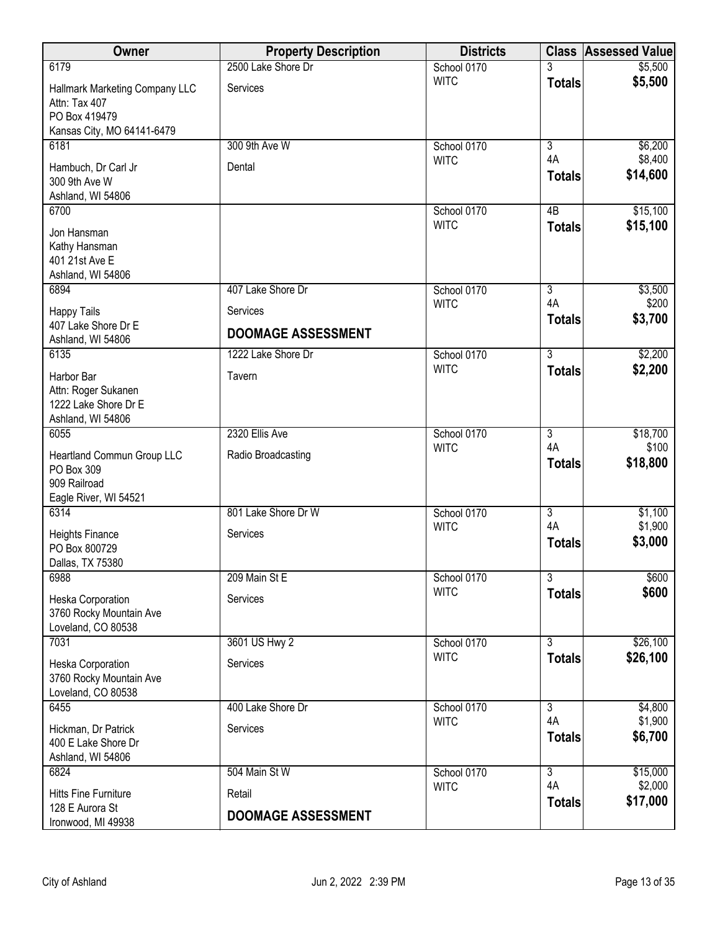| Owner                                                                                          | <b>Property Description</b> | <b>Districts</b>           |                      | <b>Class Assessed Value</b> |
|------------------------------------------------------------------------------------------------|-----------------------------|----------------------------|----------------------|-----------------------------|
| 6179                                                                                           | 2500 Lake Shore Dr          | School 0170                |                      | \$5,500                     |
| Hallmark Marketing Company LLC<br>Attn: Tax 407<br>PO Box 419479<br>Kansas City, MO 64141-6479 | Services                    | <b>WITC</b>                | <b>Totals</b>        | \$5,500                     |
| 6181                                                                                           | 300 9th Ave W               | School 0170                | $\overline{3}$       | \$6,200                     |
| Hambuch, Dr Carl Jr<br>300 9th Ave W<br>Ashland, WI 54806                                      | Dental                      | <b>WITC</b>                | 4A<br><b>Totals</b>  | \$8,400<br>\$14,600         |
| 6700<br>Jon Hansman<br>Kathy Hansman                                                           |                             | School 0170<br><b>WITC</b> | 4B<br><b>Totals</b>  | \$15,100<br>\$15,100        |
| 401 21st Ave E<br>Ashland, WI 54806                                                            | 407 Lake Shore Dr           |                            |                      |                             |
| 6894                                                                                           |                             | School 0170<br><b>WITC</b> | $\overline{3}$<br>4A | \$3,500<br>\$200            |
| <b>Happy Tails</b>                                                                             | Services                    |                            | <b>Totals</b>        | \$3,700                     |
| 407 Lake Shore Dr E<br>Ashland, WI 54806                                                       | <b>DOOMAGE ASSESSMENT</b>   |                            |                      |                             |
| 6135                                                                                           | 1222 Lake Shore Dr          | School 0170                | $\overline{3}$       | \$2,200                     |
| Harbor Bar<br>Attn: Roger Sukanen<br>1222 Lake Shore Dr E<br>Ashland, WI 54806                 | Tavern                      | <b>WITC</b>                | <b>Totals</b>        | \$2,200                     |
| 6055                                                                                           | 2320 Ellis Ave              | School 0170                | $\overline{3}$       | \$18,700                    |
| Heartland Commun Group LLC<br>PO Box 309<br>909 Railroad<br>Eagle River, WI 54521              | Radio Broadcasting          | <b>WITC</b>                | 4A<br><b>Totals</b>  | \$100<br>\$18,800           |
| 6314                                                                                           | 801 Lake Shore Dr W         | School 0170                | $\overline{3}$       | \$1,100                     |
| <b>Heights Finance</b><br>PO Box 800729<br>Dallas, TX 75380                                    | Services                    | <b>WITC</b>                | 4A<br><b>Totals</b>  | \$1,900<br>\$3,000          |
| 6988                                                                                           | 209 Main St E               | School 0170                | $\overline{3}$       | \$600                       |
| Heska Corporation<br>3760 Rocky Mountain Ave<br>Loveland, CO 80538                             | Services                    | <b>WITC</b>                | <b>Totals</b>        | \$600                       |
| 7031                                                                                           | 3601 US Hwy 2               | School 0170                | $\overline{3}$       | \$26,100                    |
| Heska Corporation<br>3760 Rocky Mountain Ave<br>Loveland, CO 80538                             | Services                    | <b>WITC</b>                | <b>Totals</b>        | \$26,100                    |
| 6455                                                                                           | 400 Lake Shore Dr           | School 0170                | $\overline{3}$       | \$4,800                     |
| Hickman, Dr Patrick<br>400 E Lake Shore Dr<br>Ashland, WI 54806                                | Services                    | <b>WITC</b>                | 4A<br><b>Totals</b>  | \$1,900<br>\$6,700          |
| 6824                                                                                           | 504 Main St W               | School 0170                | $\overline{3}$       | \$15,000                    |
| <b>Hitts Fine Furniture</b>                                                                    | Retail                      | <b>WITC</b>                | 4A<br><b>Totals</b>  | \$2,000<br>\$17,000         |
| 128 E Aurora St<br>Ironwood, MI 49938                                                          | <b>DOOMAGE ASSESSMENT</b>   |                            |                      |                             |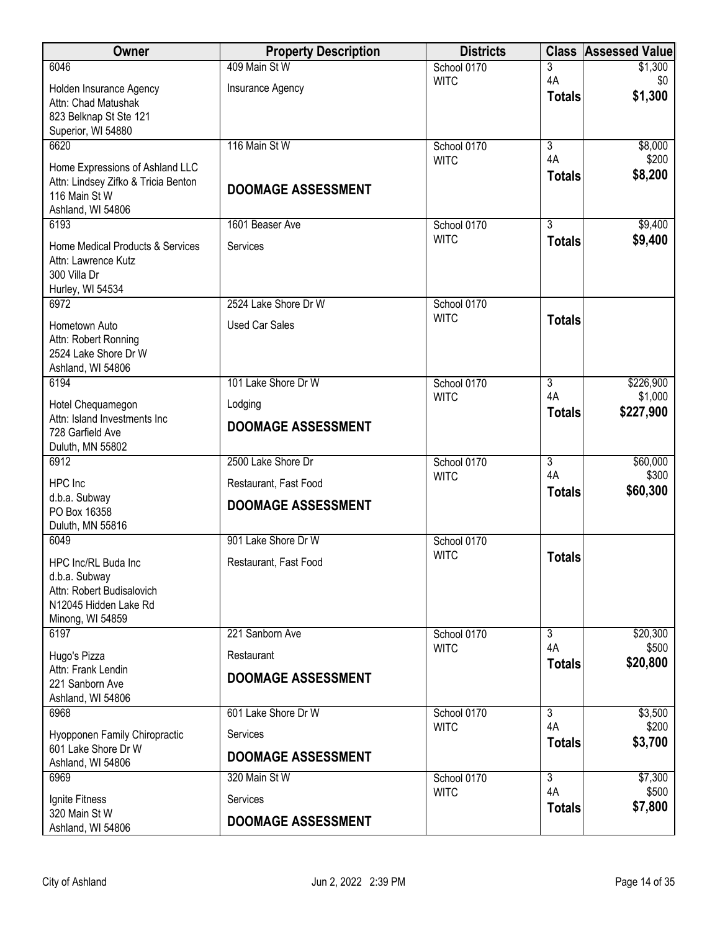| Owner                                                | <b>Property Description</b> | <b>Districts</b>           |                     | <b>Class Assessed Value</b> |
|------------------------------------------------------|-----------------------------|----------------------------|---------------------|-----------------------------|
| 6046                                                 | 409 Main St W               | School 0170                | 3                   | \$1,300                     |
| Holden Insurance Agency                              | Insurance Agency            | <b>WITC</b>                | 4A<br><b>Totals</b> | \$0<br>\$1,300              |
| Attn: Chad Matushak                                  |                             |                            |                     |                             |
| 823 Belknap St Ste 121<br>Superior, WI 54880         |                             |                            |                     |                             |
| 6620                                                 | 116 Main St W               | School 0170                | $\overline{3}$      | \$8,000                     |
| Home Expressions of Ashland LLC                      |                             | <b>WITC</b>                | 4A                  | \$200                       |
| Attn: Lindsey Zifko & Tricia Benton                  | <b>DOOMAGE ASSESSMENT</b>   |                            | <b>Totals</b>       | \$8,200                     |
| 116 Main St W                                        |                             |                            |                     |                             |
| Ashland, WI 54806<br>6193                            | 1601 Beaser Ave             | School 0170                | $\overline{3}$      | \$9,400                     |
| Home Medical Products & Services                     | Services                    | <b>WITC</b>                | <b>Totals</b>       | \$9,400                     |
| Attn: Lawrence Kutz                                  |                             |                            |                     |                             |
| 300 Villa Dr                                         |                             |                            |                     |                             |
| Hurley, WI 54534                                     |                             |                            |                     |                             |
| 6972                                                 | 2524 Lake Shore Dr W        | School 0170<br><b>WITC</b> | <b>Totals</b>       |                             |
| Hometown Auto<br>Attn: Robert Ronning                | <b>Used Car Sales</b>       |                            |                     |                             |
| 2524 Lake Shore Dr W                                 |                             |                            |                     |                             |
| Ashland, WI 54806                                    |                             |                            |                     |                             |
| 6194                                                 | 101 Lake Shore Dr W         | School 0170                | $\overline{3}$      | \$226,900                   |
| Hotel Chequamegon                                    | Lodging                     | <b>WITC</b>                | 4A<br><b>Totals</b> | \$1,000<br>\$227,900        |
| Attn: Island Investments Inc<br>728 Garfield Ave     | <b>DOOMAGE ASSESSMENT</b>   |                            |                     |                             |
| Duluth, MN 55802                                     |                             |                            |                     |                             |
| 6912                                                 | 2500 Lake Shore Dr          | School 0170                | $\overline{3}$      | \$60,000                    |
| HPC Inc                                              | Restaurant, Fast Food       | <b>WITC</b>                | 4A                  | \$300                       |
| d.b.a. Subway                                        | <b>DOOMAGE ASSESSMENT</b>   |                            | <b>Totals</b>       | \$60,300                    |
| PO Box 16358<br>Duluth, MN 55816                     |                             |                            |                     |                             |
| 6049                                                 | 901 Lake Shore Dr W         | School 0170                |                     |                             |
| HPC Inc/RL Buda Inc                                  | Restaurant, Fast Food       | <b>WITC</b>                | <b>Totals</b>       |                             |
| d.b.a. Subway                                        |                             |                            |                     |                             |
| Attn: Robert Budisalovich                            |                             |                            |                     |                             |
| N12045 Hidden Lake Rd<br>Minong, WI 54859            |                             |                            |                     |                             |
| 6197                                                 | 221 Sanborn Ave             | School 0170                | $\overline{3}$      | \$20,300                    |
| Hugo's Pizza                                         | Restaurant                  | <b>WITC</b>                | 4A                  | \$500                       |
| Attn: Frank Lendin                                   | <b>DOOMAGE ASSESSMENT</b>   |                            | <b>Totals</b>       | \$20,800                    |
| 221 Sanborn Ave                                      |                             |                            |                     |                             |
| Ashland, WI 54806<br>6968                            | 601 Lake Shore Dr W         | School 0170                | $\overline{3}$      | \$3,500                     |
|                                                      |                             | <b>WITC</b>                | 4A                  | \$200                       |
| Hyopponen Family Chiropractic<br>601 Lake Shore Dr W | Services                    |                            | <b>Totals</b>       | \$3,700                     |
| Ashland, WI 54806                                    | <b>DOOMAGE ASSESSMENT</b>   |                            |                     |                             |
| 6969                                                 | 320 Main St W               | School 0170                | $\overline{3}$      | \$7,300                     |
| Ignite Fitness                                       | Services                    | <b>WITC</b>                | 4A<br><b>Totals</b> | \$500<br>\$7,800            |
| 320 Main St W<br>Ashland, WI 54806                   | <b>DOOMAGE ASSESSMENT</b>   |                            |                     |                             |
|                                                      |                             |                            |                     |                             |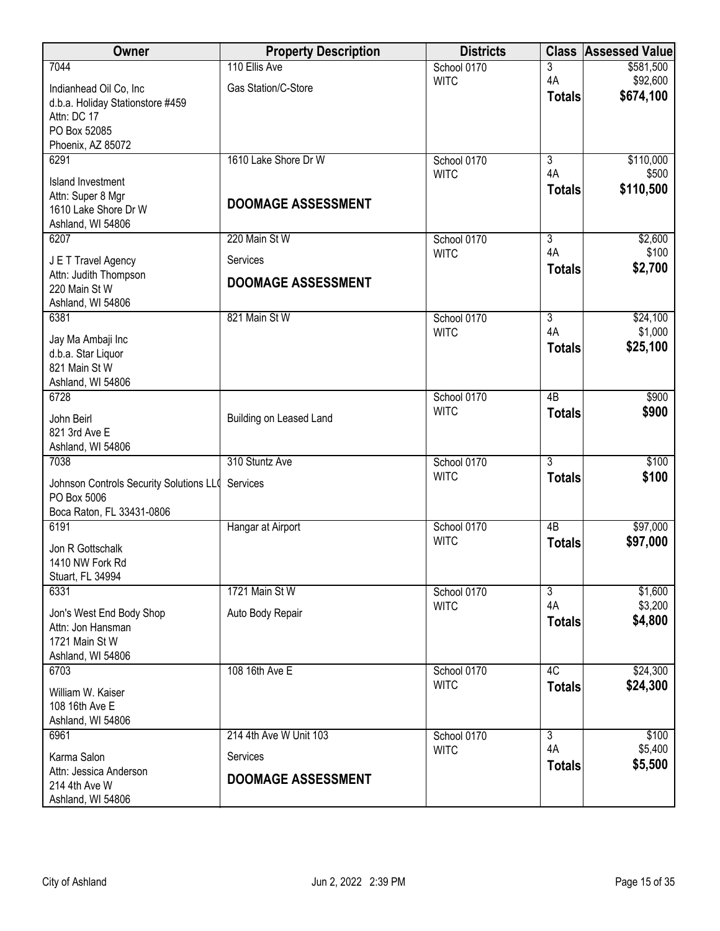| Owner                                   | <b>Property Description</b> | <b>Districts</b>           | <b>Class</b>        | <b>Assessed Value</b> |
|-----------------------------------------|-----------------------------|----------------------------|---------------------|-----------------------|
| 7044                                    | 110 Ellis Ave               | School 0170                | 3                   | \$581,500             |
| Indianhead Oil Co, Inc                  | Gas Station/C-Store         | <b>WITC</b>                | 4A<br><b>Totals</b> | \$92,600<br>\$674,100 |
| d.b.a. Holiday Stationstore #459        |                             |                            |                     |                       |
| Attn: DC 17<br>PO Box 52085             |                             |                            |                     |                       |
| Phoenix, AZ 85072                       |                             |                            |                     |                       |
| 6291                                    | 1610 Lake Shore Dr W        | School 0170                | $\overline{3}$      | \$110,000             |
| <b>Island Investment</b>                |                             | <b>WITC</b>                | 4A                  | \$500                 |
| Attn: Super 8 Mgr                       |                             |                            | <b>Totals</b>       | \$110,500             |
| 1610 Lake Shore Dr W                    | <b>DOOMAGE ASSESSMENT</b>   |                            |                     |                       |
| Ashland, WI 54806<br>6207               | 220 Main St W               | School 0170                | $\overline{3}$      | \$2,600               |
|                                         |                             | <b>WITC</b>                | 4A                  | \$100                 |
| J E T Travel Agency                     | Services                    |                            | <b>Totals</b>       | \$2,700               |
| Attn: Judith Thompson<br>220 Main St W  | <b>DOOMAGE ASSESSMENT</b>   |                            |                     |                       |
| Ashland, WI 54806                       |                             |                            |                     |                       |
| 6381                                    | 821 Main St W               | School 0170                | $\overline{3}$      | \$24,100              |
| Jay Ma Ambaji Inc                       |                             | <b>WITC</b>                | 4A                  | \$1,000               |
| d.b.a. Star Liquor                      |                             |                            | <b>Totals</b>       | \$25,100              |
| 821 Main St W                           |                             |                            |                     |                       |
| Ashland, WI 54806<br>6728               |                             | School 0170                | $\overline{AB}$     | \$900                 |
|                                         |                             | <b>WITC</b>                | <b>Totals</b>       | \$900                 |
| John Beirl<br>821 3rd Ave E             | Building on Leased Land     |                            |                     |                       |
| Ashland, WI 54806                       |                             |                            |                     |                       |
| 7038                                    | 310 Stuntz Ave              | School 0170                | $\overline{3}$      | \$100                 |
| Johnson Controls Security Solutions LLO | Services                    | <b>WITC</b>                | <b>Totals</b>       | \$100                 |
| PO Box 5006                             |                             |                            |                     |                       |
| Boca Raton, FL 33431-0806               |                             |                            |                     |                       |
| 6191                                    | Hangar at Airport           | School 0170<br><b>WITC</b> | $\overline{AB}$     | \$97,000<br>\$97,000  |
| Jon R Gottschalk                        |                             |                            | <b>Totals</b>       |                       |
| 1410 NW Fork Rd<br>Stuart, FL 34994     |                             |                            |                     |                       |
| 6331                                    | 1721 Main St W              | School 0170                | $\overline{3}$      | \$1,600               |
| Jon's West End Body Shop                | Auto Body Repair            | <b>WITC</b>                | 4A                  | \$3,200               |
| Attn: Jon Hansman                       |                             |                            | <b>Totals</b>       | \$4,800               |
| 1721 Main St W                          |                             |                            |                     |                       |
| Ashland, WI 54806                       |                             |                            |                     |                       |
| 6703                                    | 108 16th Ave E              | School 0170<br><b>WITC</b> | 4C<br><b>Totals</b> | \$24,300<br>\$24,300  |
| William W. Kaiser                       |                             |                            |                     |                       |
| 108 16th Ave E<br>Ashland, WI 54806     |                             |                            |                     |                       |
| 6961                                    | 214 4th Ave W Unit 103      | School 0170                | $\overline{3}$      | \$100                 |
| Karma Salon                             | <b>Services</b>             | <b>WITC</b>                | 4A                  | \$5,400               |
| Attn: Jessica Anderson                  |                             |                            | <b>Totals</b>       | \$5,500               |
| 214 4th Ave W                           | <b>DOOMAGE ASSESSMENT</b>   |                            |                     |                       |
| Ashland, WI 54806                       |                             |                            |                     |                       |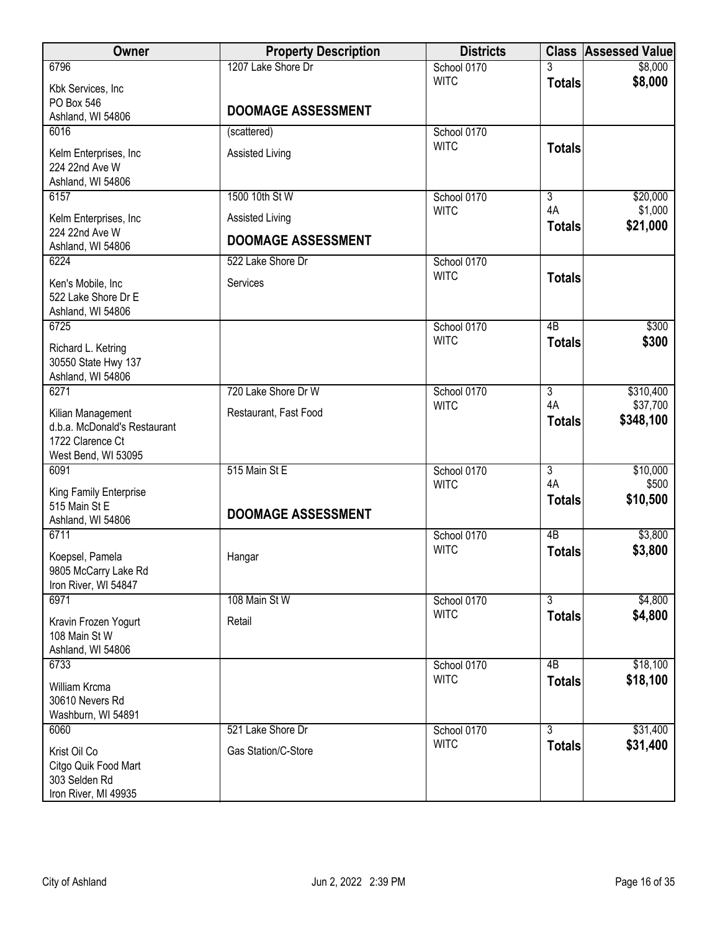| Owner                                                                                        | <b>Property Description</b> | <b>Districts</b> |                     | <b>Class Assessed Value</b> |
|----------------------------------------------------------------------------------------------|-----------------------------|------------------|---------------------|-----------------------------|
| 6796                                                                                         | 1207 Lake Shore Dr          | School 0170      | 3                   | \$8,000                     |
| Kbk Services, Inc<br>PO Box 546                                                              |                             | <b>WITC</b>      | <b>Totals</b>       | \$8,000                     |
| Ashland, WI 54806                                                                            | <b>DOOMAGE ASSESSMENT</b>   |                  |                     |                             |
| 6016                                                                                         | (scattered)                 | School 0170      |                     |                             |
| Kelm Enterprises, Inc<br>224 22nd Ave W                                                      | <b>Assisted Living</b>      | <b>WITC</b>      | <b>Totals</b>       |                             |
| Ashland, WI 54806<br>6157                                                                    | 1500 10th St W              | School 0170      | $\overline{3}$      | \$20,000                    |
| Kelm Enterprises, Inc                                                                        | Assisted Living             | <b>WITC</b>      | 4A<br><b>Totals</b> | \$1,000<br>\$21,000         |
| 224 22nd Ave W<br>Ashland, WI 54806                                                          | <b>DOOMAGE ASSESSMENT</b>   |                  |                     |                             |
| 6224                                                                                         | 522 Lake Shore Dr           | School 0170      |                     |                             |
| Ken's Mobile, Inc<br>522 Lake Shore Dr E<br>Ashland, WI 54806                                | Services                    | <b>WITC</b>      | <b>Totals</b>       |                             |
| 6725                                                                                         |                             | School 0170      | $\overline{AB}$     | \$300                       |
| Richard L. Ketring<br>30550 State Hwy 137<br>Ashland, WI 54806                               |                             | <b>WITC</b>      | <b>Totals</b>       | \$300                       |
| 6271                                                                                         | 720 Lake Shore Dr W         | School 0170      | $\overline{3}$      | \$310,400                   |
| Kilian Management<br>d.b.a. McDonald's Restaurant<br>1722 Clarence Ct<br>West Bend, WI 53095 | Restaurant, Fast Food       | <b>WITC</b>      | 4A<br><b>Totals</b> | \$37,700<br>\$348,100       |
| 6091                                                                                         | 515 Main St E               | School 0170      | $\overline{3}$      | \$10,000                    |
| King Family Enterprise<br>515 Main St E<br>Ashland, WI 54806                                 | <b>DOOMAGE ASSESSMENT</b>   | <b>WITC</b>      | 4A<br><b>Totals</b> | \$500<br>\$10,500           |
| 6711                                                                                         |                             | School 0170      | 4B                  | \$3,800                     |
| Koepsel, Pamela<br>9805 McCarry Lake Rd<br>Iron River, WI 54847                              | Hangar                      | <b>WITC</b>      | <b>Totals</b>       | \$3,800                     |
| 6971                                                                                         | 108 Main St W               | School 0170      | 3                   | \$4,800                     |
| Kravin Frozen Yogurt<br>108 Main St W<br>Ashland, WI 54806                                   | Retail                      | <b>WITC</b>      | <b>Totals</b>       | \$4,800                     |
| 6733                                                                                         |                             | School 0170      | $\overline{AB}$     | \$18,100                    |
| William Krcma<br>30610 Nevers Rd<br>Washburn, WI 54891                                       |                             | <b>WITC</b>      | <b>Totals</b>       | \$18,100                    |
| 6060                                                                                         | 521 Lake Shore Dr           | School 0170      | $\overline{3}$      | \$31,400                    |
| Krist Oil Co<br>Citgo Quik Food Mart<br>303 Selden Rd<br>Iron River, MI 49935                | Gas Station/C-Store         | <b>WITC</b>      | <b>Totals</b>       | \$31,400                    |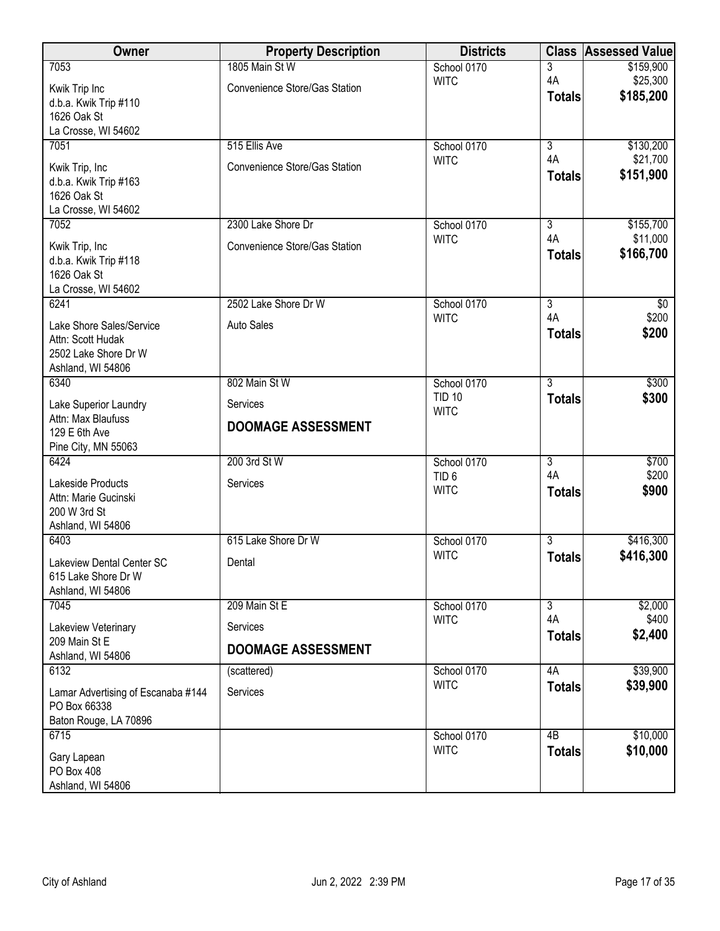| Owner                                                   | <b>Property Description</b>   | <b>Districts</b>             | <b>Class</b>                    | <b>Assessed Value</b> |
|---------------------------------------------------------|-------------------------------|------------------------------|---------------------------------|-----------------------|
| 7053                                                    | 1805 Main St W                | School 0170                  | 3                               | \$159,900             |
| Kwik Trip Inc                                           | Convenience Store/Gas Station | <b>WITC</b>                  | 4A                              | \$25,300<br>\$185,200 |
| d.b.a. Kwik Trip #110                                   |                               |                              | <b>Totals</b>                   |                       |
| 1626 Oak St<br>La Crosse, WI 54602                      |                               |                              |                                 |                       |
| 7051                                                    | 515 Ellis Ave                 | School 0170                  | $\overline{3}$                  | \$130,200             |
|                                                         | Convenience Store/Gas Station | <b>WITC</b>                  | 4A                              | \$21,700              |
| Kwik Trip, Inc<br>d.b.a. Kwik Trip #163                 |                               |                              | <b>Totals</b>                   | \$151,900             |
| 1626 Oak St                                             |                               |                              |                                 |                       |
| La Crosse, WI 54602                                     |                               |                              |                                 |                       |
| 7052                                                    | 2300 Lake Shore Dr            | School 0170                  | $\overline{3}$<br>4A            | \$155,700             |
| Kwik Trip, Inc                                          | Convenience Store/Gas Station | <b>WITC</b>                  | <b>Totals</b>                   | \$11,000<br>\$166,700 |
| d.b.a. Kwik Trip #118                                   |                               |                              |                                 |                       |
| 1626 Oak St<br>La Crosse, WI 54602                      |                               |                              |                                 |                       |
| 6241                                                    | 2502 Lake Shore Dr W          | School 0170                  | $\overline{3}$                  | \$0                   |
| Lake Shore Sales/Service                                | <b>Auto Sales</b>             | <b>WITC</b>                  | 4A                              | \$200                 |
| Attn: Scott Hudak                                       |                               |                              | <b>Totals</b>                   | \$200                 |
| 2502 Lake Shore Dr W                                    |                               |                              |                                 |                       |
| Ashland, WI 54806                                       |                               |                              |                                 |                       |
| 6340                                                    | 802 Main St W                 | School 0170<br><b>TID 10</b> | $\overline{3}$<br><b>Totals</b> | \$300<br>\$300        |
| Lake Superior Laundry                                   | Services                      | <b>WITC</b>                  |                                 |                       |
| Attn: Max Blaufuss<br>129 E 6th Ave                     | <b>DOOMAGE ASSESSMENT</b>     |                              |                                 |                       |
| Pine City, MN 55063                                     |                               |                              |                                 |                       |
| 6424                                                    | 200 3rd St W                  | School 0170                  | $\overline{3}$                  | \$700                 |
| Lakeside Products                                       | Services                      | TID <sub>6</sub>             | 4A                              | \$200                 |
| Attn: Marie Gucinski                                    |                               | <b>WITC</b>                  | <b>Totals</b>                   | \$900                 |
| 200 W 3rd St<br>Ashland, WI 54806                       |                               |                              |                                 |                       |
| 6403                                                    | 615 Lake Shore Dr W           | School 0170                  | $\overline{3}$                  | \$416,300             |
|                                                         |                               | <b>WITC</b>                  | <b>Totals</b>                   | \$416,300             |
| <b>Lakeview Dental Center SC</b><br>615 Lake Shore Dr W | Dental                        |                              |                                 |                       |
| Ashland, WI 54806                                       |                               |                              |                                 |                       |
| 7045                                                    | 209 Main St E                 | School 0170                  | $\overline{3}$                  | \$2,000               |
| Lakeview Veterinary                                     | Services                      | <b>WITC</b>                  | 4A                              | \$400                 |
| 209 Main St E                                           | <b>DOOMAGE ASSESSMENT</b>     |                              | <b>Totals</b>                   | \$2,400               |
| Ashland, WI 54806<br>6132                               |                               |                              | 4A                              | \$39,900              |
|                                                         | (scattered)                   | School 0170<br><b>WITC</b>   | <b>Totals</b>                   | \$39,900              |
| Lamar Advertising of Escanaba #144<br>PO Box 66338      | Services                      |                              |                                 |                       |
| Baton Rouge, LA 70896                                   |                               |                              |                                 |                       |
| 6715                                                    |                               | School 0170                  | $\overline{AB}$                 | \$10,000              |
| Gary Lapean                                             |                               | <b>WITC</b>                  | <b>Totals</b>                   | \$10,000              |
| PO Box 408                                              |                               |                              |                                 |                       |
| Ashland, WI 54806                                       |                               |                              |                                 |                       |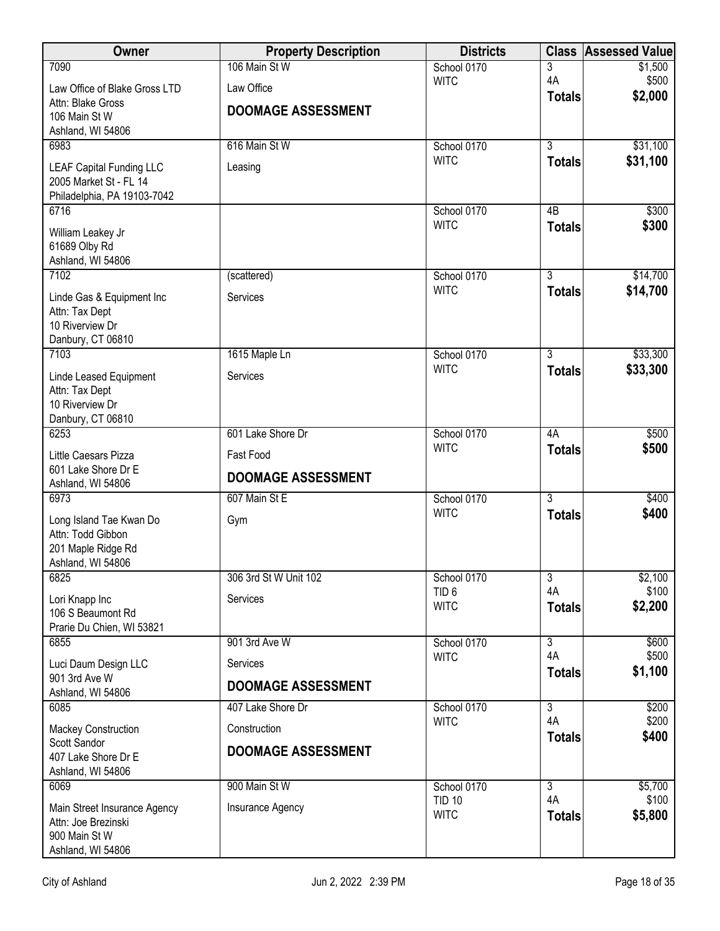| Owner                                                                                     | <b>Property Description</b> | <b>Districts</b>                |                     | <b>Class Assessed Value</b> |
|-------------------------------------------------------------------------------------------|-----------------------------|---------------------------------|---------------------|-----------------------------|
| 7090                                                                                      | 106 Main St W               | School 0170                     | 3                   | \$1,500                     |
| Law Office of Blake Gross LTD                                                             | Law Office                  | <b>WITC</b>                     | 4A<br><b>Totals</b> | \$500<br>\$2,000            |
| Attn: Blake Gross<br>106 Main St W<br>Ashland, WI 54806                                   | <b>DOOMAGE ASSESSMENT</b>   |                                 |                     |                             |
| 6983                                                                                      | 616 Main St W               | School 0170                     | $\overline{3}$      | \$31,100                    |
| <b>LEAF Capital Funding LLC</b><br>2005 Market St - FL 14<br>Philadelphia, PA 19103-7042  | Leasing                     | <b>WITC</b>                     | <b>Totals</b>       | \$31,100                    |
| 6716                                                                                      |                             | School 0170<br><b>WITC</b>      | 4B                  | \$300                       |
| William Leakey Jr<br>61689 Olby Rd<br>Ashland, WI 54806                                   |                             |                                 | <b>Totals</b>       | \$300                       |
| 7102                                                                                      | (scattered)                 | School 0170                     | $\overline{3}$      | \$14,700                    |
| Linde Gas & Equipment Inc<br>Attn: Tax Dept<br>10 Riverview Dr<br>Danbury, CT 06810       | Services                    | <b>WITC</b>                     | <b>Totals</b>       | \$14,700                    |
| 7103                                                                                      | 1615 Maple Ln               | School 0170                     | 3                   | \$33,300                    |
| Linde Leased Equipment<br>Attn: Tax Dept<br>10 Riverview Dr<br>Danbury, CT 06810          | Services                    | <b>WITC</b>                     | <b>Totals</b>       | \$33,300                    |
| 6253                                                                                      | 601 Lake Shore Dr           | School 0170                     | 4A                  | \$500                       |
| Little Caesars Pizza                                                                      | Fast Food                   | <b>WITC</b>                     | <b>Totals</b>       | \$500                       |
| 601 Lake Shore Dr E<br>Ashland, WI 54806                                                  | <b>DOOMAGE ASSESSMENT</b>   |                                 |                     |                             |
| 6973                                                                                      | 607 Main St E               | School 0170                     | $\overline{3}$      | \$400                       |
| Long Island Tae Kwan Do<br>Attn: Todd Gibbon<br>201 Maple Ridge Rd<br>Ashland, WI 54806   | Gym                         | <b>WITC</b>                     | <b>Totals</b>       | \$400                       |
| 6825                                                                                      | 306 3rd St W Unit 102       | School 0170                     | $\overline{3}$      | \$2,100                     |
| Lori Knapp Inc<br>106 S Beaumont Rd<br>Prarie Du Chien, WI 53821                          | Services                    | TID <sub>6</sub><br><b>WITC</b> | 4A<br><b>Totals</b> | \$100<br>\$2,200            |
| 6855                                                                                      | 901 3rd Ave W               | School 0170                     | $\overline{3}$      | \$600                       |
| Luci Daum Design LLC<br>901 3rd Ave W                                                     | Services                    | <b>WITC</b>                     | 4A<br><b>Totals</b> | \$500<br>\$1,100            |
| Ashland, WI 54806                                                                         | <b>DOOMAGE ASSESSMENT</b>   |                                 |                     |                             |
| 6085                                                                                      | 407 Lake Shore Dr           | School 0170                     | $\overline{3}$      | \$200                       |
| <b>Mackey Construction</b>                                                                | Construction                | <b>WITC</b>                     | 4A<br><b>Totals</b> | \$200<br>\$400              |
| Scott Sandor<br>407 Lake Shore Dr E<br>Ashland, WI 54806                                  | <b>DOOMAGE ASSESSMENT</b>   |                                 |                     |                             |
| 6069                                                                                      | 900 Main St W               | School 0170                     | $\overline{3}$      | \$5,700                     |
| Main Street Insurance Agency<br>Attn: Joe Brezinski<br>900 Main St W<br>Ashland, WI 54806 | Insurance Agency            | <b>TID 10</b><br><b>WITC</b>    | 4A<br><b>Totals</b> | \$100<br>\$5,800            |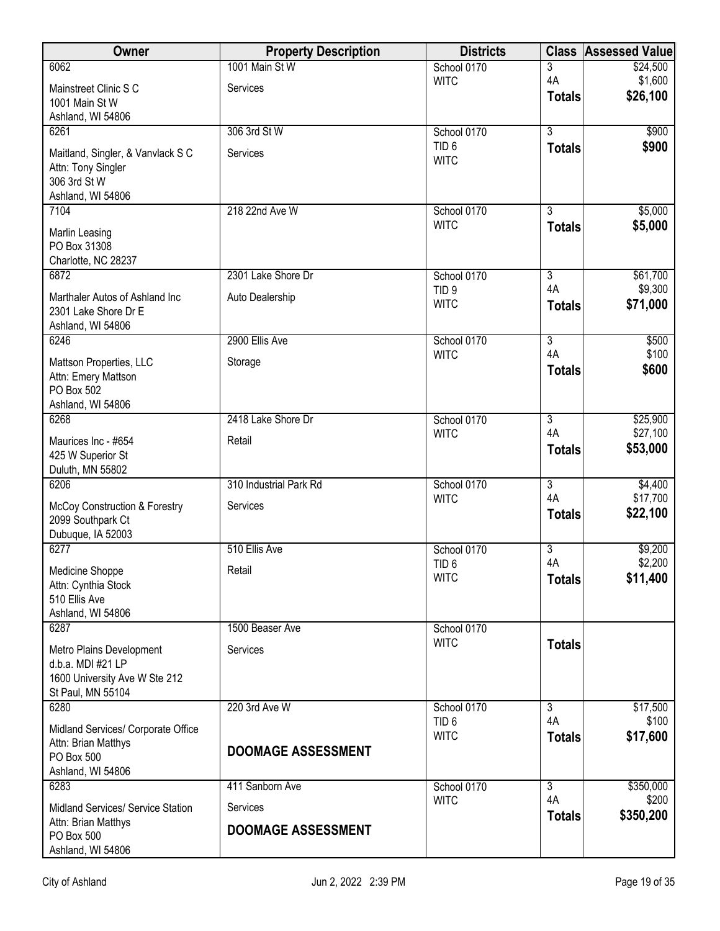| Owner                                                                                               | <b>Property Description</b> | <b>Districts</b>                |                      | <b>Class Assessed Value</b> |
|-----------------------------------------------------------------------------------------------------|-----------------------------|---------------------------------|----------------------|-----------------------------|
| 6062                                                                                                | 1001 Main St W              | School 0170                     | 3                    | \$24,500                    |
| Mainstreet Clinic S C<br>1001 Main St W<br>Ashland, WI 54806                                        | Services                    | <b>WITC</b>                     | 4A<br><b>Totals</b>  | \$1,600<br>\$26,100         |
| 6261                                                                                                | 306 3rd St W                | School 0170                     | $\overline{3}$       | \$900                       |
| Maitland, Singler, & Vanvlack S C<br>Attn: Tony Singler<br>306 3rd St W<br>Ashland, WI 54806        | Services                    | TID <sub>6</sub><br><b>WITC</b> | <b>Totals</b>        | \$900                       |
| 7104                                                                                                | 218 22nd Ave W              | School 0170                     | 3                    | \$5,000                     |
| Marlin Leasing<br>PO Box 31308<br>Charlotte, NC 28237                                               |                             | <b>WITC</b>                     | <b>Totals</b>        | \$5,000                     |
| 6872                                                                                                | 2301 Lake Shore Dr          | School 0170                     | $\overline{3}$       | \$61,700                    |
| Marthaler Autos of Ashland Inc<br>2301 Lake Shore Dr E<br>Ashland, WI 54806                         | Auto Dealership             | TID <sub>9</sub><br><b>WITC</b> | 4A<br><b>Totals</b>  | \$9,300<br>\$71,000         |
| 6246                                                                                                | 2900 Ellis Ave              | School 0170                     | $\overline{3}$       | \$500                       |
| Mattson Properties, LLC<br>Attn: Emery Mattson<br>PO Box 502<br>Ashland, WI 54806                   | Storage                     | <b>WITC</b>                     | 4A<br><b>Totals</b>  | \$100<br>\$600              |
| 6268                                                                                                | 2418 Lake Shore Dr          | School 0170                     | $\overline{3}$       | \$25,900                    |
| Maurices Inc - #654<br>425 W Superior St<br>Duluth, MN 55802                                        | Retail                      | <b>WITC</b>                     | 4A<br><b>Totals</b>  | \$27,100<br>\$53,000        |
| 6206                                                                                                | 310 Industrial Park Rd      | School 0170                     | $\overline{3}$       | \$4,400                     |
| McCoy Construction & Forestry<br>2099 Southpark Ct<br>Dubuque, IA 52003                             | Services                    | <b>WITC</b>                     | 4A<br><b>Totals</b>  | \$17,700<br>\$22,100        |
| 6277                                                                                                | 510 Ellis Ave               | School 0170                     | $\overline{3}$       | \$9,200                     |
| Medicine Shoppe<br>Attn: Cynthia Stock<br>510 Ellis Ave<br>Ashland, WI 54806                        | Retail                      | TID <sub>6</sub><br><b>WITC</b> | 4A<br><b>Totals</b>  | \$2,200<br>\$11,400         |
| 6287                                                                                                | 1500 Beaser Ave             | School 0170                     |                      |                             |
| Metro Plains Development<br>d.b.a. MDI #21 LP<br>1600 University Ave W Ste 212<br>St Paul, MN 55104 | Services                    | <b>WITC</b>                     | <b>Totals</b>        |                             |
| 6280                                                                                                | 220 3rd Ave W               | School 0170                     | 3                    | \$17,500                    |
| Midland Services/ Corporate Office<br>Attn: Brian Matthys<br>PO Box 500<br>Ashland, WI 54806        | <b>DOOMAGE ASSESSMENT</b>   | TID <sub>6</sub><br><b>WITC</b> | 4A<br><b>Totals</b>  | \$100<br>\$17,600           |
| 6283                                                                                                | 411 Sanborn Ave             | School 0170<br><b>WITC</b>      | $\overline{3}$<br>4A | \$350,000<br>\$200          |
| Midland Services/ Service Station                                                                   | Services                    |                                 | <b>Totals</b>        | \$350,200                   |
| Attn: Brian Matthys<br>PO Box 500<br>Ashland, WI 54806                                              | <b>DOOMAGE ASSESSMENT</b>   |                                 |                      |                             |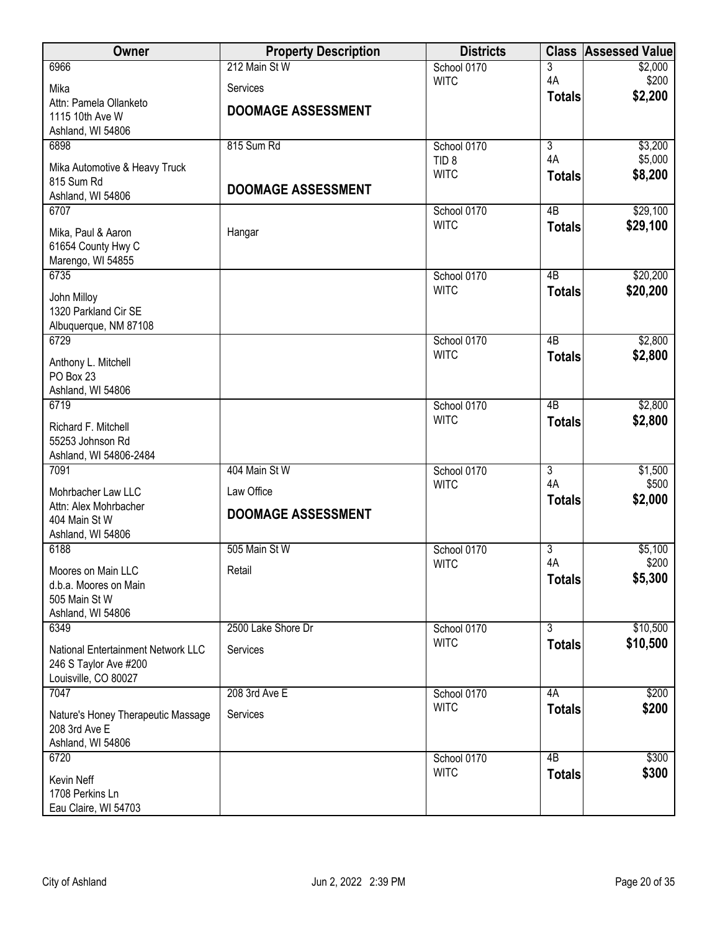| <b>Owner</b>                           | <b>Property Description</b> | <b>Districts</b>           | <b>Class</b>    | <b>Assessed Value</b> |
|----------------------------------------|-----------------------------|----------------------------|-----------------|-----------------------|
| 6966                                   | 212 Main St W               | School 0170                | 3               | \$2,000               |
| Mika                                   | Services                    | <b>WITC</b>                | 4A              | \$200                 |
| Attn: Pamela Ollanketo                 | <b>DOOMAGE ASSESSMENT</b>   |                            | <b>Totals</b>   | \$2,200               |
| 1115 10th Ave W                        |                             |                            |                 |                       |
| Ashland, WI 54806<br>6898              | 815 Sum Rd                  | School 0170                | $\overline{3}$  | \$3,200               |
|                                        |                             | TID <sub>8</sub>           | 4A              | \$5,000               |
| Mika Automotive & Heavy Truck          |                             | <b>WITC</b>                | <b>Totals</b>   | \$8,200               |
| 815 Sum Rd                             | <b>DOOMAGE ASSESSMENT</b>   |                            |                 |                       |
| Ashland, WI 54806<br>6707              |                             | School 0170                | 4 <sub>B</sub>  | \$29,100              |
|                                        |                             | <b>WITC</b>                | <b>Totals</b>   | \$29,100              |
| Mika, Paul & Aaron                     | Hangar                      |                            |                 |                       |
| 61654 County Hwy C                     |                             |                            |                 |                       |
| Marengo, WI 54855<br>6735              |                             |                            | $\overline{AB}$ |                       |
|                                        |                             | School 0170<br><b>WITC</b> | <b>Totals</b>   | \$20,200<br>\$20,200  |
| John Milloy                            |                             |                            |                 |                       |
| 1320 Parkland Cir SE                   |                             |                            |                 |                       |
| Albuquerque, NM 87108<br>6729          |                             | School 0170                | 4B              | \$2,800               |
|                                        |                             | <b>WITC</b>                | <b>Totals</b>   | \$2,800               |
| Anthony L. Mitchell                    |                             |                            |                 |                       |
| PO Box 23                              |                             |                            |                 |                       |
| Ashland, WI 54806                      |                             |                            |                 |                       |
| 6719                                   |                             | School 0170<br><b>WITC</b> | $\overline{AB}$ | \$2,800<br>\$2,800    |
| Richard F. Mitchell                    |                             |                            | <b>Totals</b>   |                       |
| 55253 Johnson Rd                       |                             |                            |                 |                       |
| Ashland, WI 54806-2484<br>7091         | 404 Main St W               | School 0170                | $\overline{3}$  |                       |
|                                        |                             | <b>WITC</b>                | 4A              | \$1,500<br>\$500      |
| Mohrbacher Law LLC                     | Law Office                  |                            | <b>Totals</b>   | \$2,000               |
| Attn: Alex Mohrbacher                  | <b>DOOMAGE ASSESSMENT</b>   |                            |                 |                       |
| 404 Main St W<br>Ashland, WI 54806     |                             |                            |                 |                       |
| 6188                                   | 505 Main St W               | School 0170                | 3               | \$5,100               |
|                                        |                             | <b>WITC</b>                | 4A              | \$200                 |
| Moores on Main LLC                     | Retail                      |                            | <b>Totals</b>   | \$5,300               |
| d.b.a. Moores on Main<br>505 Main St W |                             |                            |                 |                       |
| Ashland, WI 54806                      |                             |                            |                 |                       |
| 6349                                   | 2500 Lake Shore Dr          | School 0170                | $\overline{3}$  | \$10,500              |
| National Entertainment Network LLC     | Services                    | <b>WITC</b>                | <b>Totals</b>   | \$10,500              |
| 246 S Taylor Ave #200                  |                             |                            |                 |                       |
| Louisville, CO 80027                   |                             |                            |                 |                       |
| 7047                                   | 208 3rd Ave E               | School 0170                | 4A              | \$200                 |
| Nature's Honey Therapeutic Massage     | Services                    | <b>WITC</b>                | <b>Totals</b>   | \$200                 |
| 208 3rd Ave E                          |                             |                            |                 |                       |
| Ashland, WI 54806                      |                             |                            |                 |                       |
| 6720                                   |                             | School 0170                | $\overline{AB}$ | \$300                 |
| Kevin Neff                             |                             | <b>WITC</b>                | <b>Totals</b>   | \$300                 |
| 1708 Perkins Ln                        |                             |                            |                 |                       |
| Eau Claire, WI 54703                   |                             |                            |                 |                       |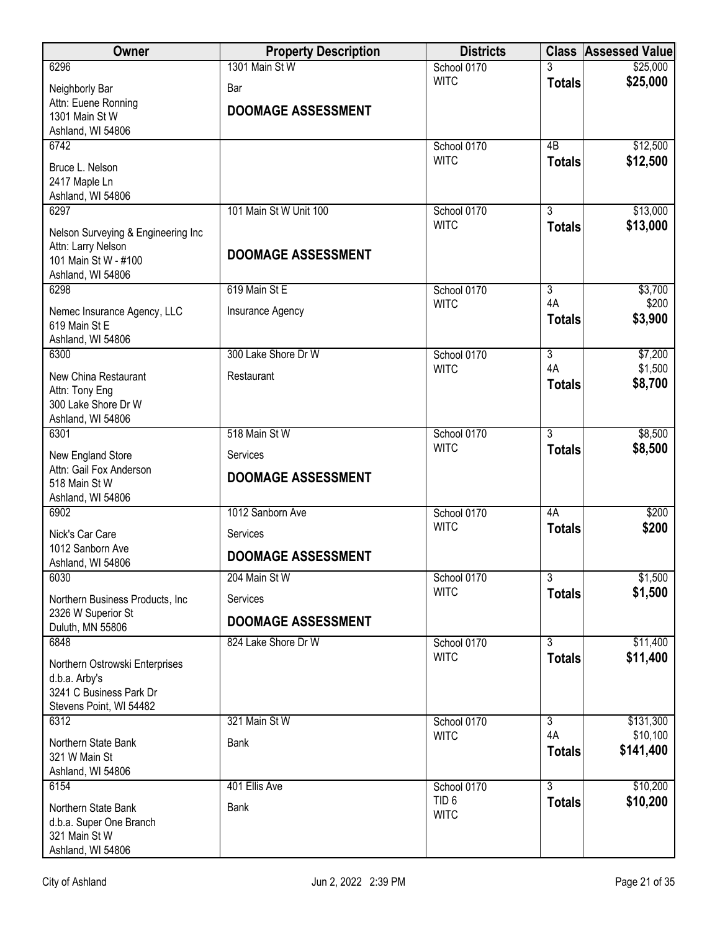| Owner                                                    | <b>Property Description</b> | <b>Districts</b>           |                                 | <b>Class Assessed Value</b> |
|----------------------------------------------------------|-----------------------------|----------------------------|---------------------------------|-----------------------------|
| 6296                                                     | 1301 Main St W              | School 0170                |                                 | \$25,000                    |
| Neighborly Bar                                           | Bar                         | <b>WITC</b>                | <b>Totals</b>                   | \$25,000                    |
| Attn: Euene Ronning<br>1301 Main St W                    | <b>DOOMAGE ASSESSMENT</b>   |                            |                                 |                             |
| Ashland, WI 54806                                        |                             |                            |                                 |                             |
| 6742                                                     |                             | School 0170                | 4B                              | \$12,500                    |
| Bruce L. Nelson                                          |                             | <b>WITC</b>                | <b>Totals</b>                   | \$12,500                    |
| 2417 Maple Ln                                            |                             |                            |                                 |                             |
| Ashland, WI 54806<br>6297                                | 101 Main St W Unit 100      | School 0170                | $\overline{3}$                  | \$13,000                    |
|                                                          |                             | <b>WITC</b>                | <b>Totals</b>                   | \$13,000                    |
| Nelson Surveying & Engineering Inc<br>Attn: Larry Nelson |                             |                            |                                 |                             |
| 101 Main St W - #100                                     | <b>DOOMAGE ASSESSMENT</b>   |                            |                                 |                             |
| Ashland, WI 54806                                        |                             |                            |                                 |                             |
| 6298                                                     | 619 Main St E               | School 0170                | $\overline{3}$<br>4A            | \$3,700                     |
| Nemec Insurance Agency, LLC                              | Insurance Agency            | <b>WITC</b>                | <b>Totals</b>                   | \$200<br>\$3,900            |
| 619 Main St E<br>Ashland, WI 54806                       |                             |                            |                                 |                             |
| 6300                                                     | 300 Lake Shore Dr W         | School 0170                | $\overline{3}$                  | \$7,200                     |
| New China Restaurant                                     | Restaurant                  | <b>WITC</b>                | 4A                              | \$1,500                     |
| Attn: Tony Eng                                           |                             |                            | <b>Totals</b>                   | \$8,700                     |
| 300 Lake Shore Dr W                                      |                             |                            |                                 |                             |
| Ashland, WI 54806                                        | 518 Main St W               |                            | $\overline{3}$                  |                             |
| 6301                                                     |                             | School 0170<br><b>WITC</b> | <b>Totals</b>                   | \$8,500<br>\$8,500          |
| New England Store<br>Attn: Gail Fox Anderson             | Services                    |                            |                                 |                             |
| 518 Main St W                                            | <b>DOOMAGE ASSESSMENT</b>   |                            |                                 |                             |
| Ashland, WI 54806                                        |                             |                            |                                 |                             |
| 6902                                                     | 1012 Sanborn Ave            | School 0170<br><b>WITC</b> | 4A                              | \$200                       |
| Nick's Car Care                                          | Services                    |                            | <b>Totals</b>                   | \$200                       |
| 1012 Sanborn Ave<br>Ashland, WI 54806                    | <b>DOOMAGE ASSESSMENT</b>   |                            |                                 |                             |
| 6030                                                     | 204 Main St W               | School 0170                | $\overline{\overline{3}}$       | \$1,500                     |
| Northern Business Products, Inc.                         | Services                    | <b>WITC</b>                | <b>Totals</b>                   | \$1,500                     |
| 2326 W Superior St                                       |                             |                            |                                 |                             |
| Duluth, MN 55806                                         | <b>DOOMAGE ASSESSMENT</b>   |                            |                                 |                             |
| 6848                                                     | 824 Lake Shore Dr W         | School 0170<br><b>WITC</b> | $\overline{3}$<br><b>Totals</b> | \$11,400<br>\$11,400        |
| Northern Ostrowski Enterprises                           |                             |                            |                                 |                             |
| d.b.a. Arby's<br>3241 C Business Park Dr                 |                             |                            |                                 |                             |
| Stevens Point, WI 54482                                  |                             |                            |                                 |                             |
| 6312                                                     | 321 Main St W               | School 0170                | $\overline{3}$                  | \$131,300                   |
| Northern State Bank                                      | <b>Bank</b>                 | <b>WITC</b>                | 4A<br><b>Totals</b>             | \$10,100<br>\$141,400       |
| 321 W Main St                                            |                             |                            |                                 |                             |
| Ashland, WI 54806<br>6154                                | 401 Ellis Ave               | School 0170                | $\overline{3}$                  | \$10,200                    |
| Northern State Bank                                      |                             | TID <sub>6</sub>           | <b>Totals</b>                   | \$10,200                    |
| d.b.a. Super One Branch                                  | Bank                        | <b>WITC</b>                |                                 |                             |
| 321 Main St W                                            |                             |                            |                                 |                             |
| Ashland, WI 54806                                        |                             |                            |                                 |                             |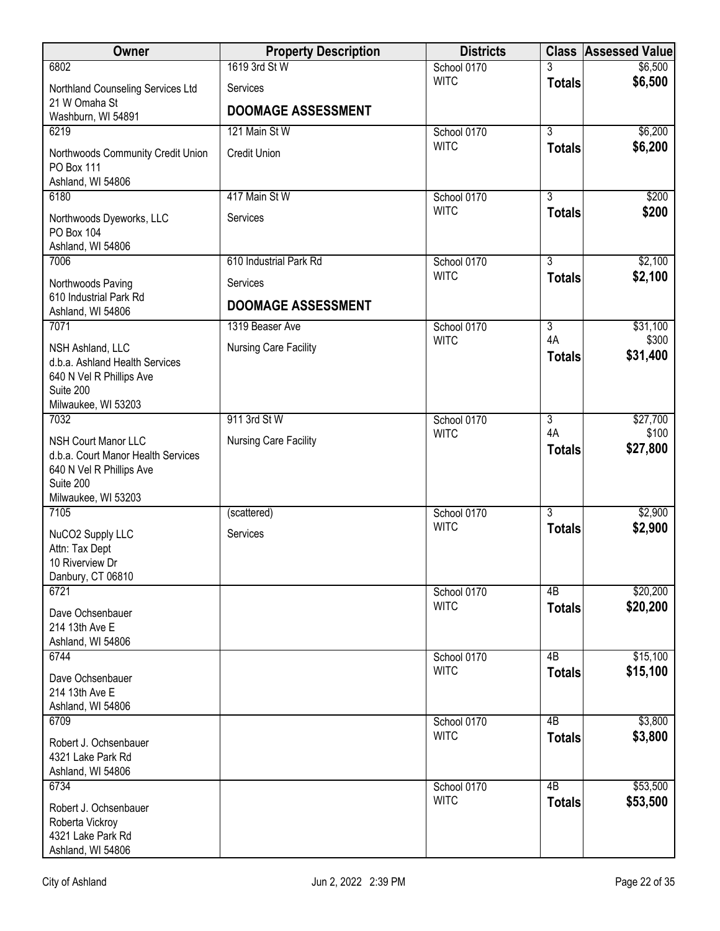| Owner                                                                                                                            | <b>Property Description</b>  | <b>Districts</b>           |                     | <b>Class Assessed Value</b> |
|----------------------------------------------------------------------------------------------------------------------------------|------------------------------|----------------------------|---------------------|-----------------------------|
| 6802                                                                                                                             | 1619 3rd St W                | School 0170                | 3                   | \$6,500                     |
| Northland Counseling Services Ltd                                                                                                | Services                     | <b>WITC</b>                | <b>Totals</b>       | \$6,500                     |
| 21 W Omaha St<br>Washburn, WI 54891                                                                                              | <b>DOOMAGE ASSESSMENT</b>    |                            |                     |                             |
| 6219                                                                                                                             | 121 Main St W                | School 0170                | $\overline{3}$      | \$6,200                     |
| Northwoods Community Credit Union<br>PO Box 111<br>Ashland, WI 54806                                                             | <b>Credit Union</b>          | <b>WITC</b>                | <b>Totals</b>       | \$6,200                     |
| 6180                                                                                                                             | 417 Main St W                | School 0170                | $\overline{3}$      | \$200                       |
| Northwoods Dyeworks, LLC<br>PO Box 104<br>Ashland, WI 54806                                                                      | Services                     | <b>WITC</b>                | <b>Totals</b>       | \$200                       |
| 7006                                                                                                                             | 610 Industrial Park Rd       | School 0170                | $\overline{3}$      | \$2,100                     |
| Northwoods Paving                                                                                                                | Services                     | <b>WITC</b>                | <b>Totals</b>       | \$2,100                     |
| 610 Industrial Park Rd<br>Ashland, WI 54806                                                                                      | <b>DOOMAGE ASSESSMENT</b>    |                            |                     |                             |
| 7071                                                                                                                             | 1319 Beaser Ave              | School 0170                | $\overline{3}$      | \$31,100                    |
| NSH Ashland, LLC<br>d.b.a. Ashland Health Services<br>640 N Vel R Phillips Ave<br>Suite 200<br>Milwaukee, WI 53203               | Nursing Care Facility        | <b>WITC</b>                | 4A<br><b>Totals</b> | \$300<br>\$31,400           |
| 7032                                                                                                                             | 911 3rd St W                 | School 0170                | $\overline{3}$      | \$27,700                    |
| <b>NSH Court Manor LLC</b><br>d.b.a. Court Manor Health Services<br>640 N Vel R Phillips Ave<br>Suite 200<br>Milwaukee, WI 53203 | <b>Nursing Care Facility</b> | <b>WITC</b>                | 4A<br><b>Totals</b> | \$100<br>\$27,800           |
| 7105                                                                                                                             | (scattered)                  | School 0170                | $\overline{3}$      | \$2,900                     |
| NuCO2 Supply LLC<br>Attn: Tax Dept<br>10 Riverview Dr<br>Danbury, CT 06810                                                       | Services                     | <b>WITC</b>                | <b>Totals</b>       | \$2,900                     |
| 6721                                                                                                                             |                              | School 0170                | 4B                  | \$20,200                    |
| Dave Ochsenbauer<br>214 13th Ave E<br>Ashland, WI 54806                                                                          |                              | <b>WITC</b>                | <b>Totals</b>       | \$20,200                    |
| 6744                                                                                                                             |                              | School 0170                | 4B                  | \$15,100                    |
| Dave Ochsenbauer<br>214 13th Ave E<br>Ashland, WI 54806                                                                          |                              | <b>WITC</b>                | <b>Totals</b>       | \$15,100                    |
| 6709                                                                                                                             |                              | School 0170                | $\overline{AB}$     | \$3,800                     |
| Robert J. Ochsenbauer<br>4321 Lake Park Rd<br>Ashland, WI 54806                                                                  |                              | <b>WITC</b>                | <b>Totals</b>       | \$3,800                     |
| 6734                                                                                                                             |                              | School 0170<br><b>WITC</b> | 4B                  | \$53,500                    |
| Robert J. Ochsenbauer<br>Roberta Vickroy<br>4321 Lake Park Rd<br>Ashland, WI 54806                                               |                              |                            | <b>Totals</b>       | \$53,500                    |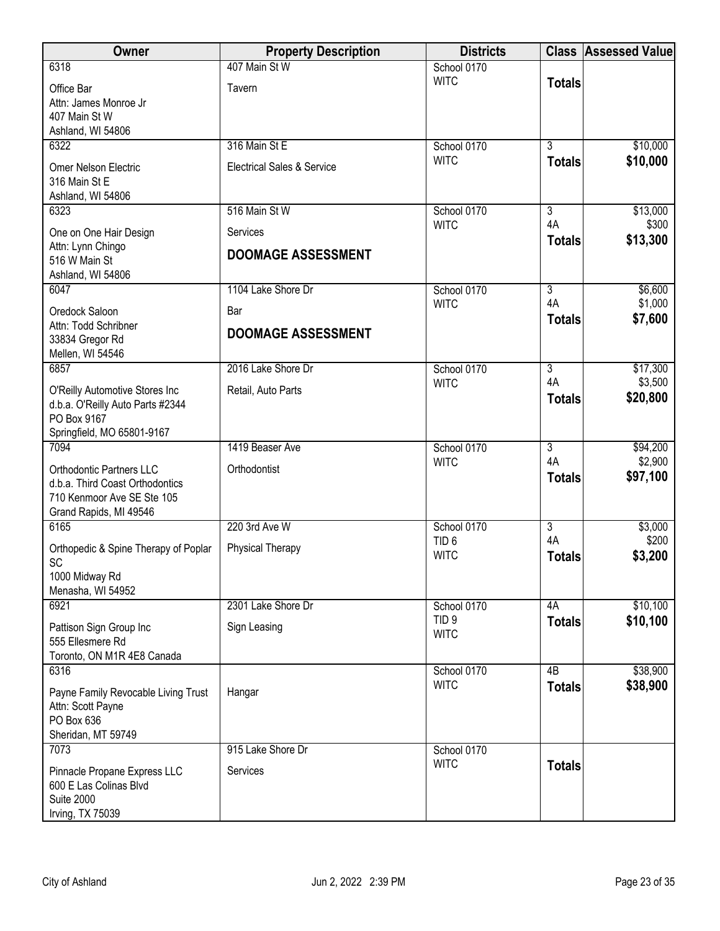| <b>Owner</b>                                                                                                               | <b>Property Description</b>           | <b>Districts</b>                |                     | <b>Class Assessed Value</b> |
|----------------------------------------------------------------------------------------------------------------------------|---------------------------------------|---------------------------------|---------------------|-----------------------------|
| 6318                                                                                                                       | 407 Main St W                         | School 0170                     |                     |                             |
| Office Bar<br>Attn: James Monroe Jr<br>407 Main St W<br>Ashland, WI 54806                                                  | Tavern                                | <b>WITC</b>                     | <b>Totals</b>       |                             |
| 6322                                                                                                                       | 316 Main St E                         | School 0170                     | $\overline{3}$      | \$10,000                    |
| Omer Nelson Electric<br>316 Main St E<br>Ashland, WI 54806                                                                 | <b>Electrical Sales &amp; Service</b> | <b>WITC</b>                     | <b>Totals</b>       | \$10,000                    |
| 6323                                                                                                                       | 516 Main St W                         | School 0170<br><b>WITC</b>      | 3<br>4A             | \$13,000<br>\$300           |
| One on One Hair Design<br>Attn: Lynn Chingo<br>516 W Main St<br>Ashland, WI 54806                                          | Services<br><b>DOOMAGE ASSESSMENT</b> |                                 | <b>Totals</b>       | \$13,300                    |
| 6047                                                                                                                       | 1104 Lake Shore Dr                    | School 0170                     | $\overline{3}$      | \$6,600                     |
| Oredock Saloon                                                                                                             | Bar                                   | <b>WITC</b>                     | 4A<br><b>Totals</b> | \$1,000<br>\$7,600          |
| Attn: Todd Schribner<br>33834 Gregor Rd<br>Mellen, WI 54546                                                                | <b>DOOMAGE ASSESSMENT</b>             |                                 |                     |                             |
| 6857                                                                                                                       | 2016 Lake Shore Dr                    | School 0170                     | 3                   | \$17,300                    |
| O'Reilly Automotive Stores Inc<br>d.b.a. O'Reilly Auto Parts #2344<br>PO Box 9167<br>Springfield, MO 65801-9167            | Retail, Auto Parts                    | <b>WITC</b>                     | 4A<br><b>Totals</b> | \$3,500<br>\$20,800         |
| 7094                                                                                                                       | 1419 Beaser Ave                       | School 0170                     | $\overline{3}$      | \$94,200                    |
| <b>Orthodontic Partners LLC</b><br>d.b.a. Third Coast Orthodontics<br>710 Kenmoor Ave SE Ste 105<br>Grand Rapids, MI 49546 | Orthodontist                          | <b>WITC</b>                     | 4A<br><b>Totals</b> | \$2,900<br>\$97,100         |
| 6165                                                                                                                       | 220 3rd Ave W                         | School 0170                     | $\overline{3}$      | \$3,000                     |
| Orthopedic & Spine Therapy of Poplar<br>SC<br>1000 Midway Rd                                                               | Physical Therapy                      | TID <sub>6</sub><br><b>WITC</b> | 4A<br><b>Totals</b> | \$200<br>\$3,200            |
| Menasha, WI 54952<br>6921                                                                                                  | 2301 Lake Shore Dr                    | School 0170                     | 4A                  | \$10,100                    |
| Pattison Sign Group Inc<br>555 Ellesmere Rd<br>Toronto, ON M1R 4E8 Canada                                                  | Sign Leasing                          | TID <sub>9</sub><br><b>WITC</b> | <b>Totals</b>       | \$10,100                    |
| 6316                                                                                                                       |                                       | School 0170                     | $\overline{AB}$     | \$38,900                    |
| Payne Family Revocable Living Trust<br>Attn: Scott Payne<br>PO Box 636<br>Sheridan, MT 59749                               | Hangar                                | <b>WITC</b>                     | <b>Totals</b>       | \$38,900                    |
| 7073                                                                                                                       | 915 Lake Shore Dr                     | School 0170<br><b>WITC</b>      |                     |                             |
| Pinnacle Propane Express LLC<br>600 E Las Colinas Blvd<br><b>Suite 2000</b><br>Irving, TX 75039                            | Services                              |                                 | <b>Totals</b>       |                             |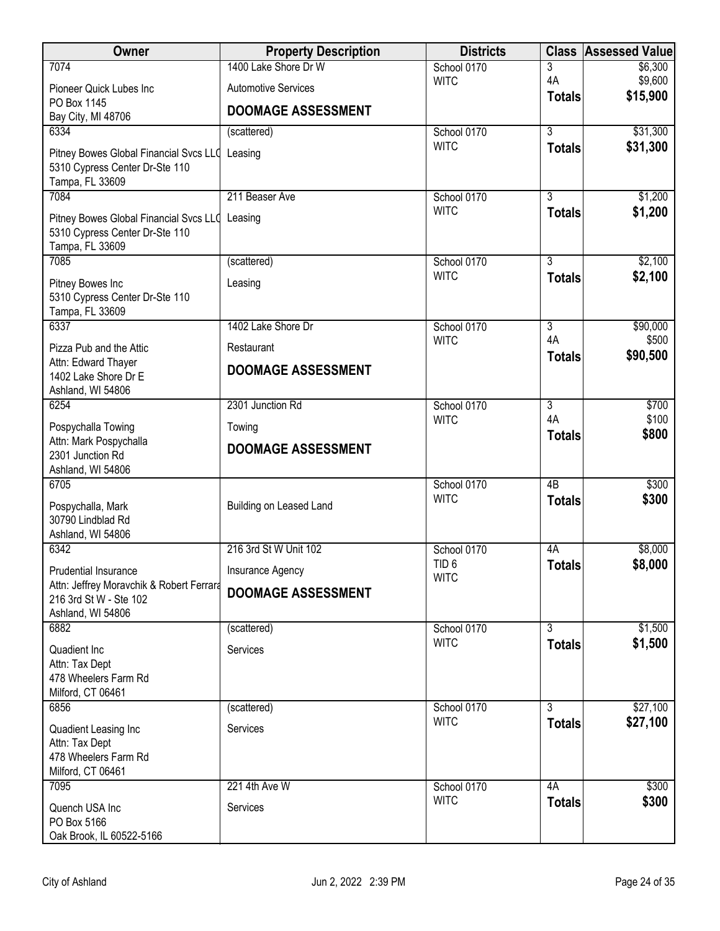| <b>Owner</b>                                                                                        | <b>Property Description</b> | <b>Districts</b>                |                                  | <b>Class Assessed Value</b> |
|-----------------------------------------------------------------------------------------------------|-----------------------------|---------------------------------|----------------------------------|-----------------------------|
| 7074                                                                                                | 1400 Lake Shore Dr W        | School 0170                     | 3                                | \$6,300                     |
| Pioneer Quick Lubes Inc                                                                             | <b>Automotive Services</b>  | <b>WITC</b>                     | 4A<br><b>Totals</b>              | \$9,600<br>\$15,900         |
| PO Box 1145                                                                                         | <b>DOOMAGE ASSESSMENT</b>   |                                 |                                  |                             |
| Bay City, MI 48706<br>6334                                                                          | (scattered)                 | School 0170                     | $\overline{3}$                   | \$31,300                    |
| Pitney Bowes Global Financial Svcs LLC Leasing<br>5310 Cypress Center Dr-Ste 110<br>Tampa, FL 33609 |                             | <b>WITC</b>                     | <b>Totals</b>                    | \$31,300                    |
| 7084                                                                                                | 211 Beaser Ave              | School 0170                     | $\overline{3}$                   | \$1,200                     |
| Pitney Bowes Global Financial Svcs LLC Leasing<br>5310 Cypress Center Dr-Ste 110<br>Tampa, FL 33609 |                             | <b>WITC</b>                     | <b>Totals</b>                    | \$1,200                     |
| 7085                                                                                                | (scattered)                 | School 0170                     | $\overline{3}$                   | \$2,100                     |
| Pitney Bowes Inc<br>5310 Cypress Center Dr-Ste 110<br>Tampa, FL 33609                               | Leasing                     | <b>WITC</b>                     | <b>Totals</b>                    | \$2,100                     |
| 6337                                                                                                | 1402 Lake Shore Dr          | School 0170                     | $\overline{3}$                   | \$90,000                    |
| Pizza Pub and the Attic                                                                             | Restaurant                  | <b>WITC</b>                     | 4A<br><b>Totals</b>              | \$500<br>\$90,500           |
| Attn: Edward Thayer<br>1402 Lake Shore Dr E<br>Ashland, WI 54806                                    | <b>DOOMAGE ASSESSMENT</b>   |                                 |                                  |                             |
| 6254                                                                                                | 2301 Junction Rd            | School 0170                     | $\overline{3}$                   | \$700                       |
| Pospychalla Towing                                                                                  | Towing                      | <b>WITC</b>                     | 4A<br><b>Totals</b>              | \$100<br>\$800              |
| Attn: Mark Pospychalla<br>2301 Junction Rd<br>Ashland, WI 54806                                     | <b>DOOMAGE ASSESSMENT</b>   |                                 |                                  |                             |
| 6705<br>Pospychalla, Mark<br>30790 Lindblad Rd<br>Ashland, WI 54806                                 | Building on Leased Land     | School 0170<br><b>WITC</b>      | $\overline{AB}$<br><b>Totals</b> | \$300<br>\$300              |
| 6342                                                                                                | 216 3rd St W Unit 102       | School 0170                     | 4A                               | \$8,000                     |
| Prudential Insurance                                                                                | Insurance Agency            | TID <sub>6</sub><br><b>WITC</b> | <b>Totals</b>                    | \$8,000                     |
| Attn: Jeffrey Moravchik & Robert Ferrard<br>216 3rd St W - Ste 102<br>Ashland, WI 54806             | <b>DOOMAGE ASSESSMENT</b>   |                                 |                                  |                             |
| 6882                                                                                                | (scattered)                 | School 0170                     | $\overline{3}$                   | \$1,500                     |
| Quadient Inc<br>Attn: Tax Dept<br>478 Wheelers Farm Rd<br>Milford, CT 06461                         | Services                    | <b>WITC</b>                     | <b>Totals</b>                    | \$1,500                     |
| 6856                                                                                                | (scattered)                 | School 0170                     | $\overline{3}$                   | \$27,100                    |
| Quadient Leasing Inc<br>Attn: Tax Dept<br>478 Wheelers Farm Rd<br>Milford, CT 06461                 | Services                    | <b>WITC</b>                     | <b>Totals</b>                    | \$27,100                    |
| 7095                                                                                                | 221 4th Ave W               | School 0170                     | 4A                               | \$300                       |
| Quench USA Inc<br>PO Box 5166<br>Oak Brook, IL 60522-5166                                           | Services                    | <b>WITC</b>                     | <b>Totals</b>                    | \$300                       |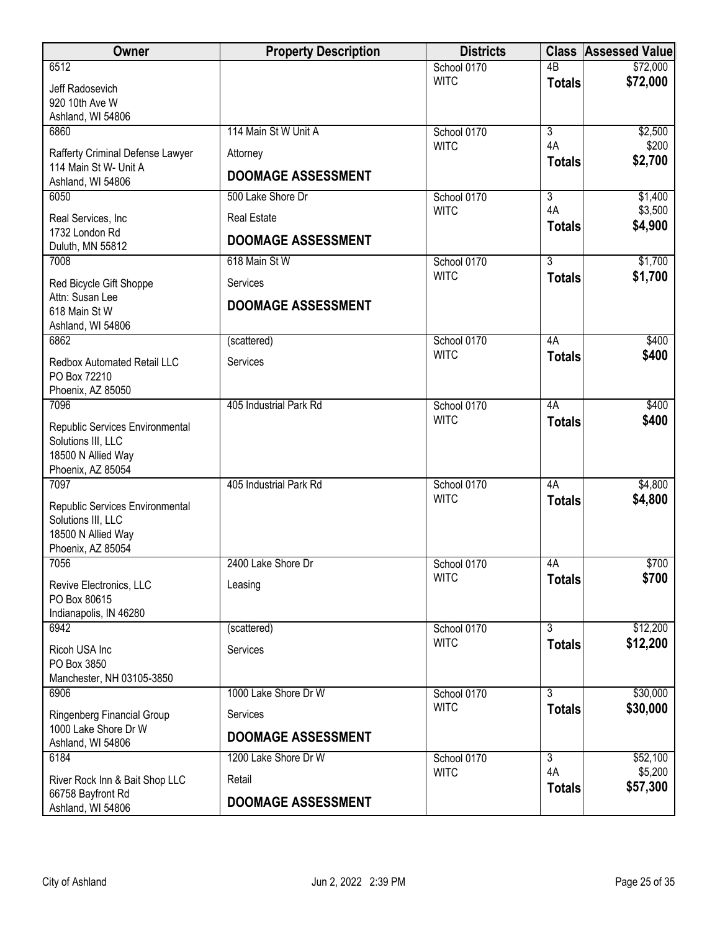| Owner                                                     | <b>Property Description</b> | <b>Districts</b>           |                 | <b>Class Assessed Value</b> |
|-----------------------------------------------------------|-----------------------------|----------------------------|-----------------|-----------------------------|
| 6512                                                      |                             | School 0170                | $\overline{AB}$ | \$72,000                    |
| Jeff Radosevich                                           |                             | <b>WITC</b>                | <b>Totals</b>   | \$72,000                    |
| 920 10th Ave W                                            |                             |                            |                 |                             |
| Ashland, WI 54806<br>6860                                 | 114 Main St W Unit A        | School 0170                | $\overline{3}$  | \$2,500                     |
|                                                           |                             | <b>WITC</b>                | 4A              | \$200                       |
| Rafferty Criminal Defense Lawyer<br>114 Main St W- Unit A | Attorney                    |                            | <b>Totals</b>   | \$2,700                     |
| Ashland, WI 54806                                         | <b>DOOMAGE ASSESSMENT</b>   |                            |                 |                             |
| 6050                                                      | 500 Lake Shore Dr           | School 0170                | 3               | \$1,400                     |
| Real Services, Inc                                        | <b>Real Estate</b>          | <b>WITC</b>                | 4A              | \$3,500                     |
| 1732 London Rd                                            |                             |                            | <b>Totals</b>   | \$4,900                     |
| Duluth, MN 55812                                          | <b>DOOMAGE ASSESSMENT</b>   |                            |                 |                             |
| 7008                                                      | 618 Main St W               | School 0170<br><b>WITC</b> | $\overline{3}$  | \$1,700                     |
| Red Bicycle Gift Shoppe                                   | Services                    |                            | <b>Totals</b>   | \$1,700                     |
| Attn: Susan Lee<br>618 Main St W                          | <b>DOOMAGE ASSESSMENT</b>   |                            |                 |                             |
| Ashland, WI 54806                                         |                             |                            |                 |                             |
| 6862                                                      | (scattered)                 | School 0170                | 4A              | \$400                       |
| Redbox Automated Retail LLC                               | Services                    | <b>WITC</b>                | <b>Totals</b>   | \$400                       |
| PO Box 72210                                              |                             |                            |                 |                             |
| Phoenix, AZ 85050                                         |                             |                            |                 |                             |
| 7096                                                      | 405 Industrial Park Rd      | School 0170<br><b>WITC</b> | 4A              | \$400<br>\$400              |
| Republic Services Environmental                           |                             |                            | <b>Totals</b>   |                             |
| Solutions III, LLC<br>18500 N Allied Way                  |                             |                            |                 |                             |
| Phoenix, AZ 85054                                         |                             |                            |                 |                             |
| 7097                                                      | 405 Industrial Park Rd      | School 0170                | 4A              | \$4,800                     |
| Republic Services Environmental                           |                             | <b>WITC</b>                | <b>Totals</b>   | \$4,800                     |
| Solutions III, LLC                                        |                             |                            |                 |                             |
| 18500 N Allied Way                                        |                             |                            |                 |                             |
| Phoenix, AZ 85054<br>7056                                 | 2400 Lake Shore Dr          | School 0170                | 4A              | \$700                       |
|                                                           |                             | <b>WITC</b>                | <b>Totals</b>   | \$700                       |
| Revive Electronics, LLC<br>PO Box 80615                   | Leasing                     |                            |                 |                             |
| Indianapolis, IN 46280                                    |                             |                            |                 |                             |
| 6942                                                      | (scattered)                 | School 0170                | $\overline{3}$  | \$12,200                    |
| Ricoh USA Inc                                             | Services                    | <b>WITC</b>                | <b>Totals</b>   | \$12,200                    |
| PO Box 3850                                               |                             |                            |                 |                             |
| Manchester, NH 03105-3850<br>6906                         | 1000 Lake Shore Dr W        | School 0170                | $\overline{3}$  | \$30,000                    |
|                                                           |                             | <b>WITC</b>                | <b>Totals</b>   | \$30,000                    |
| Ringenberg Financial Group<br>1000 Lake Shore Dr W        | Services                    |                            |                 |                             |
| Ashland, WI 54806                                         | <b>DOOMAGE ASSESSMENT</b>   |                            |                 |                             |
| 6184                                                      | 1200 Lake Shore Dr W        | School 0170                | $\overline{3}$  | \$52,100                    |
| River Rock Inn & Bait Shop LLC                            | Retail                      | <b>WITC</b>                | 4A              | \$5,200                     |
| 66758 Bayfront Rd                                         | <b>DOOMAGE ASSESSMENT</b>   |                            | <b>Totals</b>   | \$57,300                    |
| Ashland, WI 54806                                         |                             |                            |                 |                             |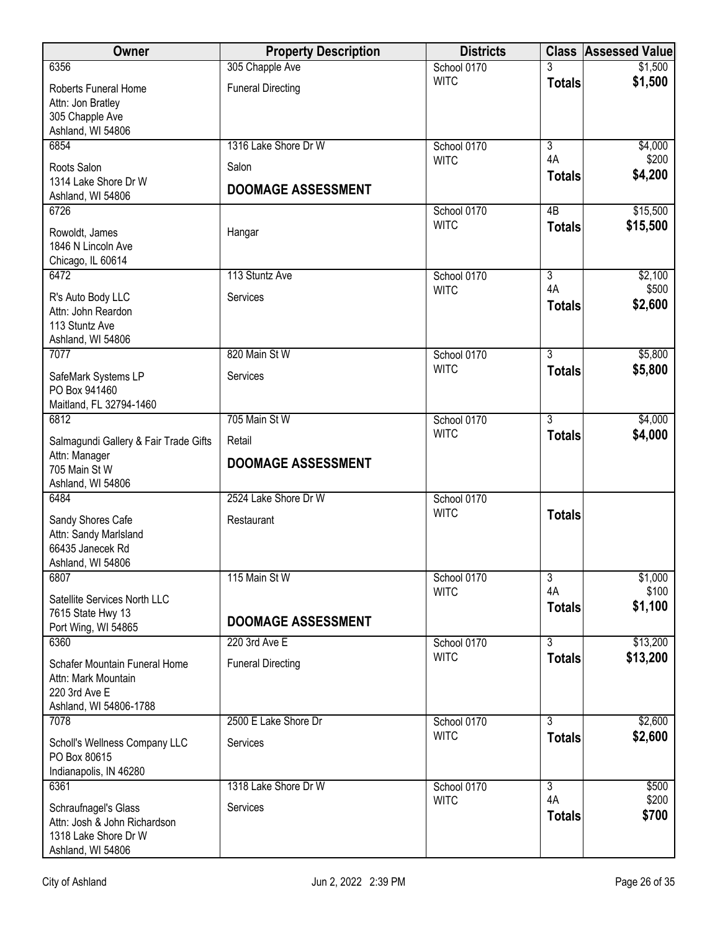| Owner                                                                                             | <b>Property Description</b> | <b>Districts</b>           |                                  | <b>Class Assessed Value</b> |
|---------------------------------------------------------------------------------------------------|-----------------------------|----------------------------|----------------------------------|-----------------------------|
| 6356                                                                                              | 305 Chapple Ave             | School 0170                |                                  | \$1,500                     |
| Roberts Funeral Home<br>Attn: Jon Bratley<br>305 Chapple Ave<br>Ashland, WI 54806                 | <b>Funeral Directing</b>    | <b>WITC</b>                | <b>Totals</b>                    | \$1,500                     |
| 6854                                                                                              | 1316 Lake Shore Dr W        | School 0170                | $\overline{3}$                   | \$4,000                     |
| Roots Salon                                                                                       | Salon                       | <b>WITC</b>                | 4A                               | \$200                       |
| 1314 Lake Shore Dr W<br>Ashland, WI 54806                                                         | <b>DOOMAGE ASSESSMENT</b>   |                            | <b>Totals</b>                    | \$4,200                     |
| 6726                                                                                              |                             | School 0170<br><b>WITC</b> | $\overline{AB}$<br><b>Totals</b> | \$15,500<br>\$15,500        |
| Rowoldt, James<br>1846 N Lincoln Ave<br>Chicago, IL 60614                                         | Hangar                      |                            |                                  |                             |
| 6472                                                                                              | 113 Stuntz Ave              | School 0170                | $\overline{3}$                   | \$2,100                     |
| R's Auto Body LLC<br>Attn: John Reardon<br>113 Stuntz Ave                                         | Services                    | <b>WITC</b>                | 4A<br><b>Totals</b>              | \$500<br>\$2,600            |
| Ashland, WI 54806<br>7077                                                                         | 820 Main St W               | School 0170                | $\overline{3}$                   | \$5,800                     |
|                                                                                                   |                             | <b>WITC</b>                | <b>Totals</b>                    | \$5,800                     |
| SafeMark Systems LP<br>PO Box 941460<br>Maitland, FL 32794-1460                                   | Services                    |                            |                                  |                             |
| 6812                                                                                              | 705 Main St W               | School 0170                | $\overline{3}$                   | \$4,000                     |
| Salmagundi Gallery & Fair Trade Gifts                                                             | Retail                      | <b>WITC</b>                | <b>Totals</b>                    | \$4,000                     |
| Attn: Manager<br>705 Main St W<br>Ashland, WI 54806                                               | <b>DOOMAGE ASSESSMENT</b>   |                            |                                  |                             |
| 6484                                                                                              | 2524 Lake Shore Dr W        | School 0170                |                                  |                             |
| Sandy Shores Cafe<br>Attn: Sandy Marlsland<br>66435 Janecek Rd<br>Ashland, WI 54806               | Restaurant                  | <b>WITC</b>                | <b>Totals</b>                    |                             |
| 6807                                                                                              | 115 Main St W               | School 0170                | $\overline{3}$                   | \$1,000                     |
| Satellite Services North LLC<br>7615 State Hwy 13<br>Port Wing, WI 54865                          | <b>DOOMAGE ASSESSMENT</b>   | <b>WITC</b>                | 4A<br><b>Totals</b>              | \$100<br>\$1,100            |
| 6360                                                                                              | 220 3rd Ave E               | School 0170                | $\overline{3}$                   | \$13,200                    |
| Schafer Mountain Funeral Home<br>Attn: Mark Mountain<br>220 3rd Ave E                             | <b>Funeral Directing</b>    | <b>WITC</b>                | <b>Totals</b>                    | \$13,200                    |
| Ashland, WI 54806-1788<br>7078                                                                    | 2500 E Lake Shore Dr        | School 0170                | $\overline{3}$                   | \$2,600                     |
| Scholl's Wellness Company LLC<br>PO Box 80615<br>Indianapolis, IN 46280                           | Services                    | <b>WITC</b>                | <b>Totals</b>                    | \$2,600                     |
| 6361                                                                                              | 1318 Lake Shore Dr W        | School 0170                | $\overline{3}$                   | \$500                       |
| Schraufnagel's Glass<br>Attn: Josh & John Richardson<br>1318 Lake Shore Dr W<br>Ashland, WI 54806 | Services                    | <b>WITC</b>                | 4A<br><b>Totals</b>              | \$200<br>\$700              |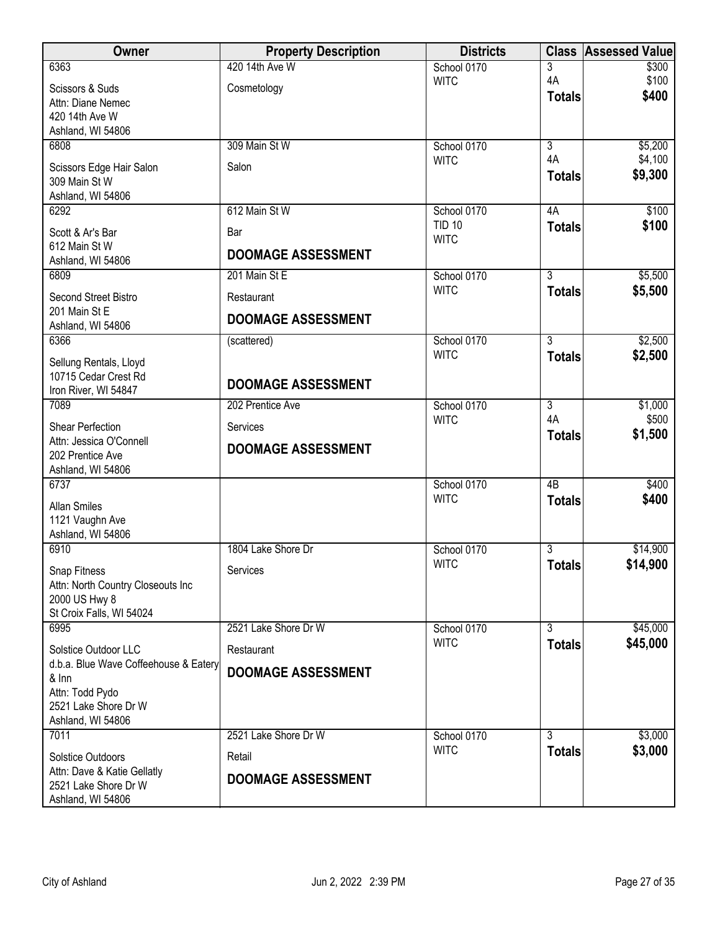| <b>Owner</b>                                | <b>Property Description</b> | <b>Districts</b>           |                      | <b>Class Assessed Value</b> |
|---------------------------------------------|-----------------------------|----------------------------|----------------------|-----------------------------|
| 6363                                        | 420 14th Ave W              | School 0170                | 3                    | \$300                       |
| Scissors & Suds                             | Cosmetology                 | <b>WITC</b>                | 4A<br><b>Totals</b>  | \$100<br>\$400              |
| Attn: Diane Nemec<br>420 14th Ave W         |                             |                            |                      |                             |
| Ashland, WI 54806                           |                             |                            |                      |                             |
| 6808                                        | 309 Main St W               | School 0170                | $\overline{3}$       | \$5,200                     |
| Scissors Edge Hair Salon                    | Salon                       | <b>WITC</b>                | 4A                   | \$4,100                     |
| 309 Main St W                               |                             |                            | <b>Totals</b>        | \$9,300                     |
| Ashland, WI 54806                           | 612 Main St W               | School 0170                | 4A                   | \$100                       |
| 6292                                        |                             | <b>TID 10</b>              | <b>Totals</b>        | \$100                       |
| Scott & Ar's Bar<br>612 Main St W           | Bar                         | <b>WITC</b>                |                      |                             |
| Ashland, WI 54806                           | <b>DOOMAGE ASSESSMENT</b>   |                            |                      |                             |
| 6809                                        | 201 Main St E               | School 0170                | $\overline{3}$       | \$5,500                     |
| Second Street Bistro                        | Restaurant                  | <b>WITC</b>                | <b>Totals</b>        | \$5,500                     |
| 201 Main St E                               | <b>DOOMAGE ASSESSMENT</b>   |                            |                      |                             |
| Ashland, WI 54806<br>6366                   | (scattered)                 | School 0170                | $\overline{3}$       | \$2,500                     |
| Sellung Rentals, Lloyd                      |                             | <b>WITC</b>                | <b>Totals</b>        | \$2,500                     |
| 10715 Cedar Crest Rd                        |                             |                            |                      |                             |
| Iron River, WI 54847                        | <b>DOOMAGE ASSESSMENT</b>   |                            |                      |                             |
| 7089                                        | 202 Prentice Ave            | School 0170<br><b>WITC</b> | $\overline{3}$<br>4A | \$1,000<br>\$500            |
| Shear Perfection                            | Services                    |                            | <b>Totals</b>        | \$1,500                     |
| Attn: Jessica O'Connell<br>202 Prentice Ave | <b>DOOMAGE ASSESSMENT</b>   |                            |                      |                             |
| Ashland, WI 54806                           |                             |                            |                      |                             |
| 6737                                        |                             | School 0170                | $\overline{AB}$      | \$400                       |
| <b>Allan Smiles</b>                         |                             | <b>WITC</b>                | <b>Totals</b>        | \$400                       |
| 1121 Vaughn Ave                             |                             |                            |                      |                             |
| Ashland, WI 54806<br>6910                   | 1804 Lake Shore Dr          | School 0170                | 3                    | \$14,900                    |
| Snap Fitness                                | Services                    | <b>WITC</b>                | <b>Totals</b>        | \$14,900                    |
| Attn: North Country Closeouts Inc           |                             |                            |                      |                             |
| 2000 US Hwy 8                               |                             |                            |                      |                             |
| St Croix Falls, WI 54024<br>6995            | 2521 Lake Shore Dr W        | School 0170                | 3                    | \$45,000                    |
| Solstice Outdoor LLC                        | Restaurant                  | <b>WITC</b>                | <b>Totals</b>        | \$45,000                    |
| d.b.a. Blue Wave Coffeehouse & Eatery       |                             |                            |                      |                             |
| & Inn                                       | <b>DOOMAGE ASSESSMENT</b>   |                            |                      |                             |
| Attn: Todd Pydo<br>2521 Lake Shore Dr W     |                             |                            |                      |                             |
| Ashland, WI 54806                           |                             |                            |                      |                             |
| 7011                                        | 2521 Lake Shore Dr W        | School 0170                | $\overline{3}$       | \$3,000                     |
| <b>Solstice Outdoors</b>                    | Retail                      | <b>WITC</b>                | <b>Totals</b>        | \$3,000                     |
| Attn: Dave & Katie Gellatly                 | <b>DOOMAGE ASSESSMENT</b>   |                            |                      |                             |
| 2521 Lake Shore Dr W<br>Ashland, WI 54806   |                             |                            |                      |                             |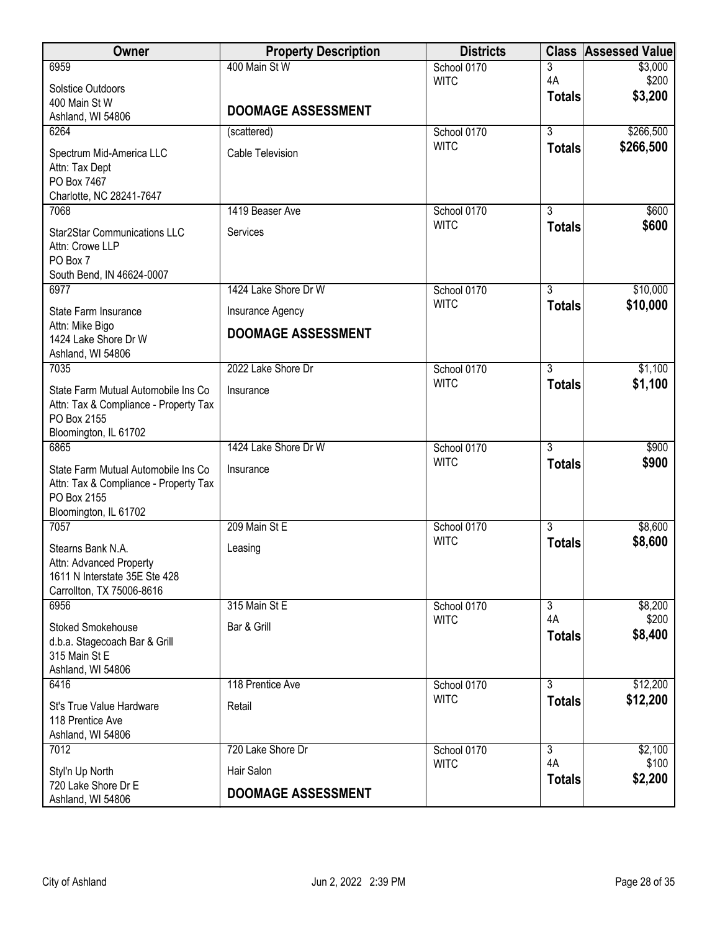| Owner                                                                        | <b>Property Description</b> | <b>Districts</b> | <b>Class</b>        | <b>Assessed Value</b> |
|------------------------------------------------------------------------------|-----------------------------|------------------|---------------------|-----------------------|
| 6959                                                                         | 400 Main St W               | School 0170      | 3                   | \$3,000               |
| <b>Solstice Outdoors</b>                                                     |                             | <b>WITC</b>      | 4A<br><b>Totals</b> | \$200<br>\$3,200      |
| 400 Main St W                                                                | <b>DOOMAGE ASSESSMENT</b>   |                  |                     |                       |
| Ashland, WI 54806<br>6264                                                    | (scattered)                 | School 0170      | $\overline{3}$      | \$266,500             |
|                                                                              |                             | <b>WITC</b>      | <b>Totals</b>       | \$266,500             |
| Spectrum Mid-America LLC<br>Attn: Tax Dept                                   | <b>Cable Television</b>     |                  |                     |                       |
| PO Box 7467                                                                  |                             |                  |                     |                       |
| Charlotte, NC 28241-7647                                                     |                             |                  |                     |                       |
| 7068                                                                         | 1419 Beaser Ave             | School 0170      | $\overline{3}$      | \$600                 |
| <b>Star2Star Communications LLC</b>                                          | Services                    | <b>WITC</b>      | <b>Totals</b>       | \$600                 |
| Attn: Crowe LLP                                                              |                             |                  |                     |                       |
| PO Box 7<br>South Bend, IN 46624-0007                                        |                             |                  |                     |                       |
| 6977                                                                         | 1424 Lake Shore Dr W        | School 0170      | $\overline{3}$      | \$10,000              |
| State Farm Insurance                                                         | Insurance Agency            | <b>WITC</b>      | <b>Totals</b>       | \$10,000              |
| Attn: Mike Bigo                                                              |                             |                  |                     |                       |
| 1424 Lake Shore Dr W                                                         | <b>DOOMAGE ASSESSMENT</b>   |                  |                     |                       |
| Ashland, WI 54806<br>7035                                                    | 2022 Lake Shore Dr          | School 0170      | 3                   | \$1,100               |
|                                                                              |                             | <b>WITC</b>      | <b>Totals</b>       | \$1,100               |
| State Farm Mutual Automobile Ins Co<br>Attn: Tax & Compliance - Property Tax | Insurance                   |                  |                     |                       |
| PO Box 2155                                                                  |                             |                  |                     |                       |
| Bloomington, IL 61702                                                        |                             |                  |                     |                       |
| 6865                                                                         | 1424 Lake Shore Dr W        | School 0170      | $\overline{3}$      | \$900                 |
| State Farm Mutual Automobile Ins Co                                          | Insurance                   | <b>WITC</b>      | <b>Totals</b>       | \$900                 |
| Attn: Tax & Compliance - Property Tax                                        |                             |                  |                     |                       |
| PO Box 2155<br>Bloomington, IL 61702                                         |                             |                  |                     |                       |
| 7057                                                                         | 209 Main St E               | School 0170      | $\overline{3}$      | \$8,600               |
| Stearns Bank N.A.                                                            | Leasing                     | <b>WITC</b>      | <b>Totals</b>       | \$8,600               |
| Attn: Advanced Property                                                      |                             |                  |                     |                       |
| 1611 N Interstate 35E Ste 428                                                |                             |                  |                     |                       |
| Carrollton, TX 75006-8616<br>6956                                            | 315 Main St E               | School 0170      | $\overline{3}$      | \$8,200               |
|                                                                              |                             | <b>WITC</b>      | 4A                  | \$200                 |
| <b>Stoked Smokehouse</b><br>d.b.a. Stagecoach Bar & Grill                    | Bar & Grill                 |                  | <b>Totals</b>       | \$8,400               |
| 315 Main St E                                                                |                             |                  |                     |                       |
| Ashland, WI 54806                                                            |                             |                  |                     |                       |
| 6416                                                                         | 118 Prentice Ave            | School 0170      | $\overline{3}$      | \$12,200              |
| St's True Value Hardware                                                     | Retail                      | <b>WITC</b>      | <b>Totals</b>       | \$12,200              |
| 118 Prentice Ave                                                             |                             |                  |                     |                       |
| Ashland, WI 54806<br>7012                                                    | 720 Lake Shore Dr           | School 0170      | $\overline{3}$      | \$2,100               |
|                                                                              |                             | <b>WITC</b>      | 4A                  | \$100                 |
| Styl'n Up North<br>720 Lake Shore Dr E                                       | Hair Salon                  |                  | <b>Totals</b>       | \$2,200               |
| Ashland, WI 54806                                                            | <b>DOOMAGE ASSESSMENT</b>   |                  |                     |                       |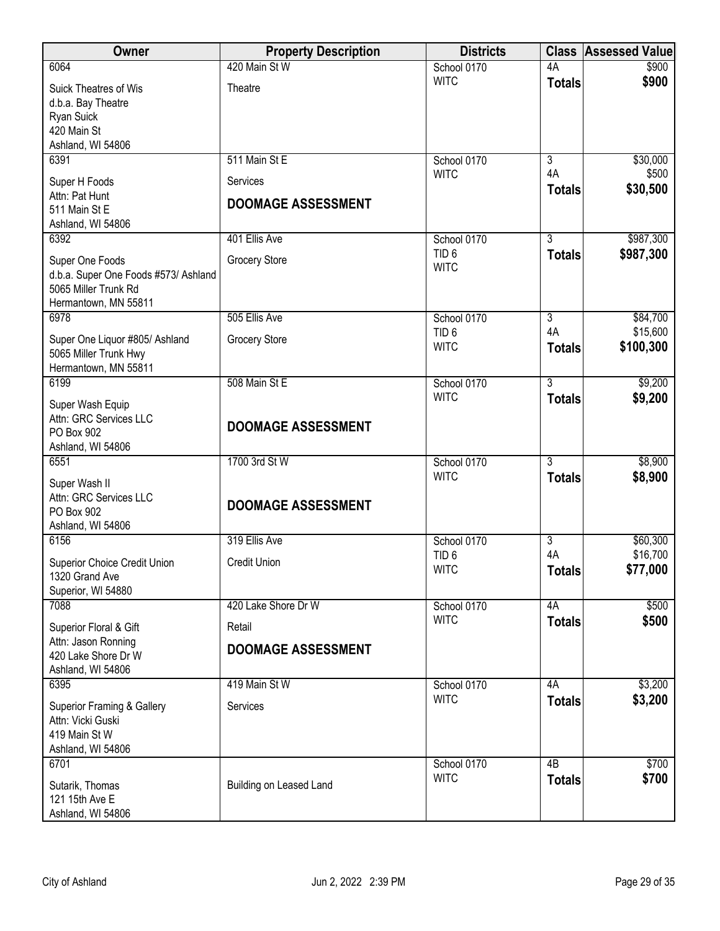| Owner                                                                                                   | <b>Property Description</b>           | <b>Districts</b>                |                      | <b>Class Assessed Value</b> |
|---------------------------------------------------------------------------------------------------------|---------------------------------------|---------------------------------|----------------------|-----------------------------|
| 6064                                                                                                    | 420 Main St W                         | School 0170                     | 4A                   | \$900                       |
| <b>Suick Theatres of Wis</b><br>d.b.a. Bay Theatre<br>Ryan Suick<br>420 Main St<br>Ashland, WI 54806    | Theatre                               | <b>WITC</b>                     | <b>Totals</b>        | \$900                       |
| 6391                                                                                                    | 511 Main St E                         | School 0170                     | 3                    | \$30,000                    |
| Super H Foods<br>Attn: Pat Hunt<br>511 Main St E<br>Ashland, WI 54806                                   | Services<br><b>DOOMAGE ASSESSMENT</b> | <b>WITC</b>                     | 4A<br><b>Totals</b>  | \$500<br>\$30,500           |
| 6392                                                                                                    | 401 Ellis Ave                         | School 0170                     | $\overline{3}$       | \$987,300                   |
| Super One Foods<br>d.b.a. Super One Foods #573/ Ashland<br>5065 Miller Trunk Rd<br>Hermantown, MN 55811 | Grocery Store                         | TID <sub>6</sub><br><b>WITC</b> | <b>Totals</b>        | \$987,300                   |
| 6978                                                                                                    | 505 Ellis Ave                         | School 0170                     | $\overline{3}$<br>4A | \$84,700<br>\$15,600        |
| Super One Liquor #805/ Ashland<br>5065 Miller Trunk Hwy<br>Hermantown, MN 55811                         | <b>Grocery Store</b>                  | TID <sub>6</sub><br><b>WITC</b> | <b>Totals</b>        | \$100,300                   |
| 6199                                                                                                    | 508 Main St E                         | School 0170                     | $\overline{3}$       | \$9,200                     |
| Super Wash Equip<br>Attn: GRC Services LLC<br>PO Box 902<br>Ashland, WI 54806                           | <b>DOOMAGE ASSESSMENT</b>             | <b>WITC</b>                     | <b>Totals</b>        | \$9,200                     |
| 6551                                                                                                    | 1700 3rd St W                         | School 0170                     | $\overline{3}$       | \$8,900                     |
| Super Wash II<br>Attn: GRC Services LLC<br>PO Box 902<br>Ashland, WI 54806                              | <b>DOOMAGE ASSESSMENT</b>             | <b>WITC</b>                     | <b>Totals</b>        | \$8,900                     |
| 6156                                                                                                    | 319 Ellis Ave                         | School 0170                     | $\overline{3}$       | \$60,300                    |
| <b>Superior Choice Credit Union</b><br>1320 Grand Ave<br>Superior, WI 54880                             | <b>Credit Union</b>                   | TID <sub>6</sub><br><b>WITC</b> | 4A<br><b>Totals</b>  | \$16,700<br>\$77,000        |
| 7088                                                                                                    | 420 Lake Shore Dr W                   | School 0170                     | 4A                   | \$500                       |
| Superior Floral & Gift                                                                                  | Retail                                | <b>WITC</b>                     | <b>Totals</b>        | \$500                       |
| Attn: Jason Ronning<br>420 Lake Shore Dr W<br>Ashland, WI 54806                                         | <b>DOOMAGE ASSESSMENT</b>             |                                 |                      |                             |
| 6395                                                                                                    | 419 Main St W                         | School 0170<br><b>WITC</b>      | 4A                   | \$3,200                     |
| <b>Superior Framing &amp; Gallery</b><br>Attn: Vicki Guski<br>419 Main St W<br>Ashland, WI 54806        | Services                              |                                 | <b>Totals</b>        | \$3,200                     |
| 6701                                                                                                    |                                       | School 0170                     | 4B                   | \$700                       |
| Sutarik, Thomas<br>121 15th Ave E<br>Ashland, WI 54806                                                  | Building on Leased Land               | <b>WITC</b>                     | <b>Totals</b>        | \$700                       |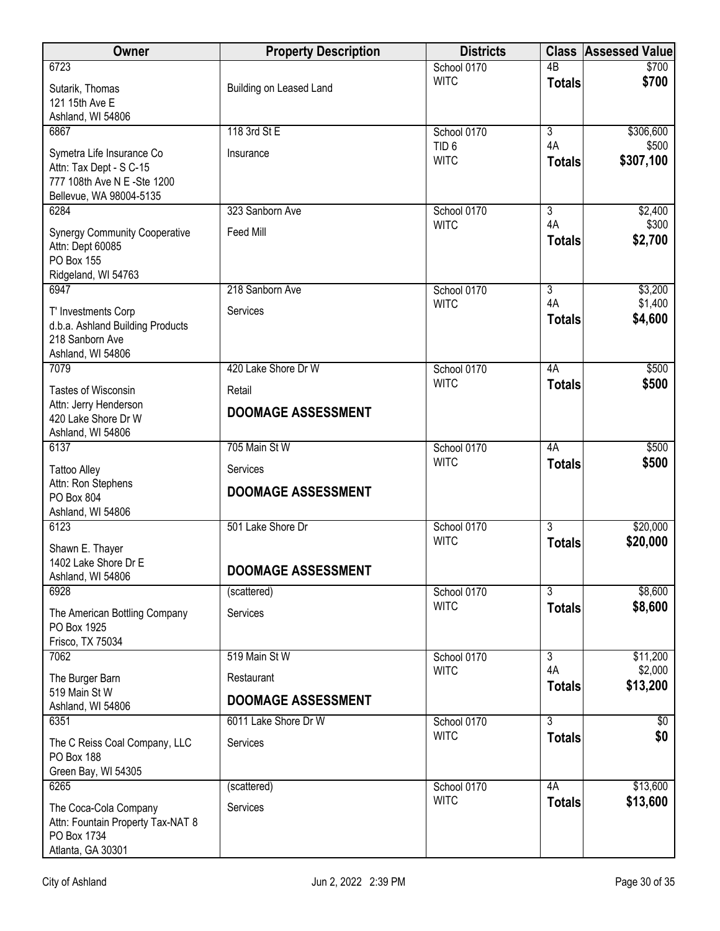| <b>Owner</b>                                                                                                   | <b>Property Description</b> | <b>Districts</b>                |                     | <b>Class Assessed Value</b> |
|----------------------------------------------------------------------------------------------------------------|-----------------------------|---------------------------------|---------------------|-----------------------------|
| 6723                                                                                                           |                             | School 0170                     | $\overline{AB}$     | \$700                       |
| Sutarik, Thomas<br>121 15th Ave E<br>Ashland, WI 54806                                                         | Building on Leased Land     | <b>WITC</b>                     | <b>Totals</b>       | \$700                       |
| 6867                                                                                                           | 118 3rd St E                | School 0170                     | 3                   | \$306,600                   |
| Symetra Life Insurance Co<br>Attn: Tax Dept - S C-15<br>777 108th Ave N E -Ste 1200<br>Bellevue, WA 98004-5135 | Insurance                   | TID <sub>6</sub><br><b>WITC</b> | 4A<br><b>Totals</b> | \$500<br>\$307,100          |
| 6284                                                                                                           | 323 Sanborn Ave             | School 0170                     | 3                   | \$2,400                     |
| <b>Synergy Community Cooperative</b><br>Attn: Dept 60085<br><b>PO Box 155</b><br>Ridgeland, WI 54763           | Feed Mill                   | <b>WITC</b>                     | 4A<br><b>Totals</b> | \$300<br>\$2,700            |
| 6947                                                                                                           | 218 Sanborn Ave             | School 0170                     | $\overline{3}$      | \$3,200                     |
| T' Investments Corp<br>d.b.a. Ashland Building Products<br>218 Sanborn Ave<br>Ashland, WI 54806                | Services                    | <b>WITC</b>                     | 4A<br><b>Totals</b> | \$1,400<br>\$4,600          |
| 7079                                                                                                           | 420 Lake Shore Dr W         | School 0170                     | 4A                  | \$500                       |
| <b>Tastes of Wisconsin</b>                                                                                     | Retail                      | <b>WITC</b>                     | <b>Totals</b>       | \$500                       |
| Attn: Jerry Henderson<br>420 Lake Shore Dr W<br>Ashland, WI 54806                                              | <b>DOOMAGE ASSESSMENT</b>   |                                 |                     |                             |
| 6137                                                                                                           | 705 Main St W               | School 0170                     | 4A                  | \$500                       |
| <b>Tattoo Alley</b><br>Attn: Ron Stephens                                                                      | Services                    | <b>WITC</b>                     | <b>Totals</b>       | \$500                       |
| PO Box 804<br>Ashland, WI 54806                                                                                | <b>DOOMAGE ASSESSMENT</b>   |                                 |                     |                             |
| 6123                                                                                                           | 501 Lake Shore Dr           | School 0170                     | $\overline{3}$      | \$20,000                    |
| Shawn E. Thayer<br>1402 Lake Shore Dr E<br>Ashland, WI 54806                                                   | <b>DOOMAGE ASSESSMENT</b>   | <b>WITC</b>                     | <b>Totals</b>       | \$20,000                    |
| 6928                                                                                                           | (scattered)                 | School 0170                     | $\overline{3}$      | \$8,600                     |
| The American Bottling Company<br>PO Box 1925<br>Frisco, TX 75034                                               | Services                    | <b>WITC</b>                     | <b>Totals</b>       | \$8,600                     |
| 7062                                                                                                           | 519 Main St W               | School 0170                     | $\overline{3}$      | \$11,200                    |
| The Burger Barn<br>519 Main St W                                                                               | Restaurant                  | <b>WITC</b>                     | 4A<br><b>Totals</b> | \$2,000<br>\$13,200         |
| Ashland, WI 54806                                                                                              | <b>DOOMAGE ASSESSMENT</b>   |                                 |                     |                             |
| 6351                                                                                                           | 6011 Lake Shore Dr W        | School 0170                     | $\overline{3}$      | \$0                         |
| The C Reiss Coal Company, LLC<br>PO Box 188<br>Green Bay, WI 54305                                             | Services                    | <b>WITC</b>                     | <b>Totals</b>       | \$0                         |
| 6265                                                                                                           | (scattered)                 | School 0170                     | 4A                  | \$13,600                    |
| The Coca-Cola Company<br>Attn: Fountain Property Tax-NAT 8<br>PO Box 1734<br>Atlanta, GA 30301                 | Services                    | <b>WITC</b>                     | <b>Totals</b>       | \$13,600                    |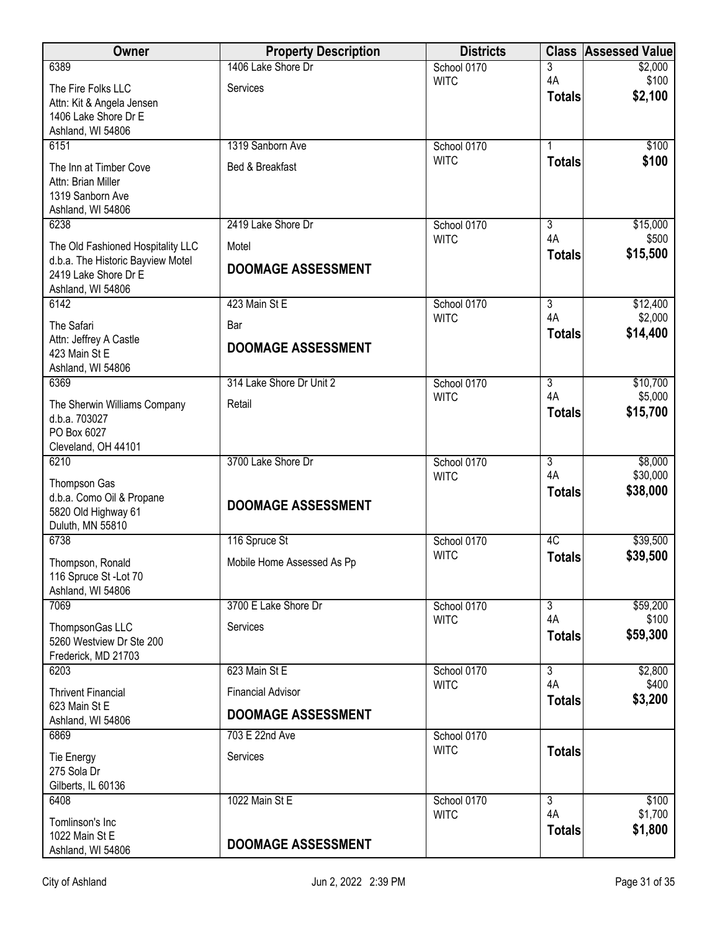| <b>Owner</b>                                                           | <b>Property Description</b> | <b>Districts</b>           |                      | <b>Class Assessed Value</b> |
|------------------------------------------------------------------------|-----------------------------|----------------------------|----------------------|-----------------------------|
| 6389                                                                   | 1406 Lake Shore Dr          | School 0170                | 3                    | \$2,000                     |
| The Fire Folks LLC                                                     | Services                    | <b>WITC</b>                | 4A<br><b>Totals</b>  | \$100<br>\$2,100            |
| Attn: Kit & Angela Jensen<br>1406 Lake Shore Dr E                      |                             |                            |                      |                             |
| Ashland, WI 54806                                                      |                             |                            |                      |                             |
| 6151                                                                   | 1319 Sanborn Ave            | School 0170                | 1                    | \$100                       |
| The Inn at Timber Cove                                                 | Bed & Breakfast             | <b>WITC</b>                | <b>Totals</b>        | \$100                       |
| Attn: Brian Miller                                                     |                             |                            |                      |                             |
| 1319 Sanborn Ave                                                       |                             |                            |                      |                             |
| Ashland, WI 54806<br>6238                                              | 2419 Lake Shore Dr          | School 0170                | 3                    | \$15,000                    |
|                                                                        | Motel                       | <b>WITC</b>                | 4A                   | \$500                       |
| The Old Fashioned Hospitality LLC<br>d.b.a. The Historic Bayview Motel |                             |                            | <b>Totals</b>        | \$15,500                    |
| 2419 Lake Shore Dr E                                                   | <b>DOOMAGE ASSESSMENT</b>   |                            |                      |                             |
| Ashland, WI 54806                                                      |                             |                            |                      |                             |
| 6142                                                                   | 423 Main St E               | School 0170<br><b>WITC</b> | $\overline{3}$<br>4A | \$12,400<br>\$2,000         |
| The Safari                                                             | Bar                         |                            | <b>Totals</b>        | \$14,400                    |
| Attn: Jeffrey A Castle<br>423 Main St E                                | <b>DOOMAGE ASSESSMENT</b>   |                            |                      |                             |
| Ashland, WI 54806                                                      |                             |                            |                      |                             |
| 6369                                                                   | 314 Lake Shore Dr Unit 2    | School 0170                | $\overline{3}$       | \$10,700                    |
| The Sherwin Williams Company                                           | Retail                      | <b>WITC</b>                | 4A<br><b>Totals</b>  | \$5,000<br>\$15,700         |
| d.b.a. 703027                                                          |                             |                            |                      |                             |
| PO Box 6027<br>Cleveland, OH 44101                                     |                             |                            |                      |                             |
| 6210                                                                   | 3700 Lake Shore Dr          | School 0170                | $\overline{3}$       | \$8,000                     |
| Thompson Gas                                                           |                             | <b>WITC</b>                | 4A                   | \$30,000                    |
| d.b.a. Como Oil & Propane                                              | <b>DOOMAGE ASSESSMENT</b>   |                            | <b>Totals</b>        | \$38,000                    |
| 5820 Old Highway 61                                                    |                             |                            |                      |                             |
| Duluth, MN 55810<br>6738                                               | 116 Spruce St               | School 0170                | 4C                   | \$39,500                    |
| Thompson, Ronald                                                       | Mobile Home Assessed As Pp  | <b>WITC</b>                | <b>Totals</b>        | \$39,500                    |
| 116 Spruce St - Lot 70                                                 |                             |                            |                      |                             |
| Ashland, WI 54806                                                      |                             |                            |                      |                             |
| 7069                                                                   | 3700 E Lake Shore Dr        | School 0170                | $\overline{3}$       | \$59,200                    |
| ThompsonGas LLC                                                        | Services                    | <b>WITC</b>                | 4A<br><b>Totals</b>  | \$100<br>\$59,300           |
| 5260 Westview Dr Ste 200<br>Frederick, MD 21703                        |                             |                            |                      |                             |
| 6203                                                                   | 623 Main St E               | School 0170                | $\overline{3}$       | \$2,800                     |
| <b>Thrivent Financial</b>                                              | <b>Financial Advisor</b>    | <b>WITC</b>                | 4A                   | \$400                       |
| 623 Main St E                                                          |                             |                            | <b>Totals</b>        | \$3,200                     |
| Ashland, WI 54806                                                      | <b>DOOMAGE ASSESSMENT</b>   |                            |                      |                             |
| 6869                                                                   | 703 E 22nd Ave              | School 0170                |                      |                             |
| <b>Tie Energy</b>                                                      | Services                    | <b>WITC</b>                | <b>Totals</b>        |                             |
| 275 Sola Dr                                                            |                             |                            |                      |                             |
| Gilberts, IL 60136<br>6408                                             | 1022 Main St E              | School 0170                | $\overline{3}$       | \$100                       |
| Tomlinson's Inc                                                        |                             | <b>WITC</b>                | 4A                   | \$1,700                     |
| 1022 Main St E                                                         |                             |                            | <b>Totals</b>        | \$1,800                     |
| Ashland, WI 54806                                                      | <b>DOOMAGE ASSESSMENT</b>   |                            |                      |                             |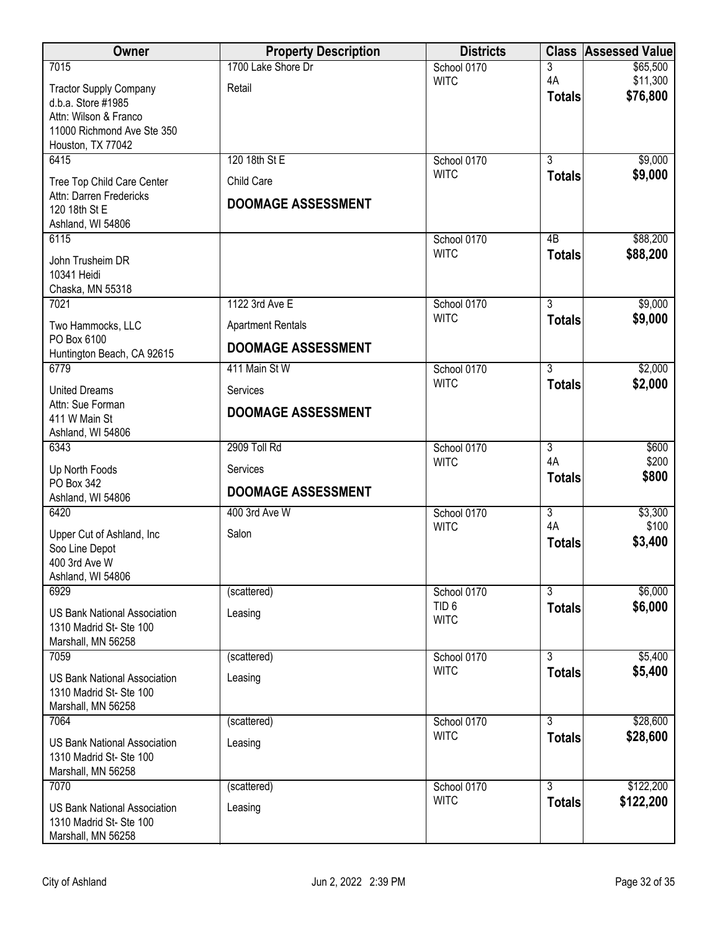| Owner                                               | <b>Property Description</b> | <b>Districts</b>           |                     | <b>Class Assessed Value</b> |
|-----------------------------------------------------|-----------------------------|----------------------------|---------------------|-----------------------------|
| 7015                                                | 1700 Lake Shore Dr          | School 0170                | 3                   | \$65,500                    |
| <b>Tractor Supply Company</b>                       | Retail                      | <b>WITC</b>                | 4A<br><b>Totals</b> | \$11,300<br>\$76,800        |
| d.b.a. Store #1985                                  |                             |                            |                     |                             |
| Attn: Wilson & Franco<br>11000 Richmond Ave Ste 350 |                             |                            |                     |                             |
| Houston, TX 77042                                   |                             |                            |                     |                             |
| 6415                                                | 120 18th St E               | School 0170                | $\overline{3}$      | \$9,000                     |
| Tree Top Child Care Center                          | Child Care                  | <b>WITC</b>                | <b>Totals</b>       | \$9,000                     |
| Attn: Darren Fredericks                             | <b>DOOMAGE ASSESSMENT</b>   |                            |                     |                             |
| 120 18th St E<br>Ashland, WI 54806                  |                             |                            |                     |                             |
| 6115                                                |                             | School 0170                | 4B                  | \$88,200                    |
| John Trusheim DR                                    |                             | <b>WITC</b>                | <b>Totals</b>       | \$88,200                    |
| 10341 Heidi                                         |                             |                            |                     |                             |
| Chaska, MN 55318                                    |                             |                            |                     |                             |
| 7021                                                | 1122 3rd Ave E              | School 0170                | $\overline{3}$      | \$9,000                     |
| Two Hammocks, LLC                                   | <b>Apartment Rentals</b>    | <b>WITC</b>                | <b>Totals</b>       | \$9,000                     |
| PO Box 6100<br>Huntington Beach, CA 92615           | <b>DOOMAGE ASSESSMENT</b>   |                            |                     |                             |
| 6779                                                | 411 Main St W               | School 0170                | $\overline{3}$      | \$2,000                     |
| <b>United Dreams</b>                                | Services                    | <b>WITC</b>                | <b>Totals</b>       | \$2,000                     |
| Attn: Sue Forman                                    | <b>DOOMAGE ASSESSMENT</b>   |                            |                     |                             |
| 411 W Main St<br>Ashland, WI 54806                  |                             |                            |                     |                             |
| 6343                                                | 2909 Toll Rd                | School 0170                | $\overline{3}$      | \$600                       |
| Up North Foods                                      | Services                    | <b>WITC</b>                | 4A                  | \$200                       |
| PO Box 342                                          |                             |                            | <b>Totals</b>       | \$800                       |
| Ashland, WI 54806                                   | <b>DOOMAGE ASSESSMENT</b>   |                            |                     |                             |
| 6420                                                | 400 3rd Ave W               | School 0170                | $\overline{3}$      | \$3,300                     |
| Upper Cut of Ashland, Inc                           | Salon                       | <b>WITC</b>                | 4A<br><b>Totals</b> | \$100<br>\$3,400            |
| Soo Line Depot                                      |                             |                            |                     |                             |
| 400 3rd Ave W<br>Ashland, WI 54806                  |                             |                            |                     |                             |
| 6929                                                | (scattered)                 | School 0170                | $\overline{3}$      | \$6,000                     |
| <b>US Bank National Association</b>                 | Leasing                     | TID <sub>6</sub>           | <b>Totals</b>       | \$6,000                     |
| 1310 Madrid St- Ste 100                             |                             | <b>WITC</b>                |                     |                             |
| Marshall, MN 56258                                  |                             |                            |                     |                             |
| 7059                                                | (scattered)                 | School 0170<br><b>WITC</b> | $\overline{3}$      | \$5,400                     |
| <b>US Bank National Association</b>                 | Leasing                     |                            | <b>Totals</b>       | \$5,400                     |
| 1310 Madrid St- Ste 100<br>Marshall, MN 56258       |                             |                            |                     |                             |
| 7064                                                | (scattered)                 | School 0170                | 3                   | \$28,600                    |
| <b>US Bank National Association</b>                 | Leasing                     | <b>WITC</b>                | <b>Totals</b>       | \$28,600                    |
| 1310 Madrid St- Ste 100                             |                             |                            |                     |                             |
| Marshall, MN 56258                                  |                             |                            |                     |                             |
| 7070                                                | (scattered)                 | School 0170                | $\overline{3}$      | \$122,200                   |
| <b>US Bank National Association</b>                 | Leasing                     | <b>WITC</b>                | <b>Totals</b>       | \$122,200                   |
| 1310 Madrid St- Ste 100                             |                             |                            |                     |                             |
| Marshall, MN 56258                                  |                             |                            |                     |                             |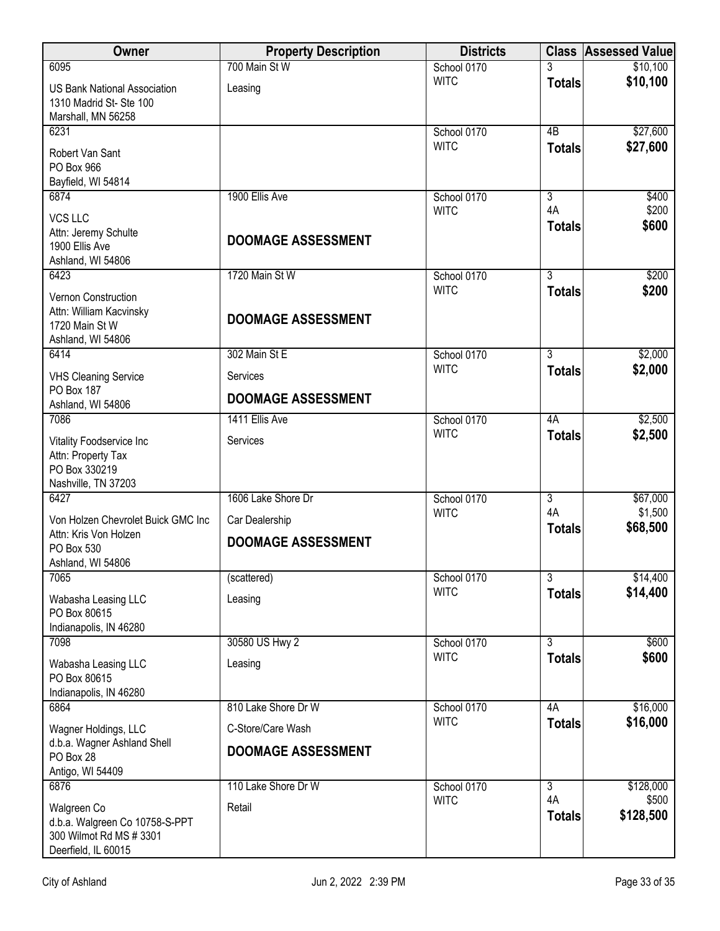| Owner                                                                                  | <b>Property Description</b> | <b>Districts</b> |                           | <b>Class Assessed Value</b> |
|----------------------------------------------------------------------------------------|-----------------------------|------------------|---------------------------|-----------------------------|
| 6095                                                                                   | 700 Main St W               | School 0170      |                           | \$10,100                    |
| <b>US Bank National Association</b><br>1310 Madrid St- Ste 100<br>Marshall, MN 56258   | Leasing                     | <b>WITC</b>      | <b>Totals</b>             | \$10,100                    |
| 6231                                                                                   |                             | School 0170      | 4B                        | \$27,600                    |
| Robert Van Sant<br>PO Box 966<br>Bayfield, WI 54814                                    |                             | <b>WITC</b>      | <b>Totals</b>             | \$27,600                    |
| 6874                                                                                   | 1900 Ellis Ave              | School 0170      | $\overline{\overline{3}}$ | \$400                       |
| VCS LLC                                                                                |                             | <b>WITC</b>      | 4A                        | \$200                       |
| Attn: Jeremy Schulte<br>1900 Ellis Ave<br>Ashland, WI 54806                            | <b>DOOMAGE ASSESSMENT</b>   |                  | <b>Totals</b>             | \$600                       |
| 6423                                                                                   | 1720 Main St W              | School 0170      | $\overline{3}$            | \$200                       |
| Vernon Construction<br>Attn: William Kacvinsky<br>1720 Main St W<br>Ashland, WI 54806  | <b>DOOMAGE ASSESSMENT</b>   | <b>WITC</b>      | <b>Totals</b>             | \$200                       |
| 6414                                                                                   | 302 Main St E               | School 0170      | 3                         | \$2,000                     |
| <b>VHS Cleaning Service</b>                                                            | Services                    | <b>WITC</b>      | <b>Totals</b>             | \$2,000                     |
| <b>PO Box 187</b><br>Ashland, WI 54806                                                 | <b>DOOMAGE ASSESSMENT</b>   |                  |                           |                             |
| 7086                                                                                   | 1411 Ellis Ave              | School 0170      | 4A                        | \$2,500                     |
| Vitality Foodservice Inc<br>Attn: Property Tax<br>PO Box 330219<br>Nashville, TN 37203 | Services                    | <b>WITC</b>      | <b>Totals</b>             | \$2,500                     |
| 6427                                                                                   | 1606 Lake Shore Dr          | School 0170      | $\overline{3}$            | \$67,000                    |
| Von Holzen Chevrolet Buick GMC Inc                                                     | Car Dealership              | <b>WITC</b>      | 4A                        | \$1,500<br>\$68,500         |
| Attn: Kris Von Holzen                                                                  | <b>DOOMAGE ASSESSMENT</b>   |                  | <b>Totals</b>             |                             |
| PO Box 530<br>Ashland, WI 54806                                                        |                             |                  |                           |                             |
| 7065                                                                                   | (scattered)                 | School 0170      | $\overline{3}$            | \$14,400                    |
| Wabasha Leasing LLC<br>PO Box 80615<br>Indianapolis, IN 46280                          | Leasing                     | <b>WITC</b>      | <b>Totals</b>             | \$14,400                    |
| 7098                                                                                   | 30580 US Hwy 2              | School 0170      | $\overline{3}$            | \$600                       |
| Wabasha Leasing LLC<br>PO Box 80615<br>Indianapolis, IN 46280                          | Leasing                     | <b>WITC</b>      | <b>Totals</b>             | \$600                       |
| 6864                                                                                   | 810 Lake Shore Dr W         | School 0170      | 4A                        | \$16,000                    |
| Wagner Holdings, LLC                                                                   | C-Store/Care Wash           | <b>WITC</b>      | <b>Totals</b>             | \$16,000                    |
| d.b.a. Wagner Ashland Shell                                                            | <b>DOOMAGE ASSESSMENT</b>   |                  |                           |                             |
| PO Box 28<br>Antigo, WI 54409                                                          |                             |                  |                           |                             |
| 6876                                                                                   | 110 Lake Shore Dr W         | School 0170      | $\overline{3}$            | \$128,000                   |
| Walgreen Co                                                                            | Retail                      | <b>WITC</b>      | 4A                        | \$500                       |
| d.b.a. Walgreen Co 10758-S-PPT<br>300 Wilmot Rd MS # 3301<br>Deerfield, IL 60015       |                             |                  | <b>Totals</b>             | \$128,500                   |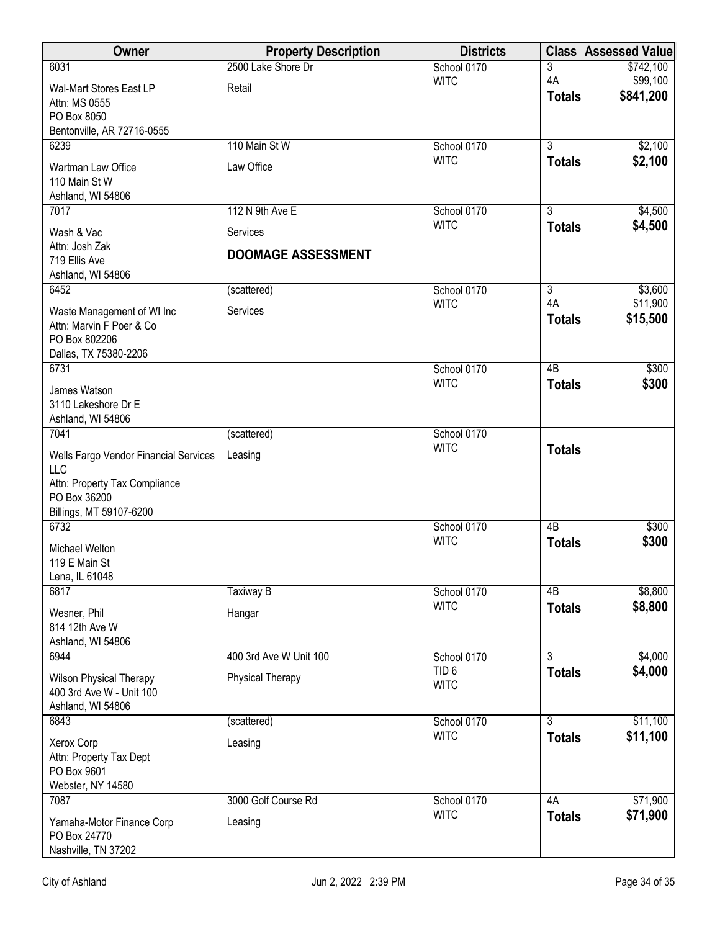| Owner                                                                                                                           | <b>Property Description</b> | <b>Districts</b>                |                     | <b>Class Assessed Value</b> |
|---------------------------------------------------------------------------------------------------------------------------------|-----------------------------|---------------------------------|---------------------|-----------------------------|
| 6031                                                                                                                            | 2500 Lake Shore Dr          | School 0170                     | 3                   | \$742,100                   |
| Wal-Mart Stores East LP<br>Attn: MS 0555<br>PO Box 8050                                                                         | Retail                      | <b>WITC</b>                     | 4A<br><b>Totals</b> | \$99,100<br>\$841,200       |
| Bentonville, AR 72716-0555<br>6239                                                                                              | 110 Main St W               | School 0170                     | $\overline{3}$      |                             |
|                                                                                                                                 |                             | <b>WITC</b>                     | <b>Totals</b>       | \$2,100<br>\$2,100          |
| Wartman Law Office<br>110 Main St W<br>Ashland, WI 54806                                                                        | Law Office                  |                                 |                     |                             |
| 7017                                                                                                                            | 112 N 9th Ave E             | School 0170                     | $\overline{3}$      | \$4,500                     |
| Wash & Vac                                                                                                                      | Services                    | <b>WITC</b>                     | <b>Totals</b>       | \$4,500                     |
| Attn: Josh Zak<br>719 Ellis Ave<br>Ashland, WI 54806                                                                            | <b>DOOMAGE ASSESSMENT</b>   |                                 |                     |                             |
| 6452                                                                                                                            | (scattered)                 | School 0170                     | $\overline{3}$      | \$3,600                     |
| Waste Management of WI Inc<br>Attn: Marvin F Poer & Co<br>PO Box 802206<br>Dallas, TX 75380-2206                                | Services                    | <b>WITC</b>                     | 4A<br><b>Totals</b> | \$11,900<br>\$15,500        |
| 6731                                                                                                                            |                             | School 0170                     | 4B                  | \$300                       |
| James Watson<br>3110 Lakeshore Dr E<br>Ashland, WI 54806                                                                        |                             | <b>WITC</b>                     | <b>Totals</b>       | \$300                       |
| 7041                                                                                                                            | (scattered)                 | School 0170                     |                     |                             |
| Wells Fargo Vendor Financial Services<br><b>LLC</b><br>Attn: Property Tax Compliance<br>PO Box 36200<br>Billings, MT 59107-6200 | Leasing                     | <b>WITC</b>                     | <b>Totals</b>       |                             |
| 6732                                                                                                                            |                             | School 0170                     | 4B                  | \$300                       |
| <b>Michael Welton</b><br>119 E Main St<br>Lena, IL 61048                                                                        |                             | <b>WITC</b>                     | <b>Totals</b>       | \$300                       |
| 6817                                                                                                                            | Taxiway B                   | School 0170                     | 4B                  | \$8,800                     |
| Wesner, Phil<br>814 12th Ave W<br>Ashland, WI 54806                                                                             | Hangar                      | <b>WITC</b>                     | <b>Totals</b>       | \$8,800                     |
| 6944                                                                                                                            | 400 3rd Ave W Unit 100      | School 0170                     | $\overline{3}$      | \$4,000                     |
| <b>Wilson Physical Therapy</b><br>400 3rd Ave W - Unit 100<br>Ashland, WI 54806                                                 | <b>Physical Therapy</b>     | TID <sub>6</sub><br><b>WITC</b> | <b>Totals</b>       | \$4,000                     |
| 6843                                                                                                                            | (scattered)                 | School 0170                     | $\overline{3}$      | \$11,100                    |
| Xerox Corp<br>Attn: Property Tax Dept<br>PO Box 9601<br>Webster, NY 14580                                                       | Leasing                     | <b>WITC</b>                     | <b>Totals</b>       | \$11,100                    |
| 7087                                                                                                                            | 3000 Golf Course Rd         | School 0170                     | 4A                  | \$71,900                    |
| Yamaha-Motor Finance Corp<br>PO Box 24770<br>Nashville, TN 37202                                                                | Leasing                     | <b>WITC</b>                     | <b>Totals</b>       | \$71,900                    |